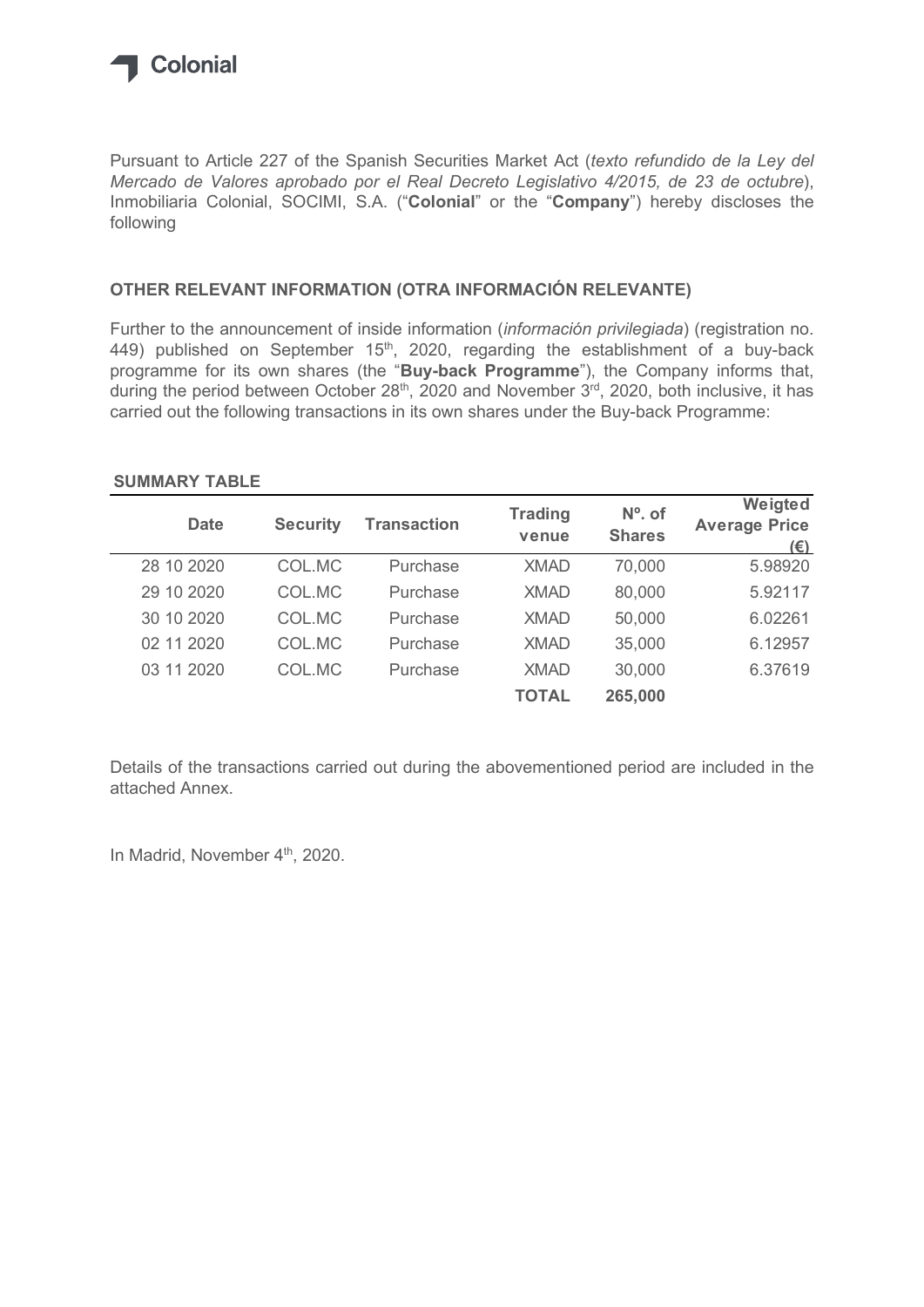

## OTHER RELEVANT INFORMATION (OTRA INFORMACIÓN RELEVANTE)

### SUMMARY TABLE

| Mercado de Valores aprobado por el Real Decreto Legislativo 4/2015, de 23 de octubre),<br>Inmobiliaria Colonial, SOCIMI, S.A. ("Colonial" or the "Company") hereby discloses the<br>following                                                         |                 |                    |                |               |                                                                                    |
|-------------------------------------------------------------------------------------------------------------------------------------------------------------------------------------------------------------------------------------------------------|-----------------|--------------------|----------------|---------------|------------------------------------------------------------------------------------|
| OTHER RELEVANT INFORMATION (OTRA INFORMACIÓN RELEVANTE)                                                                                                                                                                                               |                 |                    |                |               |                                                                                    |
| Further to the announcement of inside information (información privilegiada) (registration no.<br>449) published on September $15th$ , 2020, regarding the establishment of a buy-back                                                                |                 |                    |                |               | programme for its own shares (the "Buy-back Programme"), the Company informs that, |
|                                                                                                                                                                                                                                                       |                 |                    | <b>Trading</b> | $No$ . of     | Weigted                                                                            |
| <b>Date</b>                                                                                                                                                                                                                                           | <b>Security</b> | <b>Transaction</b> | venue          | <b>Shares</b> | <b>Average Price</b><br>$(\epsilon)$                                               |
| during the period between October 28 <sup>th</sup> , 2020 and November 3 <sup>rd</sup> , 2020, both inclusive, it has<br>carried out the following transactions in its own shares under the Buy-back Programme:<br><b>SUMMARY TABLE</b><br>28 10 2020 | COL.MC          | Purchase           | <b>XMAD</b>    | 70,000        | 5.98920                                                                            |
| 29 10 2020                                                                                                                                                                                                                                            | COL.MC          | Purchase           | <b>XMAD</b>    | 80,000        | 5.92117                                                                            |
| 30 10 2020                                                                                                                                                                                                                                            | COL.MC          | Purchase           | <b>XMAD</b>    | 50,000        | 6.02261                                                                            |
| 02 11 2020                                                                                                                                                                                                                                            | COL.MC          | Purchase           | <b>XMAD</b>    | 35,000        | 6.12957                                                                            |
| 03 11 2020                                                                                                                                                                                                                                            | COL.MC          | Purchase           | <b>XMAD</b>    | 30,000        | 6.37619                                                                            |

Details of the transactions carried out during the abovementioned period are included in the attached Annex.

In Madrid, November 4<sup>th</sup>, 2020.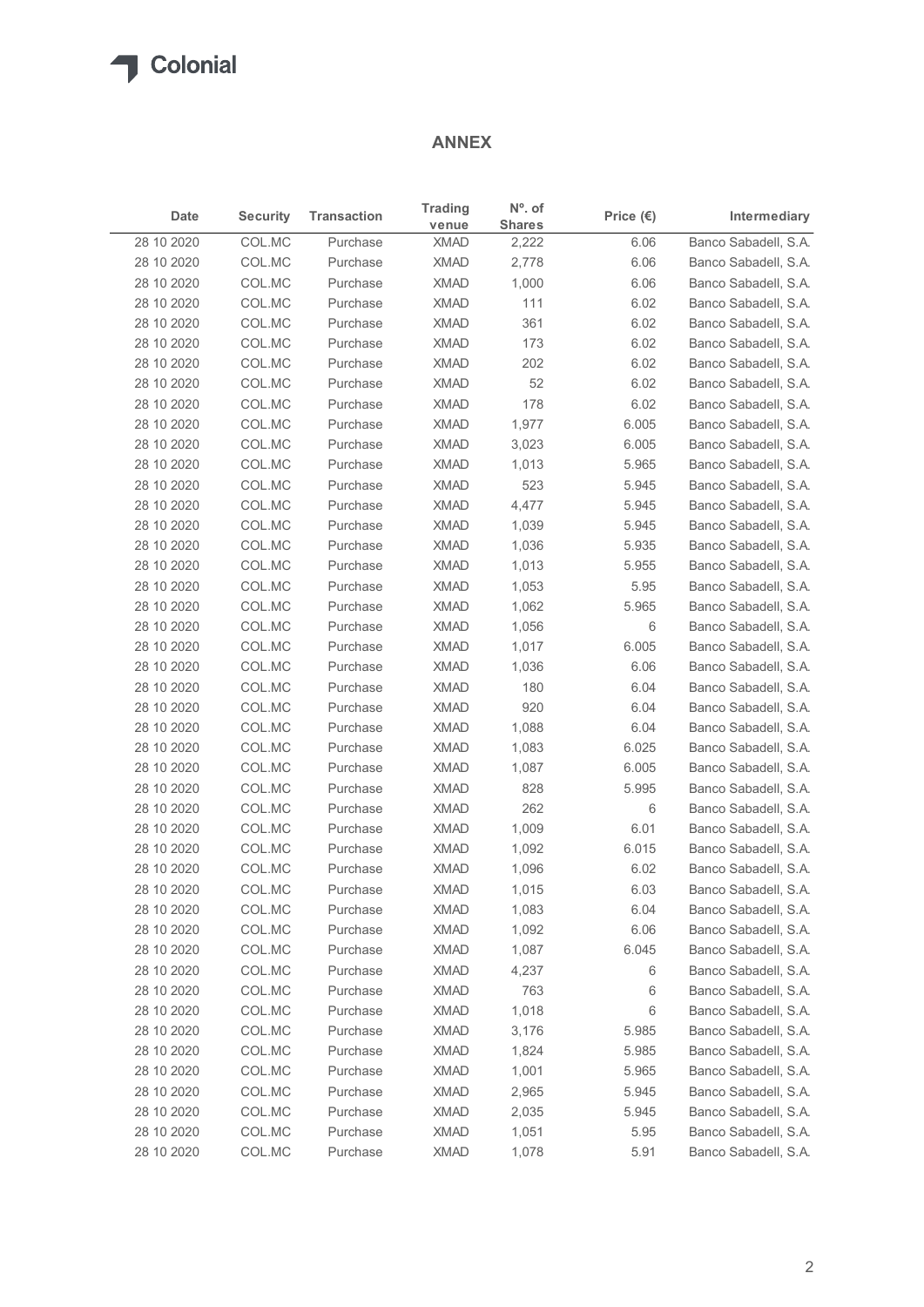# ANNEX

|                          |                  |                      | <b>ANNEX</b>            |                                   |                    |                                              |
|--------------------------|------------------|----------------------|-------------------------|-----------------------------------|--------------------|----------------------------------------------|
| Date                     | <b>Security</b>  | <b>Transaction</b>   | <b>Trading</b><br>venue | $N^{\circ}$ . of<br><b>Shares</b> | Price $(\epsilon)$ | Intermediary                                 |
| 28 10 2020               | COL.MC           | Purchase             | <b>XMAD</b>             | 2,222                             | 6.06               | Banco Sabadell, S.A.                         |
| 28 10 2020               | COL.MC           | Purchase             | <b>XMAD</b>             | 2,778                             | 6.06               | Banco Sabadell, S.A.                         |
| 28 10 2020               | COL.MC           | Purchase             | <b>XMAD</b>             | 1,000                             | 6.06               | Banco Sabadell, S.A.                         |
| 28 10 2020               | COL.MC           | Purchase             | <b>XMAD</b>             | 111                               | 6.02               | Banco Sabadell, S.A.                         |
| 28 10 2020               | COL.MC           | Purchase             | <b>XMAD</b>             | 361                               | 6.02               | Banco Sabadell, S.A.                         |
| 28 10 2020               | COL.MC           | Purchase             | <b>XMAD</b>             | 173                               | 6.02               | Banco Sabadell, S.A.                         |
| 28 10 2020               | COL.MC           | Purchase             | <b>XMAD</b>             | 202                               | 6.02               | Banco Sabadell, S.A.                         |
| 28 10 2020               | COL.MC           | Purchase             | <b>XMAD</b>             | 52                                | 6.02               | Banco Sabadell, S.A.                         |
| 28 10 2020               | COL.MC           | Purchase             | <b>XMAD</b>             | 178                               | 6.02               | Banco Sabadell, S.A.                         |
| 28 10 2020               | COL.MC           | Purchase<br>Purchase | <b>XMAD</b>             | 1,977                             | 6.005              | Banco Sabadell, S.A.                         |
| 28 10 2020<br>28 10 2020 | COL.MC<br>COL.MC | Purchase             | <b>XMAD</b><br>XMAD     | 3,023<br>1,013                    | 6.005<br>5.965     | Banco Sabadell, S.A.<br>Banco Sabadell, S.A. |
| 28 10 2020               | COL.MC           | Purchase             | <b>XMAD</b>             | 523                               | 5.945              | Banco Sabadell, S.A.                         |
| 28 10 2020               | COL.MC           | Purchase             | XMAD                    | 4,477                             | 5.945              | Banco Sabadell, S.A.                         |
| 28 10 2020               | COL.MC           | Purchase             | XMAD                    | 1,039                             | 5.945              | Banco Sabadell, S.A.                         |
| 28 10 2020               | COL.MC           | Purchase             | XMAD                    | 1,036                             | 5.935              | Banco Sabadell, S.A.                         |
| 28 10 2020               | COL.MC           | Purchase             | <b>XMAD</b>             | 1,013                             | 5.955              | Banco Sabadell, S.A.                         |
| 28 10 2020               | COL.MC           | Purchase             | <b>XMAD</b>             | 1,053                             | 5.95               | Banco Sabadell, S.A.                         |
| 28 10 2020               | COL.MC           | Purchase             | <b>XMAD</b>             | 1,062                             | 5.965              | Banco Sabadell, S.A.                         |
| 28 10 2020               | COL.MC           | Purchase             | <b>XMAD</b>             | 1,056                             | 6                  | Banco Sabadell, S.A.                         |
| 28 10 2020               | COL.MC           | Purchase             | XMAD                    | 1,017                             | 6.005              | Banco Sabadell, S.A.                         |
| 28 10 2020               | COL.MC           | Purchase             | <b>XMAD</b>             | 1,036                             | 6.06               | Banco Sabadell, S.A.                         |
| 28 10 2020               | COL.MC           | Purchase             | <b>XMAD</b>             | 180                               | 6.04               | Banco Sabadell, S.A.                         |
| 28 10 2020               | COL.MC           | Purchase             | <b>XMAD</b>             | 920                               | 6.04               | Banco Sabadell, S.A.                         |
| 28 10 2020               | COL.MC           | Purchase             | <b>XMAD</b>             | 1,088                             | 6.04               | Banco Sabadell, S.A.                         |
| 28 10 2020               | COL.MC           | Purchase             | XMAD                    | 1,083                             | 6.025              | Banco Sabadell, S.A.                         |
| 28 10 2020               | COL.MC           | Purchase             | XMAD                    | 1,087                             | 6.005              | Banco Sabadell, S.A.                         |
| 28 10 2020               | COL.MC           | Purchase             | <b>XMAD</b>             | 828                               | 5.995              | Banco Sabadell, S.A.                         |
| 28 10 2020               | COL.MC           | Purchase             | XMAD                    | 262                               | 6                  | Banco Sabadell, S.A.                         |
| 28 10 2020               | COL.MC           | Purchase             | <b>XMAD</b>             | 1,009                             | 6.01               | Banco Sabadell, S.A.                         |
| 28 10 2020               | COL.MC           | Purchase             | <b>XMAD</b>             | 1,092                             | 6.015              | Banco Sabadell, S.A.                         |
| 28 10 2020               | COL.MC           | Purchase             | <b>XMAD</b>             | 1,096                             | 6.02               | Banco Sabadell, S.A.                         |
| 28 10 2020               | COL.MC           | Purchase             | <b>XMAD</b>             | 1,015                             | 6.03               | Banco Sabadell, S.A.                         |
| 28 10 2020               | COL.MC           | Purchase             | <b>XMAD</b>             | 1,083                             | 6.04               | Banco Sabadell, S.A.                         |
| 28 10 2020               | COL.MC           | Purchase             | <b>XMAD</b>             | 1,092                             | 6.06               | Banco Sabadell, S.A.                         |
| 28 10 2020               | COL.MC           | Purchase             | <b>XMAD</b>             | 1,087                             | 6.045              | Banco Sabadell, S.A.                         |
| 28 10 2020               | COL.MC           | Purchase             | <b>XMAD</b>             | 4,237                             | 6                  | Banco Sabadell, S.A.                         |
| 28 10 2020               | COL.MC           | Purchase             | XMAD                    | 763                               | 6                  | Banco Sabadell, S.A.                         |
| 28 10 2020               | COL.MC           | Purchase             | XMAD                    | 1,018                             | 6                  | Banco Sabadell, S.A.                         |
| 28 10 2020               | COL.MC           | Purchase             | <b>XMAD</b>             | 3,176                             | 5.985              | Banco Sabadell, S.A.                         |
| 28 10 2020               | COL.MC           | Purchase             | XMAD                    | 1,824                             | 5.985              | Banco Sabadell, S.A.                         |
| 28 10 2020               | COL.MC           | Purchase             | <b>XMAD</b>             | 1,001                             | 5.965              | Banco Sabadell, S.A.                         |
| 28 10 2020               | COL.MC           | Purchase             | <b>XMAD</b>             | 2,965                             | 5.945              | Banco Sabadell, S.A.                         |
| 28 10 2020               | COL.MC           | Purchase             | <b>XMAD</b>             | 2,035                             | 5.945              | Banco Sabadell, S.A.                         |
| 28 10 2020<br>28 10 2020 | COL.MC           | Purchase             | <b>XMAD</b>             | 1,051                             | 5.95               | Banco Sabadell, S.A.                         |
|                          | COL.MC           | Purchase             | <b>XMAD</b>             | 1,078                             | 5.91               | Banco Sabadell, S.A.                         |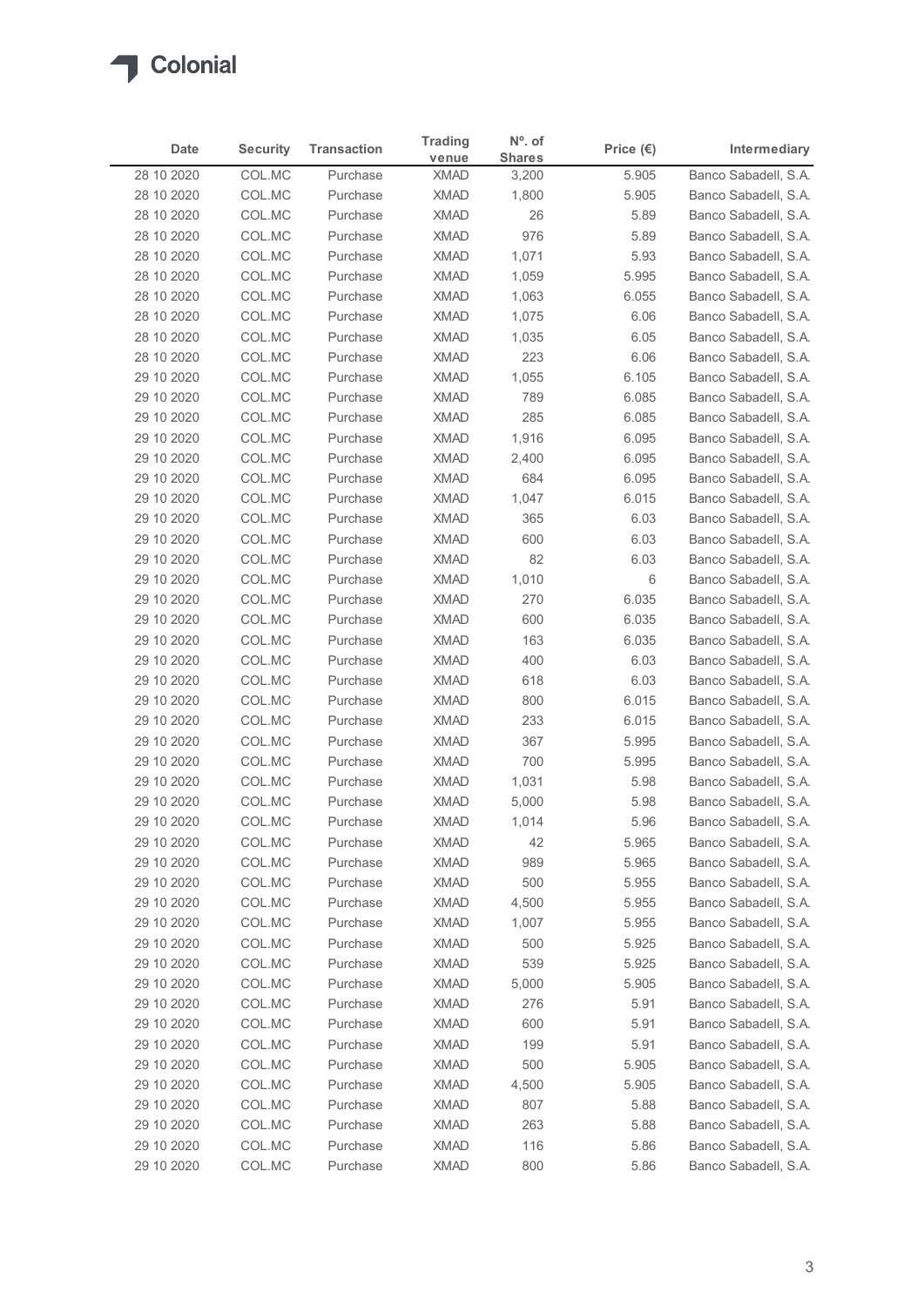

| Date                     | <b>Security</b>  | <b>Transaction</b>   | <b>Trading</b>             | N°. of                 | Price $(\epsilon)$ | Intermediary                                 |
|--------------------------|------------------|----------------------|----------------------------|------------------------|--------------------|----------------------------------------------|
| 28 10 2020               | COL.MC           | Purchase             | venue<br><b>XMAD</b>       | <b>Shares</b><br>3,200 | 5.905              | Banco Sabadell, S.A.                         |
| 28 10 2020               | COL.MC           | Purchase             | <b>XMAD</b>                | 1,800                  | 5.905              | Banco Sabadell, S.A.                         |
| 28 10 2020               | COL.MC           | Purchase             | <b>XMAD</b>                | 26                     | 5.89               | Banco Sabadell, S.A.                         |
| 28 10 2020               | COL.MC           | Purchase             | <b>XMAD</b>                | 976                    | 5.89               | Banco Sabadell, S.A.                         |
| 28 10 2020               | COL.MC           | Purchase             | <b>XMAD</b>                | 1,071                  | 5.93               | Banco Sabadell, S.A.                         |
| 28 10 2020               | COL.MC           | Purchase             | <b>XMAD</b>                | 1,059                  | 5.995              | Banco Sabadell, S.A.                         |
| 28 10 2020               | COL.MC           | Purchase             | <b>XMAD</b>                | 1,063                  | 6.055              | Banco Sabadell, S.A.                         |
| 28 10 2020<br>28 10 2020 | COL.MC<br>COL.MC | Purchase<br>Purchase | <b>XMAD</b><br><b>XMAD</b> | 1,075<br>1,035         | 6.06<br>6.05       | Banco Sabadell, S.A.<br>Banco Sabadell, S.A. |
| 28 10 2020               | COL.MC           | Purchase             | <b>XMAD</b>                | 223                    | 6.06               | Banco Sabadell, S.A.                         |
| 29 10 2020               | COL.MC           | Purchase             | <b>XMAD</b>                | 1,055                  | 6.105              | Banco Sabadell, S.A.                         |
| 29 10 2020               | COL.MC           | Purchase             | <b>XMAD</b>                | 789                    | 6.085              | Banco Sabadell, S.A.                         |
| 29 10 2020               | COL.MC           | Purchase             | <b>XMAD</b>                | 285                    | 6.085              | Banco Sabadell, S.A.                         |
| 29 10 2020               | COL.MC           | Purchase             | XMAD                       | 1,916                  | 6.095              | Banco Sabadell, S.A.                         |
| 29 10 2020               | COL.MC           | Purchase             | <b>XMAD</b>                | 2,400                  | 6.095              | Banco Sabadell, S.A.                         |
| 29 10 2020<br>29 10 2020 | COL.MC<br>COL.MC | Purchase<br>Purchase | XMAD<br><b>XMAD</b>        | 684<br>1,047           | 6.095<br>6.015     | Banco Sabadell, S.A.<br>Banco Sabadell, S.A. |
| 29 10 2020               | COL.MC           | Purchase             | <b>XMAD</b>                | 365                    | 6.03               | Banco Sabadell, S.A.                         |
| 29 10 2020               | COL.MC           | Purchase             | <b>XMAD</b>                | 600                    | 6.03               | Banco Sabadell, S.A.                         |
| 29 10 2020               | COL.MC           | Purchase             | <b>XMAD</b>                | 82                     | 6.03               | Banco Sabadell, S.A.                         |
| 29 10 2020               | COL.MC           | Purchase             | <b>XMAD</b>                | 1,010                  | 6                  | Banco Sabadell, S.A.                         |
| 29 10 2020               | COL.MC           | Purchase             | <b>XMAD</b>                | 270                    | 6.035              | Banco Sabadell, S.A.                         |
| 29 10 2020               | COL.MC           | Purchase             | XMAD                       | 600                    | 6.035              | Banco Sabadell, S.A.                         |
| 29 10 2020<br>29 10 2020 | COL.MC           | Purchase<br>Purchase | <b>XMAD</b><br><b>XMAD</b> | 163<br>400             | 6.035<br>6.03      | Banco Sabadell, S.A.<br>Banco Sabadell, S.A. |
| 29 10 2020               | COL.MC<br>COL.MC | Purchase             | <b>XMAD</b>                | 618                    | 6.03               | Banco Sabadell, S.A.                         |
| 29 10 2020               | COL.MC           | Purchase             | <b>XMAD</b>                | 800                    | 6.015              | Banco Sabadell, S.A.                         |
| 29 10 2020               | COL.MC           | Purchase             | <b>XMAD</b>                | 233                    | 6.015              | Banco Sabadell, S.A.                         |
| 29 10 2020               | COL.MC           | Purchase             | <b>XMAD</b>                | 367                    | 5.995              | Banco Sabadell, S.A.                         |
| 29 10 2020               | COL.MC           | Purchase             | <b>XMAD</b>                | 700                    | 5.995              | Banco Sabadell, S.A.                         |
| 29 10 2020               | COL.MC           | Purchase             | <b>XMAD</b>                | 1,031                  | 5.98               | Banco Sabadell, S.A.                         |
| 29 10 2020               | COL.MC           | Purchase             | <b>XMAD</b>                | 5,000                  | 5.98               | Banco Sabadell, S.A.                         |
| 29 10 2020               | COL.MC           | Purchase             | <b>XMAD</b>                | 1,014                  | 5.96               | Banco Sabadell, S.A.                         |
| 29 10 2020<br>29 10 2020 | COL.MC<br>COL.MC | Purchase<br>Purchase | <b>XMAD</b><br>XMAD        | 42<br>989              | 5.965<br>5.965     | Banco Sabadell, S.A.<br>Banco Sabadell, S.A. |
| 29 10 2020               | COL.MC           | Purchase             | <b>XMAD</b>                | 500                    | 5.955              | Banco Sabadell, S.A.                         |
| 29 10 2020               | COL.MC           | Purchase             | <b>XMAD</b>                | 4,500                  | 5.955              | Banco Sabadell, S.A.                         |
| 29 10 2020               | COL.MC           | Purchase             | <b>XMAD</b>                | 1,007                  | 5.955              | Banco Sabadell, S.A.                         |
| 29 10 2020               | COL.MC           | Purchase             | XMAD                       | 500                    | 5.925              | Banco Sabadell, S.A.                         |
| 29 10 2020               | COL.MC           | Purchase             | <b>XMAD</b>                | 539                    | 5.925              | Banco Sabadell, S.A.                         |
| 29 10 2020               | COL.MC           | Purchase             | <b>XMAD</b>                | 5,000                  | 5.905              | Banco Sabadell, S.A.                         |
| 29 10 2020               | COL.MC           | Purchase             | <b>XMAD</b>                | 276                    | 5.91               | Banco Sabadell, S.A.                         |
| 29 10 2020<br>29 10 2020 | COL.MC           | Purchase             | <b>XMAD</b>                | 600                    | 5.91               | Banco Sabadell, S.A.                         |
| 29 10 2020               | COL.MC<br>COL.MC | Purchase<br>Purchase | <b>XMAD</b><br><b>XMAD</b> | 199<br>500             | 5.91<br>5.905      | Banco Sabadell, S.A.<br>Banco Sabadell, S.A. |
| 29 10 2020               | COL.MC           | Purchase             | <b>XMAD</b>                | 4,500                  | 5.905              | Banco Sabadell, S.A.                         |
| 29 10 2020               | COL.MC           | Purchase             | <b>XMAD</b>                | 807                    | 5.88               | Banco Sabadell, S.A.                         |
| 29 10 2020               | COL.MC           | Purchase             | <b>XMAD</b>                | 263                    | 5.88               | Banco Sabadell, S.A.                         |
| 29 10 2020               | COL.MC           | Purchase             | <b>XMAD</b>                | 116                    | 5.86               | Banco Sabadell, S.A.                         |
|                          | COL.MC           | Purchase             | <b>XMAD</b>                | 800                    | 5.86               | Banco Sabadell, S.A.                         |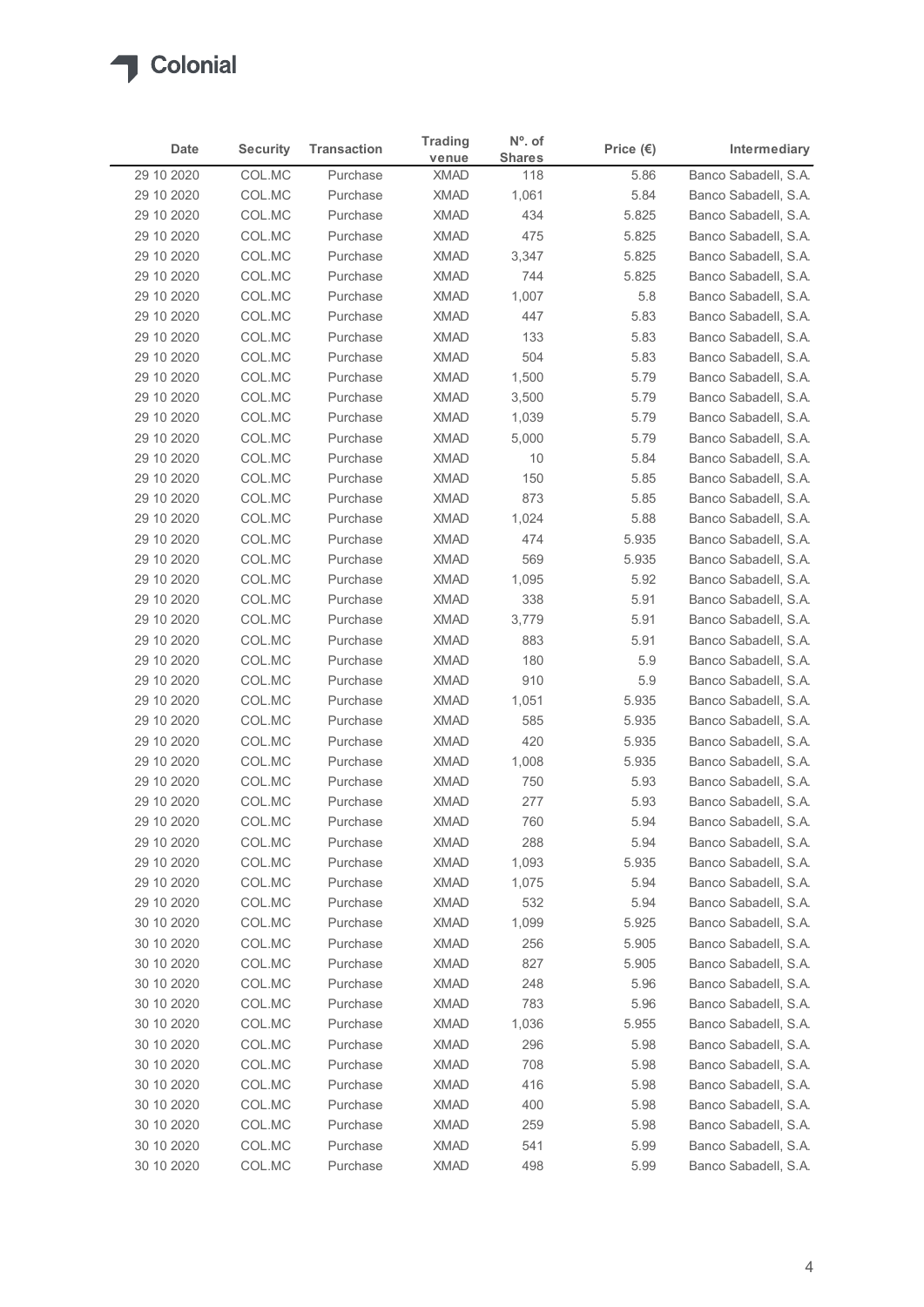

| Date                     | <b>Security</b>  | <b>Transaction</b>   | <b>Trading</b>             | N°. of               | Price $(\epsilon)$ | Intermediary                                 |
|--------------------------|------------------|----------------------|----------------------------|----------------------|--------------------|----------------------------------------------|
| 29 10 2020               | COL.MC           | Purchase             | venue<br><b>XMAD</b>       | <b>Shares</b><br>118 | 5.86               | Banco Sabadell, S.A.                         |
| 29 10 2020               | COL.MC           | Purchase             | <b>XMAD</b>                | 1,061                | 5.84               | Banco Sabadell, S.A.                         |
| 29 10 2020               | COL.MC           | Purchase             | <b>XMAD</b>                | 434                  | 5.825              | Banco Sabadell, S.A.                         |
| 29 10 2020               | COL.MC           | Purchase             | <b>XMAD</b>                | 475                  | 5.825              | Banco Sabadell, S.A.                         |
| 29 10 2020               | COL.MC           | Purchase             | <b>XMAD</b>                | 3,347                | 5.825              | Banco Sabadell, S.A.                         |
| 29 10 2020               | COL.MC           | Purchase             | <b>XMAD</b>                | 744                  | 5.825              | Banco Sabadell, S.A.                         |
| 29 10 2020<br>29 10 2020 | COL.MC<br>COL.MC | Purchase<br>Purchase | <b>XMAD</b><br><b>XMAD</b> | 1,007<br>447         | 5.8<br>5.83        | Banco Sabadell, S.A.<br>Banco Sabadell, S.A. |
| 29 10 2020               | COL.MC           | Purchase             | <b>XMAD</b>                | 133                  | 5.83               | Banco Sabadell, S.A.                         |
| 29 10 2020               | COL.MC           | Purchase             | <b>XMAD</b>                | 504                  | 5.83               | Banco Sabadell, S.A.                         |
| 29 10 2020               | COL.MC           | Purchase             | <b>XMAD</b>                | 1,500                | 5.79               | Banco Sabadell, S.A.                         |
| 29 10 2020               | COL.MC           | Purchase             | <b>XMAD</b>                | 3,500                | 5.79               | Banco Sabadell, S.A.                         |
| 29 10 2020               | COL.MC           | Purchase             | <b>XMAD</b>                | 1,039                | 5.79               | Banco Sabadell, S.A.                         |
| 29 10 2020               | COL.MC           | Purchase             | XMAD                       | 5,000                | 5.79               | Banco Sabadell, S.A.                         |
| 29 10 2020               | COL.MC           | Purchase             | <b>XMAD</b>                | 10                   | 5.84               | Banco Sabadell, S.A.                         |
| 29 10 2020<br>29 10 2020 | COL.MC<br>COL.MC | Purchase<br>Purchase | XMAD<br><b>XMAD</b>        | 150<br>873           | 5.85<br>5.85       | Banco Sabadell, S.A.<br>Banco Sabadell, S.A. |
| 29 10 2020               | COL.MC           | Purchase             | <b>XMAD</b>                | 1,024                | 5.88               | Banco Sabadell, S.A.                         |
| 29 10 2020               | COL.MC           | Purchase             | <b>XMAD</b>                | 474                  | 5.935              | Banco Sabadell, S.A.                         |
| 29 10 2020               | COL.MC           | Purchase             | <b>XMAD</b>                | 569                  | 5.935              | Banco Sabadell, S.A.                         |
| 29 10 2020               | COL.MC           | Purchase             | <b>XMAD</b>                | 1,095                | 5.92               | Banco Sabadell, S.A.                         |
| 29 10 2020               | COL.MC           | Purchase             | <b>XMAD</b>                | 338                  | 5.91               | Banco Sabadell, S.A.                         |
| 29 10 2020               | COL.MC           | Purchase             | <b>XMAD</b>                | 3,779                | 5.91               | Banco Sabadell, S.A.                         |
| 29 10 2020               | COL.MC           | Purchase             | <b>XMAD</b>                | 883                  | 5.91               | Banco Sabadell, S.A.                         |
| 29 10 2020<br>29 10 2020 | COL.MC<br>COL.MC | Purchase<br>Purchase | <b>XMAD</b><br><b>XMAD</b> | 180<br>910           | 5.9<br>5.9         | Banco Sabadell, S.A.<br>Banco Sabadell, S.A. |
| 29 10 2020               | COL.MC           | Purchase             | <b>XMAD</b>                | 1,051                | 5.935              | Banco Sabadell, S.A.                         |
| 29 10 2020               | COL.MC           | Purchase             | <b>XMAD</b>                | 585                  | 5.935              | Banco Sabadell, S.A.                         |
| 29 10 2020               | COL.MC           | Purchase             | XMAD                       | 420                  | 5.935              | Banco Sabadell, S.A.                         |
| 29 10 2020               | COL.MC           | Purchase             | <b>XMAD</b>                | 1,008                | 5.935              | Banco Sabadell, S.A.                         |
| 29 10 2020               | COL.MC           | Purchase             | <b>XMAD</b>                | 750                  | 5.93               | Banco Sabadell, S.A.                         |
| 29 10 2020               | COL.MC           | Purchase             | <b>XMAD</b>                | 277                  | 5.93               | Banco Sabadell, S.A.                         |
| 29 10 2020               | COL.MC           | Purchase             | <b>XMAD</b>                | 760                  | 5.94               | Banco Sabadell, S.A.                         |
| 29 10 2020               | COL.MC           | Purchase             | <b>XMAD</b>                | 288                  | 5.94               | Banco Sabadell, S.A.                         |
| 29 10 2020<br>29 10 2020 | COL.MC<br>COL.MC | Purchase<br>Purchase | XMAD<br><b>XMAD</b>        | 1,093<br>1,075       | 5.935<br>5.94      | Banco Sabadell, S.A.<br>Banco Sabadell, S.A. |
| 29 10 2020               | COL.MC           | Purchase             | <b>XMAD</b>                | 532                  | 5.94               | Banco Sabadell, S.A.                         |
| 30 10 2020               | COL.MC           | Purchase             | <b>XMAD</b>                | 1,099                | 5.925              | Banco Sabadell, S.A.                         |
| 30 10 2020               | COL.MC           | Purchase             | XMAD                       | 256                  | 5.905              | Banco Sabadell, S.A.                         |
| 30 10 2020               | COL.MC           | Purchase             | <b>XMAD</b>                | 827                  | 5.905              | Banco Sabadell, S.A.                         |
| 30 10 2020               | COL.MC           | Purchase             | <b>XMAD</b>                | 248                  | 5.96               | Banco Sabadell, S.A.                         |
| 30 10 2020               | COL.MC           | Purchase             | <b>XMAD</b>                | 783                  | 5.96               | Banco Sabadell, S.A.                         |
| 30 10 2020               | COL.MC           | Purchase             | <b>XMAD</b>                | 1,036                | 5.955              | Banco Sabadell, S.A.                         |
| 30 10 2020               | COL.MC           | Purchase             | <b>XMAD</b>                | 296                  | 5.98               | Banco Sabadell, S.A.                         |
| 30 10 2020<br>30 10 2020 | COL.MC<br>COL.MC | Purchase<br>Purchase | XMAD<br>XMAD               | 708<br>416           | 5.98<br>5.98       | Banco Sabadell, S.A.<br>Banco Sabadell, S.A. |
| 30 10 2020               | COL.MC           | Purchase             | <b>XMAD</b>                | 400                  | 5.98               | Banco Sabadell, S.A.                         |
| 30 10 2020               | COL.MC           | Purchase             | <b>XMAD</b>                | 259                  | 5.98               | Banco Sabadell, S.A.                         |
| 30 10 2020               | COL.MC           | Purchase             | <b>XMAD</b>                | 541                  | 5.99               | Banco Sabadell, S.A.                         |
|                          | COL.MC           | Purchase             | <b>XMAD</b>                | 498                  | 5.99               | Banco Sabadell, S.A.                         |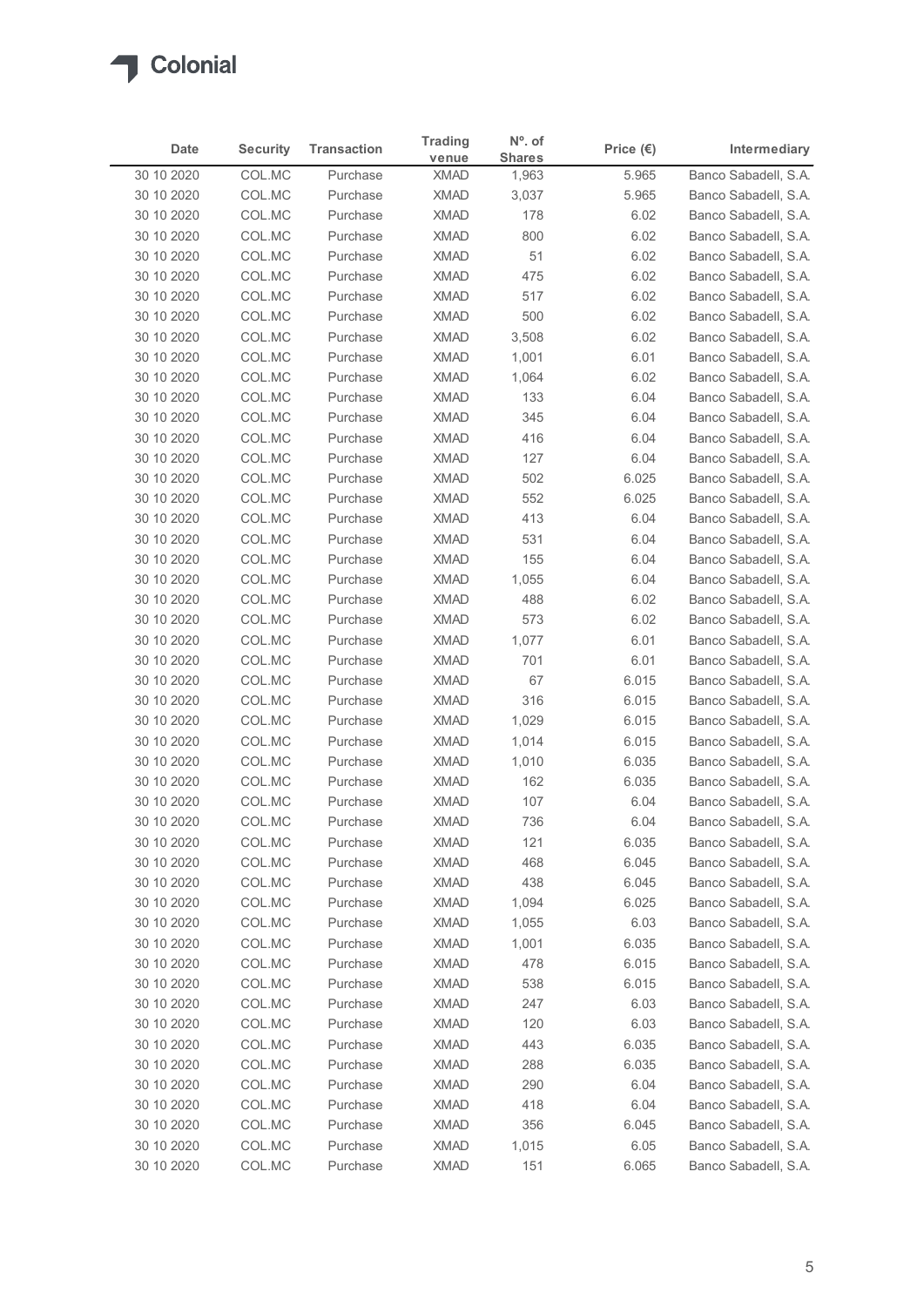

| <b>Security</b><br><b>Transaction</b><br>Intermediary<br>Date<br>Price $(\epsilon)$<br><b>Shares</b><br>venue<br>Banco Sabadell, S.A.<br>30 10 2020<br>COL.MC<br><b>XMAD</b><br>Purchase<br>5.965<br>1,963<br>COL.MC<br><b>XMAD</b><br>5.965<br>Banco Sabadell, S.A.<br>30 10 2020<br>Purchase<br>3,037<br>COL.MC<br><b>XMAD</b><br>178<br>6.02<br>Banco Sabadell, S.A.<br>30 10 2020<br>Purchase<br><b>XMAD</b><br>30 10 2020<br>COL.MC<br>Purchase<br>800<br>6.02<br>Banco Sabadell, S.A.<br>COL.MC<br><b>XMAD</b><br>51<br>30 10 2020<br>Purchase<br>6.02<br>Banco Sabadell, S.A.<br>COL.MC<br><b>XMAD</b><br>Banco Sabadell, S.A.<br>30 10 2020<br>Purchase<br>475<br>6.02<br>30 10 2020<br>COL.MC<br><b>XMAD</b><br>517<br>Banco Sabadell, S.A.<br>Purchase<br>6.02<br>30 10 2020<br>COL.MC<br>Purchase<br><b>XMAD</b><br>500<br>6.02<br>Banco Sabadell, S.A.<br>COL.MC<br>30 10 2020<br><b>XMAD</b><br>3,508<br>6.02<br>Banco Sabadell, S.A.<br>Purchase<br>COL.MC<br><b>XMAD</b><br>30 10 2020<br>Purchase<br>1,001<br>6.01<br>Banco Sabadell, S.A.<br>COL.MC<br><b>XMAD</b><br>30 10 2020<br>Purchase<br>1,064<br>6.02<br>Banco Sabadell, S.A.<br>COL.MC<br><b>XMAD</b><br>Banco Sabadell, S.A.<br>30 10 2020<br>Purchase<br>133<br>6.04<br><b>XMAD</b><br>345<br>30 10 2020<br>COL.MC<br>Purchase<br>6.04<br>Banco Sabadell, S.A.<br>30 10 2020<br>COL.MC<br>XMAD<br>416<br>6.04<br>Banco Sabadell, S.A.<br>Purchase<br>Banco Sabadell, S.A.<br>30 10 2020<br>COL.MC<br>Purchase<br>XMAD<br>127<br>6.04<br>XMAD<br>6.025<br>30 10 2020<br>COL.MC<br>Purchase<br>502<br>Banco Sabadell, S.A.<br><b>XMAD</b><br>6.025<br>30 10 2020<br>COL.MC<br>Purchase<br>552<br>Banco Sabadell, S.A.<br>COL.MC<br><b>XMAD</b><br>30 10 2020<br>Purchase<br>413<br>6.04<br>Banco Sabadell, S.A.<br><b>XMAD</b><br>Banco Sabadell, S.A.<br>30 10 2020<br>COL.MC<br>Purchase<br>531<br>6.04<br>30 10 2020<br>COL.MC<br>Purchase<br><b>XMAD</b><br>155<br>6.04<br>Banco Sabadell, S.A.<br>30 10 2020<br>COL.MC<br><b>XMAD</b><br>1,055<br>6.04<br>Banco Sabadell, S.A.<br>Purchase<br><b>XMAD</b><br>488<br>6.02<br>Banco Sabadell, S.A.<br>30 10 2020<br>COL.MC<br>Purchase<br>30 10 2020<br>COL.MC<br>Purchase<br>XMAD<br>573<br>6.02<br>Banco Sabadell, S.A.<br>30 10 2020<br>COL.MC<br>Purchase<br><b>XMAD</b><br>1,077<br>6.01<br>Banco Sabadell, S.A.<br><b>XMAD</b><br>30 10 2020<br>COL.MC<br>Purchase<br>701<br>6.01<br>Banco Sabadell, S.A.<br>30 10 2020<br>COL.MC<br>67<br><b>XMAD</b><br>6.015<br>Banco Sabadell, S.A.<br>Purchase<br>316<br>30 10 2020<br>COL.MC<br><b>XMAD</b><br>6.015<br>Banco Sabadell, S.A.<br>Purchase<br><b>XMAD</b><br>6.015<br>30 10 2020<br>COL.MC<br>1,029<br>Banco Sabadell, S.A.<br>Purchase<br><b>XMAD</b><br>6.015<br>30 10 2020<br>COL.MC<br>Purchase<br>1,014<br>Banco Sabadell, S.A.<br>COL.MC<br><b>XMAD</b><br>6.035<br>30 10 2020<br>Purchase<br>1,010<br>Banco Sabadell, S.A.<br><b>XMAD</b><br>30 10 2020<br>COL.MC<br>Purchase<br>162<br>6.035<br>Banco Sabadell, S.A.<br>107<br>6.04<br>30 10 2020<br>COL.MC<br><b>XMAD</b><br>Banco Sabadell, S.A.<br>Purchase<br><b>XMAD</b><br>736<br>30 10 2020<br>COL.MC<br>Purchase<br>6.04<br>Banco Sabadell, S.A.<br><b>XMAD</b><br>121<br>6.035<br>30 10 2020<br>COL.MC<br>Purchase<br>Banco Sabadell, S.A.<br>30 10 2020<br>COL.MC<br>Purchase<br>XMAD<br>468<br>6.045<br>Banco Sabadell, S.A.<br>30 10 2020<br>COL.MC<br>Purchase<br><b>XMAD</b><br>438<br>6.045<br>Banco Sabadell, S.A.<br>30 10 2020<br>COL.MC<br>Purchase<br><b>XMAD</b><br>1,094<br>6.025<br>Banco Sabadell, S.A.<br>COL.MC<br>6.03<br>30 10 2020<br><b>XMAD</b><br>1,055<br>Banco Sabadell, S.A.<br>Purchase<br>XMAD<br>6.035<br>30 10 2020<br>COL.MC<br>1,001<br>Banco Sabadell, S.A.<br>Purchase<br><b>XMAD</b><br>6.015<br>30 10 2020<br>COL.MC<br>Purchase<br>478<br>Banco Sabadell, S.A.<br>COL.MC<br><b>XMAD</b><br>538<br>6.015<br>Banco Sabadell, S.A.<br>30 10 2020<br>Purchase<br>30 10 2020<br>COL.MC<br>Purchase<br><b>XMAD</b><br>247<br>6.03<br>Banco Sabadell, S.A.<br>30 10 2020<br>COL.MC<br>Purchase<br><b>XMAD</b><br>120<br>6.03<br>Banco Sabadell, S.A.<br>443<br>6.035<br>30 10 2020<br>COL.MC<br><b>XMAD</b><br>Banco Sabadell, S.A.<br>Purchase<br>XMAD<br>288<br>6.035<br>30 10 2020<br>COL.MC<br>Purchase<br>Banco Sabadell, S.A.<br>XMAD<br>30 10 2020<br>COL.MC<br>290<br>6.04<br>Banco Sabadell, S.A.<br>Purchase<br>30 10 2020<br>COL.MC<br>Purchase<br><b>XMAD</b><br>418<br>6.04<br>Banco Sabadell, S.A.<br><b>XMAD</b><br>6.045<br>30 10 2020<br>COL.MC<br>Purchase<br>356<br>Banco Sabadell, S.A.<br>30 10 2020<br>COL.MC<br>Purchase<br><b>XMAD</b><br>1,015<br>6.05<br>Banco Sabadell, S.A. |  | <b>Trading</b> | N°. of |  |
|-----------------------------------------------------------------------------------------------------------------------------------------------------------------------------------------------------------------------------------------------------------------------------------------------------------------------------------------------------------------------------------------------------------------------------------------------------------------------------------------------------------------------------------------------------------------------------------------------------------------------------------------------------------------------------------------------------------------------------------------------------------------------------------------------------------------------------------------------------------------------------------------------------------------------------------------------------------------------------------------------------------------------------------------------------------------------------------------------------------------------------------------------------------------------------------------------------------------------------------------------------------------------------------------------------------------------------------------------------------------------------------------------------------------------------------------------------------------------------------------------------------------------------------------------------------------------------------------------------------------------------------------------------------------------------------------------------------------------------------------------------------------------------------------------------------------------------------------------------------------------------------------------------------------------------------------------------------------------------------------------------------------------------------------------------------------------------------------------------------------------------------------------------------------------------------------------------------------------------------------------------------------------------------------------------------------------------------------------------------------------------------------------------------------------------------------------------------------------------------------------------------------------------------------------------------------------------------------------------------------------------------------------------------------------------------------------------------------------------------------------------------------------------------------------------------------------------------------------------------------------------------------------------------------------------------------------------------------------------------------------------------------------------------------------------------------------------------------------------------------------------------------------------------------------------------------------------------------------------------------------------------------------------------------------------------------------------------------------------------------------------------------------------------------------------------------------------------------------------------------------------------------------------------------------------------------------------------------------------------------------------------------------------------------------------------------------------------------------------------------------------------------------------------------------------------------------------------------------------------------------------------------------------------------------------------------------------------------------------------------------------------------------------------------------------------------------------------------------------------------------------------------------------------------------------------------------------------------------------------------------------------------------------------------------------------------------------------------------------------------------------------------------------------------------------------------------------------------------------------------------------------------------------------------------------------------------------------------------------------------------------------------------------------------------------------------------|--|----------------|--------|--|
|                                                                                                                                                                                                                                                                                                                                                                                                                                                                                                                                                                                                                                                                                                                                                                                                                                                                                                                                                                                                                                                                                                                                                                                                                                                                                                                                                                                                                                                                                                                                                                                                                                                                                                                                                                                                                                                                                                                                                                                                                                                                                                                                                                                                                                                                                                                                                                                                                                                                                                                                                                                                                                                                                                                                                                                                                                                                                                                                                                                                                                                                                                                                                                                                                                                                                                                                                                                                                                                                                                                                                                                                                                                                                                                                                                                                                                                                                                                                                                                                                                                                                                                                                                                                                                                                                                                                                                                                                                                                                                                                                                                                                                                                                               |  |                |        |  |
|                                                                                                                                                                                                                                                                                                                                                                                                                                                                                                                                                                                                                                                                                                                                                                                                                                                                                                                                                                                                                                                                                                                                                                                                                                                                                                                                                                                                                                                                                                                                                                                                                                                                                                                                                                                                                                                                                                                                                                                                                                                                                                                                                                                                                                                                                                                                                                                                                                                                                                                                                                                                                                                                                                                                                                                                                                                                                                                                                                                                                                                                                                                                                                                                                                                                                                                                                                                                                                                                                                                                                                                                                                                                                                                                                                                                                                                                                                                                                                                                                                                                                                                                                                                                                                                                                                                                                                                                                                                                                                                                                                                                                                                                                               |  |                |        |  |
|                                                                                                                                                                                                                                                                                                                                                                                                                                                                                                                                                                                                                                                                                                                                                                                                                                                                                                                                                                                                                                                                                                                                                                                                                                                                                                                                                                                                                                                                                                                                                                                                                                                                                                                                                                                                                                                                                                                                                                                                                                                                                                                                                                                                                                                                                                                                                                                                                                                                                                                                                                                                                                                                                                                                                                                                                                                                                                                                                                                                                                                                                                                                                                                                                                                                                                                                                                                                                                                                                                                                                                                                                                                                                                                                                                                                                                                                                                                                                                                                                                                                                                                                                                                                                                                                                                                                                                                                                                                                                                                                                                                                                                                                                               |  |                |        |  |
|                                                                                                                                                                                                                                                                                                                                                                                                                                                                                                                                                                                                                                                                                                                                                                                                                                                                                                                                                                                                                                                                                                                                                                                                                                                                                                                                                                                                                                                                                                                                                                                                                                                                                                                                                                                                                                                                                                                                                                                                                                                                                                                                                                                                                                                                                                                                                                                                                                                                                                                                                                                                                                                                                                                                                                                                                                                                                                                                                                                                                                                                                                                                                                                                                                                                                                                                                                                                                                                                                                                                                                                                                                                                                                                                                                                                                                                                                                                                                                                                                                                                                                                                                                                                                                                                                                                                                                                                                                                                                                                                                                                                                                                                                               |  |                |        |  |
|                                                                                                                                                                                                                                                                                                                                                                                                                                                                                                                                                                                                                                                                                                                                                                                                                                                                                                                                                                                                                                                                                                                                                                                                                                                                                                                                                                                                                                                                                                                                                                                                                                                                                                                                                                                                                                                                                                                                                                                                                                                                                                                                                                                                                                                                                                                                                                                                                                                                                                                                                                                                                                                                                                                                                                                                                                                                                                                                                                                                                                                                                                                                                                                                                                                                                                                                                                                                                                                                                                                                                                                                                                                                                                                                                                                                                                                                                                                                                                                                                                                                                                                                                                                                                                                                                                                                                                                                                                                                                                                                                                                                                                                                                               |  |                |        |  |
|                                                                                                                                                                                                                                                                                                                                                                                                                                                                                                                                                                                                                                                                                                                                                                                                                                                                                                                                                                                                                                                                                                                                                                                                                                                                                                                                                                                                                                                                                                                                                                                                                                                                                                                                                                                                                                                                                                                                                                                                                                                                                                                                                                                                                                                                                                                                                                                                                                                                                                                                                                                                                                                                                                                                                                                                                                                                                                                                                                                                                                                                                                                                                                                                                                                                                                                                                                                                                                                                                                                                                                                                                                                                                                                                                                                                                                                                                                                                                                                                                                                                                                                                                                                                                                                                                                                                                                                                                                                                                                                                                                                                                                                                                               |  |                |        |  |
|                                                                                                                                                                                                                                                                                                                                                                                                                                                                                                                                                                                                                                                                                                                                                                                                                                                                                                                                                                                                                                                                                                                                                                                                                                                                                                                                                                                                                                                                                                                                                                                                                                                                                                                                                                                                                                                                                                                                                                                                                                                                                                                                                                                                                                                                                                                                                                                                                                                                                                                                                                                                                                                                                                                                                                                                                                                                                                                                                                                                                                                                                                                                                                                                                                                                                                                                                                                                                                                                                                                                                                                                                                                                                                                                                                                                                                                                                                                                                                                                                                                                                                                                                                                                                                                                                                                                                                                                                                                                                                                                                                                                                                                                                               |  |                |        |  |
|                                                                                                                                                                                                                                                                                                                                                                                                                                                                                                                                                                                                                                                                                                                                                                                                                                                                                                                                                                                                                                                                                                                                                                                                                                                                                                                                                                                                                                                                                                                                                                                                                                                                                                                                                                                                                                                                                                                                                                                                                                                                                                                                                                                                                                                                                                                                                                                                                                                                                                                                                                                                                                                                                                                                                                                                                                                                                                                                                                                                                                                                                                                                                                                                                                                                                                                                                                                                                                                                                                                                                                                                                                                                                                                                                                                                                                                                                                                                                                                                                                                                                                                                                                                                                                                                                                                                                                                                                                                                                                                                                                                                                                                                                               |  |                |        |  |
|                                                                                                                                                                                                                                                                                                                                                                                                                                                                                                                                                                                                                                                                                                                                                                                                                                                                                                                                                                                                                                                                                                                                                                                                                                                                                                                                                                                                                                                                                                                                                                                                                                                                                                                                                                                                                                                                                                                                                                                                                                                                                                                                                                                                                                                                                                                                                                                                                                                                                                                                                                                                                                                                                                                                                                                                                                                                                                                                                                                                                                                                                                                                                                                                                                                                                                                                                                                                                                                                                                                                                                                                                                                                                                                                                                                                                                                                                                                                                                                                                                                                                                                                                                                                                                                                                                                                                                                                                                                                                                                                                                                                                                                                                               |  |                |        |  |
|                                                                                                                                                                                                                                                                                                                                                                                                                                                                                                                                                                                                                                                                                                                                                                                                                                                                                                                                                                                                                                                                                                                                                                                                                                                                                                                                                                                                                                                                                                                                                                                                                                                                                                                                                                                                                                                                                                                                                                                                                                                                                                                                                                                                                                                                                                                                                                                                                                                                                                                                                                                                                                                                                                                                                                                                                                                                                                                                                                                                                                                                                                                                                                                                                                                                                                                                                                                                                                                                                                                                                                                                                                                                                                                                                                                                                                                                                                                                                                                                                                                                                                                                                                                                                                                                                                                                                                                                                                                                                                                                                                                                                                                                                               |  |                |        |  |
|                                                                                                                                                                                                                                                                                                                                                                                                                                                                                                                                                                                                                                                                                                                                                                                                                                                                                                                                                                                                                                                                                                                                                                                                                                                                                                                                                                                                                                                                                                                                                                                                                                                                                                                                                                                                                                                                                                                                                                                                                                                                                                                                                                                                                                                                                                                                                                                                                                                                                                                                                                                                                                                                                                                                                                                                                                                                                                                                                                                                                                                                                                                                                                                                                                                                                                                                                                                                                                                                                                                                                                                                                                                                                                                                                                                                                                                                                                                                                                                                                                                                                                                                                                                                                                                                                                                                                                                                                                                                                                                                                                                                                                                                                               |  |                |        |  |
|                                                                                                                                                                                                                                                                                                                                                                                                                                                                                                                                                                                                                                                                                                                                                                                                                                                                                                                                                                                                                                                                                                                                                                                                                                                                                                                                                                                                                                                                                                                                                                                                                                                                                                                                                                                                                                                                                                                                                                                                                                                                                                                                                                                                                                                                                                                                                                                                                                                                                                                                                                                                                                                                                                                                                                                                                                                                                                                                                                                                                                                                                                                                                                                                                                                                                                                                                                                                                                                                                                                                                                                                                                                                                                                                                                                                                                                                                                                                                                                                                                                                                                                                                                                                                                                                                                                                                                                                                                                                                                                                                                                                                                                                                               |  |                |        |  |
|                                                                                                                                                                                                                                                                                                                                                                                                                                                                                                                                                                                                                                                                                                                                                                                                                                                                                                                                                                                                                                                                                                                                                                                                                                                                                                                                                                                                                                                                                                                                                                                                                                                                                                                                                                                                                                                                                                                                                                                                                                                                                                                                                                                                                                                                                                                                                                                                                                                                                                                                                                                                                                                                                                                                                                                                                                                                                                                                                                                                                                                                                                                                                                                                                                                                                                                                                                                                                                                                                                                                                                                                                                                                                                                                                                                                                                                                                                                                                                                                                                                                                                                                                                                                                                                                                                                                                                                                                                                                                                                                                                                                                                                                                               |  |                |        |  |
|                                                                                                                                                                                                                                                                                                                                                                                                                                                                                                                                                                                                                                                                                                                                                                                                                                                                                                                                                                                                                                                                                                                                                                                                                                                                                                                                                                                                                                                                                                                                                                                                                                                                                                                                                                                                                                                                                                                                                                                                                                                                                                                                                                                                                                                                                                                                                                                                                                                                                                                                                                                                                                                                                                                                                                                                                                                                                                                                                                                                                                                                                                                                                                                                                                                                                                                                                                                                                                                                                                                                                                                                                                                                                                                                                                                                                                                                                                                                                                                                                                                                                                                                                                                                                                                                                                                                                                                                                                                                                                                                                                                                                                                                                               |  |                |        |  |
|                                                                                                                                                                                                                                                                                                                                                                                                                                                                                                                                                                                                                                                                                                                                                                                                                                                                                                                                                                                                                                                                                                                                                                                                                                                                                                                                                                                                                                                                                                                                                                                                                                                                                                                                                                                                                                                                                                                                                                                                                                                                                                                                                                                                                                                                                                                                                                                                                                                                                                                                                                                                                                                                                                                                                                                                                                                                                                                                                                                                                                                                                                                                                                                                                                                                                                                                                                                                                                                                                                                                                                                                                                                                                                                                                                                                                                                                                                                                                                                                                                                                                                                                                                                                                                                                                                                                                                                                                                                                                                                                                                                                                                                                                               |  |                |        |  |
|                                                                                                                                                                                                                                                                                                                                                                                                                                                                                                                                                                                                                                                                                                                                                                                                                                                                                                                                                                                                                                                                                                                                                                                                                                                                                                                                                                                                                                                                                                                                                                                                                                                                                                                                                                                                                                                                                                                                                                                                                                                                                                                                                                                                                                                                                                                                                                                                                                                                                                                                                                                                                                                                                                                                                                                                                                                                                                                                                                                                                                                                                                                                                                                                                                                                                                                                                                                                                                                                                                                                                                                                                                                                                                                                                                                                                                                                                                                                                                                                                                                                                                                                                                                                                                                                                                                                                                                                                                                                                                                                                                                                                                                                                               |  |                |        |  |
|                                                                                                                                                                                                                                                                                                                                                                                                                                                                                                                                                                                                                                                                                                                                                                                                                                                                                                                                                                                                                                                                                                                                                                                                                                                                                                                                                                                                                                                                                                                                                                                                                                                                                                                                                                                                                                                                                                                                                                                                                                                                                                                                                                                                                                                                                                                                                                                                                                                                                                                                                                                                                                                                                                                                                                                                                                                                                                                                                                                                                                                                                                                                                                                                                                                                                                                                                                                                                                                                                                                                                                                                                                                                                                                                                                                                                                                                                                                                                                                                                                                                                                                                                                                                                                                                                                                                                                                                                                                                                                                                                                                                                                                                                               |  |                |        |  |
|                                                                                                                                                                                                                                                                                                                                                                                                                                                                                                                                                                                                                                                                                                                                                                                                                                                                                                                                                                                                                                                                                                                                                                                                                                                                                                                                                                                                                                                                                                                                                                                                                                                                                                                                                                                                                                                                                                                                                                                                                                                                                                                                                                                                                                                                                                                                                                                                                                                                                                                                                                                                                                                                                                                                                                                                                                                                                                                                                                                                                                                                                                                                                                                                                                                                                                                                                                                                                                                                                                                                                                                                                                                                                                                                                                                                                                                                                                                                                                                                                                                                                                                                                                                                                                                                                                                                                                                                                                                                                                                                                                                                                                                                                               |  |                |        |  |
|                                                                                                                                                                                                                                                                                                                                                                                                                                                                                                                                                                                                                                                                                                                                                                                                                                                                                                                                                                                                                                                                                                                                                                                                                                                                                                                                                                                                                                                                                                                                                                                                                                                                                                                                                                                                                                                                                                                                                                                                                                                                                                                                                                                                                                                                                                                                                                                                                                                                                                                                                                                                                                                                                                                                                                                                                                                                                                                                                                                                                                                                                                                                                                                                                                                                                                                                                                                                                                                                                                                                                                                                                                                                                                                                                                                                                                                                                                                                                                                                                                                                                                                                                                                                                                                                                                                                                                                                                                                                                                                                                                                                                                                                                               |  |                |        |  |
|                                                                                                                                                                                                                                                                                                                                                                                                                                                                                                                                                                                                                                                                                                                                                                                                                                                                                                                                                                                                                                                                                                                                                                                                                                                                                                                                                                                                                                                                                                                                                                                                                                                                                                                                                                                                                                                                                                                                                                                                                                                                                                                                                                                                                                                                                                                                                                                                                                                                                                                                                                                                                                                                                                                                                                                                                                                                                                                                                                                                                                                                                                                                                                                                                                                                                                                                                                                                                                                                                                                                                                                                                                                                                                                                                                                                                                                                                                                                                                                                                                                                                                                                                                                                                                                                                                                                                                                                                                                                                                                                                                                                                                                                                               |  |                |        |  |
|                                                                                                                                                                                                                                                                                                                                                                                                                                                                                                                                                                                                                                                                                                                                                                                                                                                                                                                                                                                                                                                                                                                                                                                                                                                                                                                                                                                                                                                                                                                                                                                                                                                                                                                                                                                                                                                                                                                                                                                                                                                                                                                                                                                                                                                                                                                                                                                                                                                                                                                                                                                                                                                                                                                                                                                                                                                                                                                                                                                                                                                                                                                                                                                                                                                                                                                                                                                                                                                                                                                                                                                                                                                                                                                                                                                                                                                                                                                                                                                                                                                                                                                                                                                                                                                                                                                                                                                                                                                                                                                                                                                                                                                                                               |  |                |        |  |
|                                                                                                                                                                                                                                                                                                                                                                                                                                                                                                                                                                                                                                                                                                                                                                                                                                                                                                                                                                                                                                                                                                                                                                                                                                                                                                                                                                                                                                                                                                                                                                                                                                                                                                                                                                                                                                                                                                                                                                                                                                                                                                                                                                                                                                                                                                                                                                                                                                                                                                                                                                                                                                                                                                                                                                                                                                                                                                                                                                                                                                                                                                                                                                                                                                                                                                                                                                                                                                                                                                                                                                                                                                                                                                                                                                                                                                                                                                                                                                                                                                                                                                                                                                                                                                                                                                                                                                                                                                                                                                                                                                                                                                                                                               |  |                |        |  |
|                                                                                                                                                                                                                                                                                                                                                                                                                                                                                                                                                                                                                                                                                                                                                                                                                                                                                                                                                                                                                                                                                                                                                                                                                                                                                                                                                                                                                                                                                                                                                                                                                                                                                                                                                                                                                                                                                                                                                                                                                                                                                                                                                                                                                                                                                                                                                                                                                                                                                                                                                                                                                                                                                                                                                                                                                                                                                                                                                                                                                                                                                                                                                                                                                                                                                                                                                                                                                                                                                                                                                                                                                                                                                                                                                                                                                                                                                                                                                                                                                                                                                                                                                                                                                                                                                                                                                                                                                                                                                                                                                                                                                                                                                               |  |                |        |  |
|                                                                                                                                                                                                                                                                                                                                                                                                                                                                                                                                                                                                                                                                                                                                                                                                                                                                                                                                                                                                                                                                                                                                                                                                                                                                                                                                                                                                                                                                                                                                                                                                                                                                                                                                                                                                                                                                                                                                                                                                                                                                                                                                                                                                                                                                                                                                                                                                                                                                                                                                                                                                                                                                                                                                                                                                                                                                                                                                                                                                                                                                                                                                                                                                                                                                                                                                                                                                                                                                                                                                                                                                                                                                                                                                                                                                                                                                                                                                                                                                                                                                                                                                                                                                                                                                                                                                                                                                                                                                                                                                                                                                                                                                                               |  |                |        |  |
|                                                                                                                                                                                                                                                                                                                                                                                                                                                                                                                                                                                                                                                                                                                                                                                                                                                                                                                                                                                                                                                                                                                                                                                                                                                                                                                                                                                                                                                                                                                                                                                                                                                                                                                                                                                                                                                                                                                                                                                                                                                                                                                                                                                                                                                                                                                                                                                                                                                                                                                                                                                                                                                                                                                                                                                                                                                                                                                                                                                                                                                                                                                                                                                                                                                                                                                                                                                                                                                                                                                                                                                                                                                                                                                                                                                                                                                                                                                                                                                                                                                                                                                                                                                                                                                                                                                                                                                                                                                                                                                                                                                                                                                                                               |  |                |        |  |
|                                                                                                                                                                                                                                                                                                                                                                                                                                                                                                                                                                                                                                                                                                                                                                                                                                                                                                                                                                                                                                                                                                                                                                                                                                                                                                                                                                                                                                                                                                                                                                                                                                                                                                                                                                                                                                                                                                                                                                                                                                                                                                                                                                                                                                                                                                                                                                                                                                                                                                                                                                                                                                                                                                                                                                                                                                                                                                                                                                                                                                                                                                                                                                                                                                                                                                                                                                                                                                                                                                                                                                                                                                                                                                                                                                                                                                                                                                                                                                                                                                                                                                                                                                                                                                                                                                                                                                                                                                                                                                                                                                                                                                                                                               |  |                |        |  |
|                                                                                                                                                                                                                                                                                                                                                                                                                                                                                                                                                                                                                                                                                                                                                                                                                                                                                                                                                                                                                                                                                                                                                                                                                                                                                                                                                                                                                                                                                                                                                                                                                                                                                                                                                                                                                                                                                                                                                                                                                                                                                                                                                                                                                                                                                                                                                                                                                                                                                                                                                                                                                                                                                                                                                                                                                                                                                                                                                                                                                                                                                                                                                                                                                                                                                                                                                                                                                                                                                                                                                                                                                                                                                                                                                                                                                                                                                                                                                                                                                                                                                                                                                                                                                                                                                                                                                                                                                                                                                                                                                                                                                                                                                               |  |                |        |  |
|                                                                                                                                                                                                                                                                                                                                                                                                                                                                                                                                                                                                                                                                                                                                                                                                                                                                                                                                                                                                                                                                                                                                                                                                                                                                                                                                                                                                                                                                                                                                                                                                                                                                                                                                                                                                                                                                                                                                                                                                                                                                                                                                                                                                                                                                                                                                                                                                                                                                                                                                                                                                                                                                                                                                                                                                                                                                                                                                                                                                                                                                                                                                                                                                                                                                                                                                                                                                                                                                                                                                                                                                                                                                                                                                                                                                                                                                                                                                                                                                                                                                                                                                                                                                                                                                                                                                                                                                                                                                                                                                                                                                                                                                                               |  |                |        |  |
|                                                                                                                                                                                                                                                                                                                                                                                                                                                                                                                                                                                                                                                                                                                                                                                                                                                                                                                                                                                                                                                                                                                                                                                                                                                                                                                                                                                                                                                                                                                                                                                                                                                                                                                                                                                                                                                                                                                                                                                                                                                                                                                                                                                                                                                                                                                                                                                                                                                                                                                                                                                                                                                                                                                                                                                                                                                                                                                                                                                                                                                                                                                                                                                                                                                                                                                                                                                                                                                                                                                                                                                                                                                                                                                                                                                                                                                                                                                                                                                                                                                                                                                                                                                                                                                                                                                                                                                                                                                                                                                                                                                                                                                                                               |  |                |        |  |
|                                                                                                                                                                                                                                                                                                                                                                                                                                                                                                                                                                                                                                                                                                                                                                                                                                                                                                                                                                                                                                                                                                                                                                                                                                                                                                                                                                                                                                                                                                                                                                                                                                                                                                                                                                                                                                                                                                                                                                                                                                                                                                                                                                                                                                                                                                                                                                                                                                                                                                                                                                                                                                                                                                                                                                                                                                                                                                                                                                                                                                                                                                                                                                                                                                                                                                                                                                                                                                                                                                                                                                                                                                                                                                                                                                                                                                                                                                                                                                                                                                                                                                                                                                                                                                                                                                                                                                                                                                                                                                                                                                                                                                                                                               |  |                |        |  |
|                                                                                                                                                                                                                                                                                                                                                                                                                                                                                                                                                                                                                                                                                                                                                                                                                                                                                                                                                                                                                                                                                                                                                                                                                                                                                                                                                                                                                                                                                                                                                                                                                                                                                                                                                                                                                                                                                                                                                                                                                                                                                                                                                                                                                                                                                                                                                                                                                                                                                                                                                                                                                                                                                                                                                                                                                                                                                                                                                                                                                                                                                                                                                                                                                                                                                                                                                                                                                                                                                                                                                                                                                                                                                                                                                                                                                                                                                                                                                                                                                                                                                                                                                                                                                                                                                                                                                                                                                                                                                                                                                                                                                                                                                               |  |                |        |  |
|                                                                                                                                                                                                                                                                                                                                                                                                                                                                                                                                                                                                                                                                                                                                                                                                                                                                                                                                                                                                                                                                                                                                                                                                                                                                                                                                                                                                                                                                                                                                                                                                                                                                                                                                                                                                                                                                                                                                                                                                                                                                                                                                                                                                                                                                                                                                                                                                                                                                                                                                                                                                                                                                                                                                                                                                                                                                                                                                                                                                                                                                                                                                                                                                                                                                                                                                                                                                                                                                                                                                                                                                                                                                                                                                                                                                                                                                                                                                                                                                                                                                                                                                                                                                                                                                                                                                                                                                                                                                                                                                                                                                                                                                                               |  |                |        |  |
|                                                                                                                                                                                                                                                                                                                                                                                                                                                                                                                                                                                                                                                                                                                                                                                                                                                                                                                                                                                                                                                                                                                                                                                                                                                                                                                                                                                                                                                                                                                                                                                                                                                                                                                                                                                                                                                                                                                                                                                                                                                                                                                                                                                                                                                                                                                                                                                                                                                                                                                                                                                                                                                                                                                                                                                                                                                                                                                                                                                                                                                                                                                                                                                                                                                                                                                                                                                                                                                                                                                                                                                                                                                                                                                                                                                                                                                                                                                                                                                                                                                                                                                                                                                                                                                                                                                                                                                                                                                                                                                                                                                                                                                                                               |  |                |        |  |
|                                                                                                                                                                                                                                                                                                                                                                                                                                                                                                                                                                                                                                                                                                                                                                                                                                                                                                                                                                                                                                                                                                                                                                                                                                                                                                                                                                                                                                                                                                                                                                                                                                                                                                                                                                                                                                                                                                                                                                                                                                                                                                                                                                                                                                                                                                                                                                                                                                                                                                                                                                                                                                                                                                                                                                                                                                                                                                                                                                                                                                                                                                                                                                                                                                                                                                                                                                                                                                                                                                                                                                                                                                                                                                                                                                                                                                                                                                                                                                                                                                                                                                                                                                                                                                                                                                                                                                                                                                                                                                                                                                                                                                                                                               |  |                |        |  |
|                                                                                                                                                                                                                                                                                                                                                                                                                                                                                                                                                                                                                                                                                                                                                                                                                                                                                                                                                                                                                                                                                                                                                                                                                                                                                                                                                                                                                                                                                                                                                                                                                                                                                                                                                                                                                                                                                                                                                                                                                                                                                                                                                                                                                                                                                                                                                                                                                                                                                                                                                                                                                                                                                                                                                                                                                                                                                                                                                                                                                                                                                                                                                                                                                                                                                                                                                                                                                                                                                                                                                                                                                                                                                                                                                                                                                                                                                                                                                                                                                                                                                                                                                                                                                                                                                                                                                                                                                                                                                                                                                                                                                                                                                               |  |                |        |  |
|                                                                                                                                                                                                                                                                                                                                                                                                                                                                                                                                                                                                                                                                                                                                                                                                                                                                                                                                                                                                                                                                                                                                                                                                                                                                                                                                                                                                                                                                                                                                                                                                                                                                                                                                                                                                                                                                                                                                                                                                                                                                                                                                                                                                                                                                                                                                                                                                                                                                                                                                                                                                                                                                                                                                                                                                                                                                                                                                                                                                                                                                                                                                                                                                                                                                                                                                                                                                                                                                                                                                                                                                                                                                                                                                                                                                                                                                                                                                                                                                                                                                                                                                                                                                                                                                                                                                                                                                                                                                                                                                                                                                                                                                                               |  |                |        |  |
|                                                                                                                                                                                                                                                                                                                                                                                                                                                                                                                                                                                                                                                                                                                                                                                                                                                                                                                                                                                                                                                                                                                                                                                                                                                                                                                                                                                                                                                                                                                                                                                                                                                                                                                                                                                                                                                                                                                                                                                                                                                                                                                                                                                                                                                                                                                                                                                                                                                                                                                                                                                                                                                                                                                                                                                                                                                                                                                                                                                                                                                                                                                                                                                                                                                                                                                                                                                                                                                                                                                                                                                                                                                                                                                                                                                                                                                                                                                                                                                                                                                                                                                                                                                                                                                                                                                                                                                                                                                                                                                                                                                                                                                                                               |  |                |        |  |
|                                                                                                                                                                                                                                                                                                                                                                                                                                                                                                                                                                                                                                                                                                                                                                                                                                                                                                                                                                                                                                                                                                                                                                                                                                                                                                                                                                                                                                                                                                                                                                                                                                                                                                                                                                                                                                                                                                                                                                                                                                                                                                                                                                                                                                                                                                                                                                                                                                                                                                                                                                                                                                                                                                                                                                                                                                                                                                                                                                                                                                                                                                                                                                                                                                                                                                                                                                                                                                                                                                                                                                                                                                                                                                                                                                                                                                                                                                                                                                                                                                                                                                                                                                                                                                                                                                                                                                                                                                                                                                                                                                                                                                                                                               |  |                |        |  |
|                                                                                                                                                                                                                                                                                                                                                                                                                                                                                                                                                                                                                                                                                                                                                                                                                                                                                                                                                                                                                                                                                                                                                                                                                                                                                                                                                                                                                                                                                                                                                                                                                                                                                                                                                                                                                                                                                                                                                                                                                                                                                                                                                                                                                                                                                                                                                                                                                                                                                                                                                                                                                                                                                                                                                                                                                                                                                                                                                                                                                                                                                                                                                                                                                                                                                                                                                                                                                                                                                                                                                                                                                                                                                                                                                                                                                                                                                                                                                                                                                                                                                                                                                                                                                                                                                                                                                                                                                                                                                                                                                                                                                                                                                               |  |                |        |  |
|                                                                                                                                                                                                                                                                                                                                                                                                                                                                                                                                                                                                                                                                                                                                                                                                                                                                                                                                                                                                                                                                                                                                                                                                                                                                                                                                                                                                                                                                                                                                                                                                                                                                                                                                                                                                                                                                                                                                                                                                                                                                                                                                                                                                                                                                                                                                                                                                                                                                                                                                                                                                                                                                                                                                                                                                                                                                                                                                                                                                                                                                                                                                                                                                                                                                                                                                                                                                                                                                                                                                                                                                                                                                                                                                                                                                                                                                                                                                                                                                                                                                                                                                                                                                                                                                                                                                                                                                                                                                                                                                                                                                                                                                                               |  |                |        |  |
|                                                                                                                                                                                                                                                                                                                                                                                                                                                                                                                                                                                                                                                                                                                                                                                                                                                                                                                                                                                                                                                                                                                                                                                                                                                                                                                                                                                                                                                                                                                                                                                                                                                                                                                                                                                                                                                                                                                                                                                                                                                                                                                                                                                                                                                                                                                                                                                                                                                                                                                                                                                                                                                                                                                                                                                                                                                                                                                                                                                                                                                                                                                                                                                                                                                                                                                                                                                                                                                                                                                                                                                                                                                                                                                                                                                                                                                                                                                                                                                                                                                                                                                                                                                                                                                                                                                                                                                                                                                                                                                                                                                                                                                                                               |  |                |        |  |
|                                                                                                                                                                                                                                                                                                                                                                                                                                                                                                                                                                                                                                                                                                                                                                                                                                                                                                                                                                                                                                                                                                                                                                                                                                                                                                                                                                                                                                                                                                                                                                                                                                                                                                                                                                                                                                                                                                                                                                                                                                                                                                                                                                                                                                                                                                                                                                                                                                                                                                                                                                                                                                                                                                                                                                                                                                                                                                                                                                                                                                                                                                                                                                                                                                                                                                                                                                                                                                                                                                                                                                                                                                                                                                                                                                                                                                                                                                                                                                                                                                                                                                                                                                                                                                                                                                                                                                                                                                                                                                                                                                                                                                                                                               |  |                |        |  |
|                                                                                                                                                                                                                                                                                                                                                                                                                                                                                                                                                                                                                                                                                                                                                                                                                                                                                                                                                                                                                                                                                                                                                                                                                                                                                                                                                                                                                                                                                                                                                                                                                                                                                                                                                                                                                                                                                                                                                                                                                                                                                                                                                                                                                                                                                                                                                                                                                                                                                                                                                                                                                                                                                                                                                                                                                                                                                                                                                                                                                                                                                                                                                                                                                                                                                                                                                                                                                                                                                                                                                                                                                                                                                                                                                                                                                                                                                                                                                                                                                                                                                                                                                                                                                                                                                                                                                                                                                                                                                                                                                                                                                                                                                               |  |                |        |  |
| 30 10 2020<br>COL.MC<br><b>XMAD</b><br>151<br>6.065<br>Banco Sabadell, S.A.<br>Purchase                                                                                                                                                                                                                                                                                                                                                                                                                                                                                                                                                                                                                                                                                                                                                                                                                                                                                                                                                                                                                                                                                                                                                                                                                                                                                                                                                                                                                                                                                                                                                                                                                                                                                                                                                                                                                                                                                                                                                                                                                                                                                                                                                                                                                                                                                                                                                                                                                                                                                                                                                                                                                                                                                                                                                                                                                                                                                                                                                                                                                                                                                                                                                                                                                                                                                                                                                                                                                                                                                                                                                                                                                                                                                                                                                                                                                                                                                                                                                                                                                                                                                                                                                                                                                                                                                                                                                                                                                                                                                                                                                                                                       |  |                |        |  |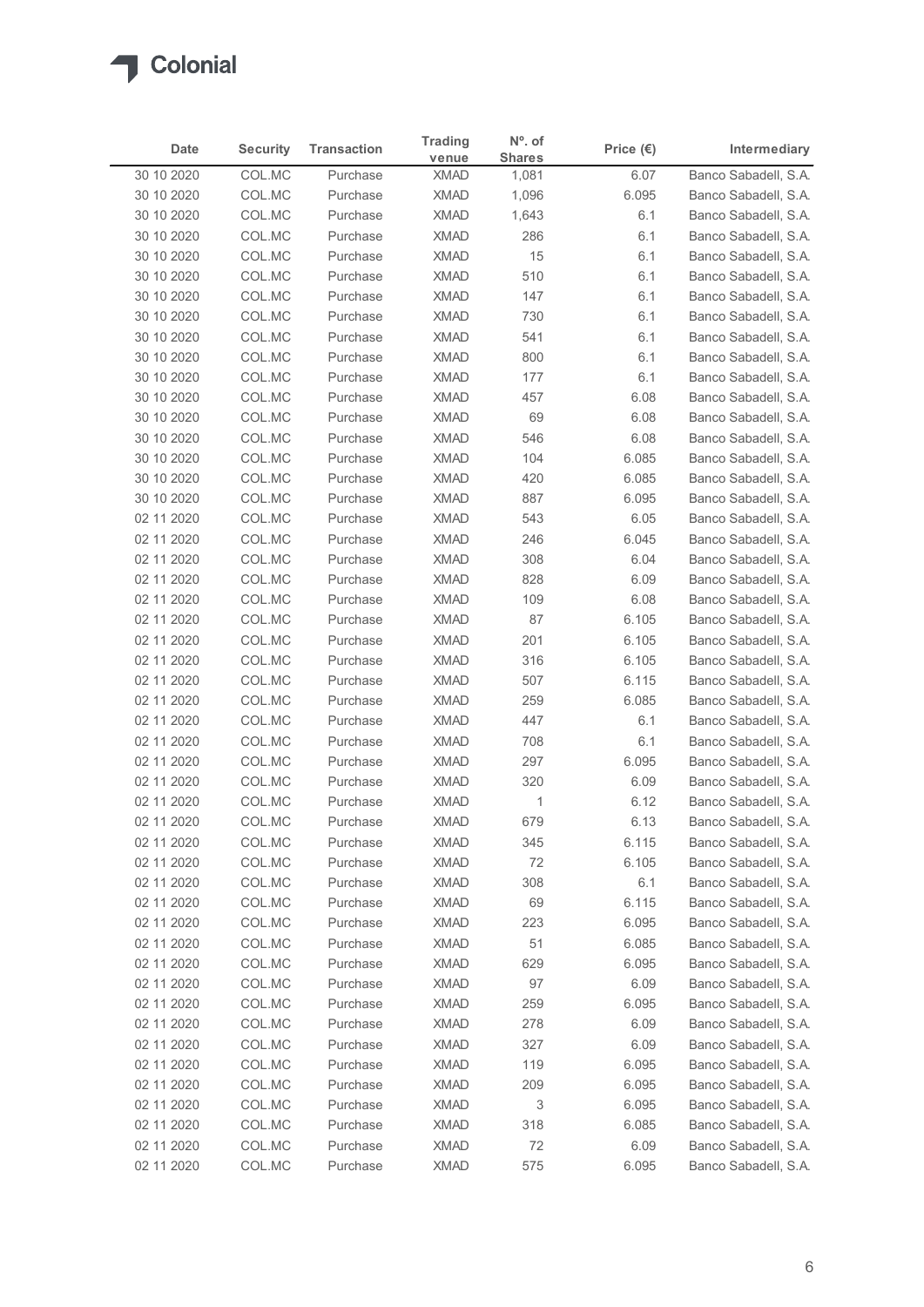

| venue<br>Banco Sabadell, S.A.<br>30 10 2020<br>COL.MC<br><b>XMAD</b><br>6.07<br>Purchase<br>1,081<br>COL.MC<br><b>XMAD</b><br>Banco Sabadell, S.A.<br>30 10 2020<br>Purchase<br>1,096<br>6.095<br>COL.MC<br><b>XMAD</b><br>1,643<br>Banco Sabadell, S.A.<br>30 10 2020<br>Purchase<br>6.1<br><b>XMAD</b><br>286<br>30 10 2020<br>COL.MC<br>Purchase<br>6.1<br>Banco Sabadell, S.A.<br>COL.MC<br><b>XMAD</b><br>15<br>30 10 2020<br>Purchase<br>6.1<br>Banco Sabadell, S.A.<br>COL.MC<br><b>XMAD</b><br>510<br>Banco Sabadell, S.A.<br>30 10 2020<br>Purchase<br>6.1<br>30 10 2020<br>COL.MC<br><b>XMAD</b><br>147<br>Banco Sabadell, S.A.<br>Purchase<br>6.1<br>30 10 2020<br>COL.MC<br>Purchase<br><b>XMAD</b><br>730<br>6.1<br>Banco Sabadell, S.A.<br>COL.MC<br>Banco Sabadell, S.A.<br>30 10 2020<br><b>XMAD</b><br>541<br>6.1<br>Purchase<br>COL.MC<br><b>XMAD</b><br>800<br>30 10 2020<br>Purchase<br>6.1<br>Banco Sabadell, S.A.<br>COL.MC<br><b>XMAD</b><br>177<br>Banco Sabadell, S.A.<br>30 10 2020<br>Purchase<br>6.1<br>COL.MC<br><b>XMAD</b><br>Banco Sabadell, S.A.<br>30 10 2020<br>Purchase<br>457<br>6.08<br><b>XMAD</b><br>69<br>30 10 2020<br>COL.MC<br>Purchase<br>6.08<br>Banco Sabadell, S.A.<br>546<br>30 10 2020<br>COL.MC<br>XMAD<br>6.08<br>Banco Sabadell, S.A.<br>Purchase<br>6.085<br>Banco Sabadell, S.A.<br>30 10 2020<br>COL.MC<br>Purchase<br><b>XMAD</b><br>104<br>6.085<br>30 10 2020<br>COL.MC<br>Purchase<br><b>XMAD</b><br>420<br>Banco Sabadell, S.A.<br>XMAD<br>6.095<br>30 10 2020<br>COL.MC<br>Purchase<br>887<br>Banco Sabadell, S.A.<br>XMAD<br>02 11 2020<br>COL.MC<br>Purchase<br>543<br>6.05<br>Banco Sabadell, S.A.<br><b>XMAD</b><br>Banco Sabadell, S.A.<br>02 11 2020<br>COL.MC<br>Purchase<br>246<br>6.045<br>02 11 2020<br>COL.MC<br>Purchase<br><b>XMAD</b><br>308<br>6.04<br>Banco Sabadell, S.A.<br>02 11 2020<br>COL.MC<br><b>XMAD</b><br>828<br>6.09<br>Banco Sabadell, S.A.<br>Purchase<br>02 11 2020<br>COL.MC<br>XMAD<br>109<br>6.08<br>Purchase<br>Banco Sabadell, S.A.<br>02 11 2020<br>COL.MC<br>Purchase<br><b>XMAD</b><br>87<br>6.105<br>Banco Sabadell, S.A.<br>02 11 2020<br>COL.MC<br>Purchase<br><b>XMAD</b><br>201<br>6.105<br>Banco Sabadell, S.A.<br>COL.MC<br>XMAD<br>316<br>02 11 2020<br>Purchase<br>6.105<br>Banco Sabadell, S.A.<br>COL.MC<br>507<br>6.115<br>02 11 2020<br>Purchase<br><b>XMAD</b><br>Banco Sabadell, S.A.<br>02 11 2020<br>COL.MC<br><b>XMAD</b><br>259<br>6.085<br>Banco Sabadell, S.A.<br>Purchase<br><b>XMAD</b><br>447<br>02 11 2020<br>COL.MC<br>6.1<br>Banco Sabadell, S.A.<br>Purchase<br><b>XMAD</b><br>Banco Sabadell, S.A.<br>02 11 2020<br>COL.MC<br>Purchase<br>708<br>6.1<br><b>XMAD</b><br>02 11 2020<br>COL.MC<br>Purchase<br>297<br>6.095<br>Banco Sabadell, S.A.<br><b>XMAD</b><br>02 11 2020<br>COL.MC<br>Purchase<br>320<br>6.09<br>Banco Sabadell, S.A.<br>02 11 2020<br>COL.MC<br>Purchase<br><b>XMAD</b><br>$\overline{1}$<br>6.12<br>Banco Sabadell, S.A.<br><b>XMAD</b><br>02 11 2020<br>COL.MC<br>Purchase<br>679<br>6.13<br>Banco Sabadell, S.A.<br><b>XMAD</b><br>6.115<br>02 11 2020<br>COL.MC<br>Purchase<br>345<br>Banco Sabadell, S.A.<br>02 11 2020<br>COL.MC<br>Purchase<br><b>XMAD</b><br>72<br>6.105<br>Banco Sabadell, S.A.<br>02 11 2020<br>COL.MC<br>Purchase<br>XMAD<br>308<br>6.1<br>Banco Sabadell, S.A.<br>02 11 2020<br>COL.MC<br>Purchase<br><b>XMAD</b><br>69<br>6.115<br>Banco Sabadell, S.A.<br>223<br>6.095<br>02 11 2020<br>COL.MC<br><b>XMAD</b><br>Banco Sabadell, S.A.<br>Purchase<br><b>XMAD</b><br>6.085<br>02 11 2020<br>COL.MC<br>Purchase<br>51<br>Banco Sabadell, S.A.<br><b>XMAD</b><br>6.095<br>02 11 2020<br>COL.MC<br>Purchase<br>629<br>Banco Sabadell, S.A.<br>COL.MC<br><b>XMAD</b><br>97<br>Banco Sabadell, S.A.<br>02 11 2020<br>Purchase<br>6.09<br>02 11 2020<br>COL.MC<br>Purchase<br><b>XMAD</b><br>259<br>6.095<br>Banco Sabadell, S.A.<br>02 11 2020<br>COL.MC<br>Purchase<br><b>XMAD</b><br>278<br>6.09<br>Banco Sabadell, S.A.<br>327<br>02 11 2020<br>COL.MC<br><b>XMAD</b><br>6.09<br>Banco Sabadell, S.A.<br>Purchase<br><b>XMAD</b><br>119<br>02 11 2020<br>COL.MC<br>Purchase<br>6.095<br>Banco Sabadell, S.A.<br>209<br>02 11 2020<br>COL.MC<br>Purchase<br><b>XMAD</b><br>6.095<br>Banco Sabadell, S.A.<br>02 11 2020<br>COL.MC<br>Purchase<br><b>XMAD</b><br>3<br>6.095<br>Banco Sabadell, S.A.<br><b>XMAD</b><br>318<br>6.085<br>02 11 2020<br>COL.MC<br>Purchase<br>Banco Sabadell, S.A.<br>COL.MC<br>72<br>02 11 2020<br>Purchase<br><b>XMAD</b><br>6.09<br>Banco Sabadell, S.A.<br>02 11 2020<br>COL.MC<br>XMAD<br>575<br>6.095<br>Banco Sabadell, S.A.<br>Purchase | Date | <b>Security</b> | <b>Transaction</b> | <b>Trading</b> | N°. of        | Price $(\epsilon)$ | Intermediary |
|------------------------------------------------------------------------------------------------------------------------------------------------------------------------------------------------------------------------------------------------------------------------------------------------------------------------------------------------------------------------------------------------------------------------------------------------------------------------------------------------------------------------------------------------------------------------------------------------------------------------------------------------------------------------------------------------------------------------------------------------------------------------------------------------------------------------------------------------------------------------------------------------------------------------------------------------------------------------------------------------------------------------------------------------------------------------------------------------------------------------------------------------------------------------------------------------------------------------------------------------------------------------------------------------------------------------------------------------------------------------------------------------------------------------------------------------------------------------------------------------------------------------------------------------------------------------------------------------------------------------------------------------------------------------------------------------------------------------------------------------------------------------------------------------------------------------------------------------------------------------------------------------------------------------------------------------------------------------------------------------------------------------------------------------------------------------------------------------------------------------------------------------------------------------------------------------------------------------------------------------------------------------------------------------------------------------------------------------------------------------------------------------------------------------------------------------------------------------------------------------------------------------------------------------------------------------------------------------------------------------------------------------------------------------------------------------------------------------------------------------------------------------------------------------------------------------------------------------------------------------------------------------------------------------------------------------------------------------------------------------------------------------------------------------------------------------------------------------------------------------------------------------------------------------------------------------------------------------------------------------------------------------------------------------------------------------------------------------------------------------------------------------------------------------------------------------------------------------------------------------------------------------------------------------------------------------------------------------------------------------------------------------------------------------------------------------------------------------------------------------------------------------------------------------------------------------------------------------------------------------------------------------------------------------------------------------------------------------------------------------------------------------------------------------------------------------------------------------------------------------------------------------------------------------------------------------------------------------------------------------------------------------------------------------------------------------------------------------------------------------------------------------------------------------------------------------------------------------------------------------------------------------------------------------------------------------------------------------------------------------------------------------------------|------|-----------------|--------------------|----------------|---------------|--------------------|--------------|
|                                                                                                                                                                                                                                                                                                                                                                                                                                                                                                                                                                                                                                                                                                                                                                                                                                                                                                                                                                                                                                                                                                                                                                                                                                                                                                                                                                                                                                                                                                                                                                                                                                                                                                                                                                                                                                                                                                                                                                                                                                                                                                                                                                                                                                                                                                                                                                                                                                                                                                                                                                                                                                                                                                                                                                                                                                                                                                                                                                                                                                                                                                                                                                                                                                                                                                                                                                                                                                                                                                                                                                                                                                                                                                                                                                                                                                                                                                                                                                                                                                                                                                                                                                                                                                                                                                                                                                                                                                                                                                                                                                                                                                                            |      |                 |                    |                | <b>Shares</b> |                    |              |
|                                                                                                                                                                                                                                                                                                                                                                                                                                                                                                                                                                                                                                                                                                                                                                                                                                                                                                                                                                                                                                                                                                                                                                                                                                                                                                                                                                                                                                                                                                                                                                                                                                                                                                                                                                                                                                                                                                                                                                                                                                                                                                                                                                                                                                                                                                                                                                                                                                                                                                                                                                                                                                                                                                                                                                                                                                                                                                                                                                                                                                                                                                                                                                                                                                                                                                                                                                                                                                                                                                                                                                                                                                                                                                                                                                                                                                                                                                                                                                                                                                                                                                                                                                                                                                                                                                                                                                                                                                                                                                                                                                                                                                                            |      |                 |                    |                |               |                    |              |
|                                                                                                                                                                                                                                                                                                                                                                                                                                                                                                                                                                                                                                                                                                                                                                                                                                                                                                                                                                                                                                                                                                                                                                                                                                                                                                                                                                                                                                                                                                                                                                                                                                                                                                                                                                                                                                                                                                                                                                                                                                                                                                                                                                                                                                                                                                                                                                                                                                                                                                                                                                                                                                                                                                                                                                                                                                                                                                                                                                                                                                                                                                                                                                                                                                                                                                                                                                                                                                                                                                                                                                                                                                                                                                                                                                                                                                                                                                                                                                                                                                                                                                                                                                                                                                                                                                                                                                                                                                                                                                                                                                                                                                                            |      |                 |                    |                |               |                    |              |
|                                                                                                                                                                                                                                                                                                                                                                                                                                                                                                                                                                                                                                                                                                                                                                                                                                                                                                                                                                                                                                                                                                                                                                                                                                                                                                                                                                                                                                                                                                                                                                                                                                                                                                                                                                                                                                                                                                                                                                                                                                                                                                                                                                                                                                                                                                                                                                                                                                                                                                                                                                                                                                                                                                                                                                                                                                                                                                                                                                                                                                                                                                                                                                                                                                                                                                                                                                                                                                                                                                                                                                                                                                                                                                                                                                                                                                                                                                                                                                                                                                                                                                                                                                                                                                                                                                                                                                                                                                                                                                                                                                                                                                                            |      |                 |                    |                |               |                    |              |
|                                                                                                                                                                                                                                                                                                                                                                                                                                                                                                                                                                                                                                                                                                                                                                                                                                                                                                                                                                                                                                                                                                                                                                                                                                                                                                                                                                                                                                                                                                                                                                                                                                                                                                                                                                                                                                                                                                                                                                                                                                                                                                                                                                                                                                                                                                                                                                                                                                                                                                                                                                                                                                                                                                                                                                                                                                                                                                                                                                                                                                                                                                                                                                                                                                                                                                                                                                                                                                                                                                                                                                                                                                                                                                                                                                                                                                                                                                                                                                                                                                                                                                                                                                                                                                                                                                                                                                                                                                                                                                                                                                                                                                                            |      |                 |                    |                |               |                    |              |
|                                                                                                                                                                                                                                                                                                                                                                                                                                                                                                                                                                                                                                                                                                                                                                                                                                                                                                                                                                                                                                                                                                                                                                                                                                                                                                                                                                                                                                                                                                                                                                                                                                                                                                                                                                                                                                                                                                                                                                                                                                                                                                                                                                                                                                                                                                                                                                                                                                                                                                                                                                                                                                                                                                                                                                                                                                                                                                                                                                                                                                                                                                                                                                                                                                                                                                                                                                                                                                                                                                                                                                                                                                                                                                                                                                                                                                                                                                                                                                                                                                                                                                                                                                                                                                                                                                                                                                                                                                                                                                                                                                                                                                                            |      |                 |                    |                |               |                    |              |
|                                                                                                                                                                                                                                                                                                                                                                                                                                                                                                                                                                                                                                                                                                                                                                                                                                                                                                                                                                                                                                                                                                                                                                                                                                                                                                                                                                                                                                                                                                                                                                                                                                                                                                                                                                                                                                                                                                                                                                                                                                                                                                                                                                                                                                                                                                                                                                                                                                                                                                                                                                                                                                                                                                                                                                                                                                                                                                                                                                                                                                                                                                                                                                                                                                                                                                                                                                                                                                                                                                                                                                                                                                                                                                                                                                                                                                                                                                                                                                                                                                                                                                                                                                                                                                                                                                                                                                                                                                                                                                                                                                                                                                                            |      |                 |                    |                |               |                    |              |
|                                                                                                                                                                                                                                                                                                                                                                                                                                                                                                                                                                                                                                                                                                                                                                                                                                                                                                                                                                                                                                                                                                                                                                                                                                                                                                                                                                                                                                                                                                                                                                                                                                                                                                                                                                                                                                                                                                                                                                                                                                                                                                                                                                                                                                                                                                                                                                                                                                                                                                                                                                                                                                                                                                                                                                                                                                                                                                                                                                                                                                                                                                                                                                                                                                                                                                                                                                                                                                                                                                                                                                                                                                                                                                                                                                                                                                                                                                                                                                                                                                                                                                                                                                                                                                                                                                                                                                                                                                                                                                                                                                                                                                                            |      |                 |                    |                |               |                    |              |
|                                                                                                                                                                                                                                                                                                                                                                                                                                                                                                                                                                                                                                                                                                                                                                                                                                                                                                                                                                                                                                                                                                                                                                                                                                                                                                                                                                                                                                                                                                                                                                                                                                                                                                                                                                                                                                                                                                                                                                                                                                                                                                                                                                                                                                                                                                                                                                                                                                                                                                                                                                                                                                                                                                                                                                                                                                                                                                                                                                                                                                                                                                                                                                                                                                                                                                                                                                                                                                                                                                                                                                                                                                                                                                                                                                                                                                                                                                                                                                                                                                                                                                                                                                                                                                                                                                                                                                                                                                                                                                                                                                                                                                                            |      |                 |                    |                |               |                    |              |
|                                                                                                                                                                                                                                                                                                                                                                                                                                                                                                                                                                                                                                                                                                                                                                                                                                                                                                                                                                                                                                                                                                                                                                                                                                                                                                                                                                                                                                                                                                                                                                                                                                                                                                                                                                                                                                                                                                                                                                                                                                                                                                                                                                                                                                                                                                                                                                                                                                                                                                                                                                                                                                                                                                                                                                                                                                                                                                                                                                                                                                                                                                                                                                                                                                                                                                                                                                                                                                                                                                                                                                                                                                                                                                                                                                                                                                                                                                                                                                                                                                                                                                                                                                                                                                                                                                                                                                                                                                                                                                                                                                                                                                                            |      |                 |                    |                |               |                    |              |
|                                                                                                                                                                                                                                                                                                                                                                                                                                                                                                                                                                                                                                                                                                                                                                                                                                                                                                                                                                                                                                                                                                                                                                                                                                                                                                                                                                                                                                                                                                                                                                                                                                                                                                                                                                                                                                                                                                                                                                                                                                                                                                                                                                                                                                                                                                                                                                                                                                                                                                                                                                                                                                                                                                                                                                                                                                                                                                                                                                                                                                                                                                                                                                                                                                                                                                                                                                                                                                                                                                                                                                                                                                                                                                                                                                                                                                                                                                                                                                                                                                                                                                                                                                                                                                                                                                                                                                                                                                                                                                                                                                                                                                                            |      |                 |                    |                |               |                    |              |
|                                                                                                                                                                                                                                                                                                                                                                                                                                                                                                                                                                                                                                                                                                                                                                                                                                                                                                                                                                                                                                                                                                                                                                                                                                                                                                                                                                                                                                                                                                                                                                                                                                                                                                                                                                                                                                                                                                                                                                                                                                                                                                                                                                                                                                                                                                                                                                                                                                                                                                                                                                                                                                                                                                                                                                                                                                                                                                                                                                                                                                                                                                                                                                                                                                                                                                                                                                                                                                                                                                                                                                                                                                                                                                                                                                                                                                                                                                                                                                                                                                                                                                                                                                                                                                                                                                                                                                                                                                                                                                                                                                                                                                                            |      |                 |                    |                |               |                    |              |
|                                                                                                                                                                                                                                                                                                                                                                                                                                                                                                                                                                                                                                                                                                                                                                                                                                                                                                                                                                                                                                                                                                                                                                                                                                                                                                                                                                                                                                                                                                                                                                                                                                                                                                                                                                                                                                                                                                                                                                                                                                                                                                                                                                                                                                                                                                                                                                                                                                                                                                                                                                                                                                                                                                                                                                                                                                                                                                                                                                                                                                                                                                                                                                                                                                                                                                                                                                                                                                                                                                                                                                                                                                                                                                                                                                                                                                                                                                                                                                                                                                                                                                                                                                                                                                                                                                                                                                                                                                                                                                                                                                                                                                                            |      |                 |                    |                |               |                    |              |
|                                                                                                                                                                                                                                                                                                                                                                                                                                                                                                                                                                                                                                                                                                                                                                                                                                                                                                                                                                                                                                                                                                                                                                                                                                                                                                                                                                                                                                                                                                                                                                                                                                                                                                                                                                                                                                                                                                                                                                                                                                                                                                                                                                                                                                                                                                                                                                                                                                                                                                                                                                                                                                                                                                                                                                                                                                                                                                                                                                                                                                                                                                                                                                                                                                                                                                                                                                                                                                                                                                                                                                                                                                                                                                                                                                                                                                                                                                                                                                                                                                                                                                                                                                                                                                                                                                                                                                                                                                                                                                                                                                                                                                                            |      |                 |                    |                |               |                    |              |
|                                                                                                                                                                                                                                                                                                                                                                                                                                                                                                                                                                                                                                                                                                                                                                                                                                                                                                                                                                                                                                                                                                                                                                                                                                                                                                                                                                                                                                                                                                                                                                                                                                                                                                                                                                                                                                                                                                                                                                                                                                                                                                                                                                                                                                                                                                                                                                                                                                                                                                                                                                                                                                                                                                                                                                                                                                                                                                                                                                                                                                                                                                                                                                                                                                                                                                                                                                                                                                                                                                                                                                                                                                                                                                                                                                                                                                                                                                                                                                                                                                                                                                                                                                                                                                                                                                                                                                                                                                                                                                                                                                                                                                                            |      |                 |                    |                |               |                    |              |
|                                                                                                                                                                                                                                                                                                                                                                                                                                                                                                                                                                                                                                                                                                                                                                                                                                                                                                                                                                                                                                                                                                                                                                                                                                                                                                                                                                                                                                                                                                                                                                                                                                                                                                                                                                                                                                                                                                                                                                                                                                                                                                                                                                                                                                                                                                                                                                                                                                                                                                                                                                                                                                                                                                                                                                                                                                                                                                                                                                                                                                                                                                                                                                                                                                                                                                                                                                                                                                                                                                                                                                                                                                                                                                                                                                                                                                                                                                                                                                                                                                                                                                                                                                                                                                                                                                                                                                                                                                                                                                                                                                                                                                                            |      |                 |                    |                |               |                    |              |
|                                                                                                                                                                                                                                                                                                                                                                                                                                                                                                                                                                                                                                                                                                                                                                                                                                                                                                                                                                                                                                                                                                                                                                                                                                                                                                                                                                                                                                                                                                                                                                                                                                                                                                                                                                                                                                                                                                                                                                                                                                                                                                                                                                                                                                                                                                                                                                                                                                                                                                                                                                                                                                                                                                                                                                                                                                                                                                                                                                                                                                                                                                                                                                                                                                                                                                                                                                                                                                                                                                                                                                                                                                                                                                                                                                                                                                                                                                                                                                                                                                                                                                                                                                                                                                                                                                                                                                                                                                                                                                                                                                                                                                                            |      |                 |                    |                |               |                    |              |
|                                                                                                                                                                                                                                                                                                                                                                                                                                                                                                                                                                                                                                                                                                                                                                                                                                                                                                                                                                                                                                                                                                                                                                                                                                                                                                                                                                                                                                                                                                                                                                                                                                                                                                                                                                                                                                                                                                                                                                                                                                                                                                                                                                                                                                                                                                                                                                                                                                                                                                                                                                                                                                                                                                                                                                                                                                                                                                                                                                                                                                                                                                                                                                                                                                                                                                                                                                                                                                                                                                                                                                                                                                                                                                                                                                                                                                                                                                                                                                                                                                                                                                                                                                                                                                                                                                                                                                                                                                                                                                                                                                                                                                                            |      |                 |                    |                |               |                    |              |
|                                                                                                                                                                                                                                                                                                                                                                                                                                                                                                                                                                                                                                                                                                                                                                                                                                                                                                                                                                                                                                                                                                                                                                                                                                                                                                                                                                                                                                                                                                                                                                                                                                                                                                                                                                                                                                                                                                                                                                                                                                                                                                                                                                                                                                                                                                                                                                                                                                                                                                                                                                                                                                                                                                                                                                                                                                                                                                                                                                                                                                                                                                                                                                                                                                                                                                                                                                                                                                                                                                                                                                                                                                                                                                                                                                                                                                                                                                                                                                                                                                                                                                                                                                                                                                                                                                                                                                                                                                                                                                                                                                                                                                                            |      |                 |                    |                |               |                    |              |
|                                                                                                                                                                                                                                                                                                                                                                                                                                                                                                                                                                                                                                                                                                                                                                                                                                                                                                                                                                                                                                                                                                                                                                                                                                                                                                                                                                                                                                                                                                                                                                                                                                                                                                                                                                                                                                                                                                                                                                                                                                                                                                                                                                                                                                                                                                                                                                                                                                                                                                                                                                                                                                                                                                                                                                                                                                                                                                                                                                                                                                                                                                                                                                                                                                                                                                                                                                                                                                                                                                                                                                                                                                                                                                                                                                                                                                                                                                                                                                                                                                                                                                                                                                                                                                                                                                                                                                                                                                                                                                                                                                                                                                                            |      |                 |                    |                |               |                    |              |
|                                                                                                                                                                                                                                                                                                                                                                                                                                                                                                                                                                                                                                                                                                                                                                                                                                                                                                                                                                                                                                                                                                                                                                                                                                                                                                                                                                                                                                                                                                                                                                                                                                                                                                                                                                                                                                                                                                                                                                                                                                                                                                                                                                                                                                                                                                                                                                                                                                                                                                                                                                                                                                                                                                                                                                                                                                                                                                                                                                                                                                                                                                                                                                                                                                                                                                                                                                                                                                                                                                                                                                                                                                                                                                                                                                                                                                                                                                                                                                                                                                                                                                                                                                                                                                                                                                                                                                                                                                                                                                                                                                                                                                                            |      |                 |                    |                |               |                    |              |
|                                                                                                                                                                                                                                                                                                                                                                                                                                                                                                                                                                                                                                                                                                                                                                                                                                                                                                                                                                                                                                                                                                                                                                                                                                                                                                                                                                                                                                                                                                                                                                                                                                                                                                                                                                                                                                                                                                                                                                                                                                                                                                                                                                                                                                                                                                                                                                                                                                                                                                                                                                                                                                                                                                                                                                                                                                                                                                                                                                                                                                                                                                                                                                                                                                                                                                                                                                                                                                                                                                                                                                                                                                                                                                                                                                                                                                                                                                                                                                                                                                                                                                                                                                                                                                                                                                                                                                                                                                                                                                                                                                                                                                                            |      |                 |                    |                |               |                    |              |
|                                                                                                                                                                                                                                                                                                                                                                                                                                                                                                                                                                                                                                                                                                                                                                                                                                                                                                                                                                                                                                                                                                                                                                                                                                                                                                                                                                                                                                                                                                                                                                                                                                                                                                                                                                                                                                                                                                                                                                                                                                                                                                                                                                                                                                                                                                                                                                                                                                                                                                                                                                                                                                                                                                                                                                                                                                                                                                                                                                                                                                                                                                                                                                                                                                                                                                                                                                                                                                                                                                                                                                                                                                                                                                                                                                                                                                                                                                                                                                                                                                                                                                                                                                                                                                                                                                                                                                                                                                                                                                                                                                                                                                                            |      |                 |                    |                |               |                    |              |
|                                                                                                                                                                                                                                                                                                                                                                                                                                                                                                                                                                                                                                                                                                                                                                                                                                                                                                                                                                                                                                                                                                                                                                                                                                                                                                                                                                                                                                                                                                                                                                                                                                                                                                                                                                                                                                                                                                                                                                                                                                                                                                                                                                                                                                                                                                                                                                                                                                                                                                                                                                                                                                                                                                                                                                                                                                                                                                                                                                                                                                                                                                                                                                                                                                                                                                                                                                                                                                                                                                                                                                                                                                                                                                                                                                                                                                                                                                                                                                                                                                                                                                                                                                                                                                                                                                                                                                                                                                                                                                                                                                                                                                                            |      |                 |                    |                |               |                    |              |
|                                                                                                                                                                                                                                                                                                                                                                                                                                                                                                                                                                                                                                                                                                                                                                                                                                                                                                                                                                                                                                                                                                                                                                                                                                                                                                                                                                                                                                                                                                                                                                                                                                                                                                                                                                                                                                                                                                                                                                                                                                                                                                                                                                                                                                                                                                                                                                                                                                                                                                                                                                                                                                                                                                                                                                                                                                                                                                                                                                                                                                                                                                                                                                                                                                                                                                                                                                                                                                                                                                                                                                                                                                                                                                                                                                                                                                                                                                                                                                                                                                                                                                                                                                                                                                                                                                                                                                                                                                                                                                                                                                                                                                                            |      |                 |                    |                |               |                    |              |
|                                                                                                                                                                                                                                                                                                                                                                                                                                                                                                                                                                                                                                                                                                                                                                                                                                                                                                                                                                                                                                                                                                                                                                                                                                                                                                                                                                                                                                                                                                                                                                                                                                                                                                                                                                                                                                                                                                                                                                                                                                                                                                                                                                                                                                                                                                                                                                                                                                                                                                                                                                                                                                                                                                                                                                                                                                                                                                                                                                                                                                                                                                                                                                                                                                                                                                                                                                                                                                                                                                                                                                                                                                                                                                                                                                                                                                                                                                                                                                                                                                                                                                                                                                                                                                                                                                                                                                                                                                                                                                                                                                                                                                                            |      |                 |                    |                |               |                    |              |
|                                                                                                                                                                                                                                                                                                                                                                                                                                                                                                                                                                                                                                                                                                                                                                                                                                                                                                                                                                                                                                                                                                                                                                                                                                                                                                                                                                                                                                                                                                                                                                                                                                                                                                                                                                                                                                                                                                                                                                                                                                                                                                                                                                                                                                                                                                                                                                                                                                                                                                                                                                                                                                                                                                                                                                                                                                                                                                                                                                                                                                                                                                                                                                                                                                                                                                                                                                                                                                                                                                                                                                                                                                                                                                                                                                                                                                                                                                                                                                                                                                                                                                                                                                                                                                                                                                                                                                                                                                                                                                                                                                                                                                                            |      |                 |                    |                |               |                    |              |
|                                                                                                                                                                                                                                                                                                                                                                                                                                                                                                                                                                                                                                                                                                                                                                                                                                                                                                                                                                                                                                                                                                                                                                                                                                                                                                                                                                                                                                                                                                                                                                                                                                                                                                                                                                                                                                                                                                                                                                                                                                                                                                                                                                                                                                                                                                                                                                                                                                                                                                                                                                                                                                                                                                                                                                                                                                                                                                                                                                                                                                                                                                                                                                                                                                                                                                                                                                                                                                                                                                                                                                                                                                                                                                                                                                                                                                                                                                                                                                                                                                                                                                                                                                                                                                                                                                                                                                                                                                                                                                                                                                                                                                                            |      |                 |                    |                |               |                    |              |
|                                                                                                                                                                                                                                                                                                                                                                                                                                                                                                                                                                                                                                                                                                                                                                                                                                                                                                                                                                                                                                                                                                                                                                                                                                                                                                                                                                                                                                                                                                                                                                                                                                                                                                                                                                                                                                                                                                                                                                                                                                                                                                                                                                                                                                                                                                                                                                                                                                                                                                                                                                                                                                                                                                                                                                                                                                                                                                                                                                                                                                                                                                                                                                                                                                                                                                                                                                                                                                                                                                                                                                                                                                                                                                                                                                                                                                                                                                                                                                                                                                                                                                                                                                                                                                                                                                                                                                                                                                                                                                                                                                                                                                                            |      |                 |                    |                |               |                    |              |
|                                                                                                                                                                                                                                                                                                                                                                                                                                                                                                                                                                                                                                                                                                                                                                                                                                                                                                                                                                                                                                                                                                                                                                                                                                                                                                                                                                                                                                                                                                                                                                                                                                                                                                                                                                                                                                                                                                                                                                                                                                                                                                                                                                                                                                                                                                                                                                                                                                                                                                                                                                                                                                                                                                                                                                                                                                                                                                                                                                                                                                                                                                                                                                                                                                                                                                                                                                                                                                                                                                                                                                                                                                                                                                                                                                                                                                                                                                                                                                                                                                                                                                                                                                                                                                                                                                                                                                                                                                                                                                                                                                                                                                                            |      |                 |                    |                |               |                    |              |
|                                                                                                                                                                                                                                                                                                                                                                                                                                                                                                                                                                                                                                                                                                                                                                                                                                                                                                                                                                                                                                                                                                                                                                                                                                                                                                                                                                                                                                                                                                                                                                                                                                                                                                                                                                                                                                                                                                                                                                                                                                                                                                                                                                                                                                                                                                                                                                                                                                                                                                                                                                                                                                                                                                                                                                                                                                                                                                                                                                                                                                                                                                                                                                                                                                                                                                                                                                                                                                                                                                                                                                                                                                                                                                                                                                                                                                                                                                                                                                                                                                                                                                                                                                                                                                                                                                                                                                                                                                                                                                                                                                                                                                                            |      |                 |                    |                |               |                    |              |
|                                                                                                                                                                                                                                                                                                                                                                                                                                                                                                                                                                                                                                                                                                                                                                                                                                                                                                                                                                                                                                                                                                                                                                                                                                                                                                                                                                                                                                                                                                                                                                                                                                                                                                                                                                                                                                                                                                                                                                                                                                                                                                                                                                                                                                                                                                                                                                                                                                                                                                                                                                                                                                                                                                                                                                                                                                                                                                                                                                                                                                                                                                                                                                                                                                                                                                                                                                                                                                                                                                                                                                                                                                                                                                                                                                                                                                                                                                                                                                                                                                                                                                                                                                                                                                                                                                                                                                                                                                                                                                                                                                                                                                                            |      |                 |                    |                |               |                    |              |
|                                                                                                                                                                                                                                                                                                                                                                                                                                                                                                                                                                                                                                                                                                                                                                                                                                                                                                                                                                                                                                                                                                                                                                                                                                                                                                                                                                                                                                                                                                                                                                                                                                                                                                                                                                                                                                                                                                                                                                                                                                                                                                                                                                                                                                                                                                                                                                                                                                                                                                                                                                                                                                                                                                                                                                                                                                                                                                                                                                                                                                                                                                                                                                                                                                                                                                                                                                                                                                                                                                                                                                                                                                                                                                                                                                                                                                                                                                                                                                                                                                                                                                                                                                                                                                                                                                                                                                                                                                                                                                                                                                                                                                                            |      |                 |                    |                |               |                    |              |
|                                                                                                                                                                                                                                                                                                                                                                                                                                                                                                                                                                                                                                                                                                                                                                                                                                                                                                                                                                                                                                                                                                                                                                                                                                                                                                                                                                                                                                                                                                                                                                                                                                                                                                                                                                                                                                                                                                                                                                                                                                                                                                                                                                                                                                                                                                                                                                                                                                                                                                                                                                                                                                                                                                                                                                                                                                                                                                                                                                                                                                                                                                                                                                                                                                                                                                                                                                                                                                                                                                                                                                                                                                                                                                                                                                                                                                                                                                                                                                                                                                                                                                                                                                                                                                                                                                                                                                                                                                                                                                                                                                                                                                                            |      |                 |                    |                |               |                    |              |
|                                                                                                                                                                                                                                                                                                                                                                                                                                                                                                                                                                                                                                                                                                                                                                                                                                                                                                                                                                                                                                                                                                                                                                                                                                                                                                                                                                                                                                                                                                                                                                                                                                                                                                                                                                                                                                                                                                                                                                                                                                                                                                                                                                                                                                                                                                                                                                                                                                                                                                                                                                                                                                                                                                                                                                                                                                                                                                                                                                                                                                                                                                                                                                                                                                                                                                                                                                                                                                                                                                                                                                                                                                                                                                                                                                                                                                                                                                                                                                                                                                                                                                                                                                                                                                                                                                                                                                                                                                                                                                                                                                                                                                                            |      |                 |                    |                |               |                    |              |
|                                                                                                                                                                                                                                                                                                                                                                                                                                                                                                                                                                                                                                                                                                                                                                                                                                                                                                                                                                                                                                                                                                                                                                                                                                                                                                                                                                                                                                                                                                                                                                                                                                                                                                                                                                                                                                                                                                                                                                                                                                                                                                                                                                                                                                                                                                                                                                                                                                                                                                                                                                                                                                                                                                                                                                                                                                                                                                                                                                                                                                                                                                                                                                                                                                                                                                                                                                                                                                                                                                                                                                                                                                                                                                                                                                                                                                                                                                                                                                                                                                                                                                                                                                                                                                                                                                                                                                                                                                                                                                                                                                                                                                                            |      |                 |                    |                |               |                    |              |
|                                                                                                                                                                                                                                                                                                                                                                                                                                                                                                                                                                                                                                                                                                                                                                                                                                                                                                                                                                                                                                                                                                                                                                                                                                                                                                                                                                                                                                                                                                                                                                                                                                                                                                                                                                                                                                                                                                                                                                                                                                                                                                                                                                                                                                                                                                                                                                                                                                                                                                                                                                                                                                                                                                                                                                                                                                                                                                                                                                                                                                                                                                                                                                                                                                                                                                                                                                                                                                                                                                                                                                                                                                                                                                                                                                                                                                                                                                                                                                                                                                                                                                                                                                                                                                                                                                                                                                                                                                                                                                                                                                                                                                                            |      |                 |                    |                |               |                    |              |
|                                                                                                                                                                                                                                                                                                                                                                                                                                                                                                                                                                                                                                                                                                                                                                                                                                                                                                                                                                                                                                                                                                                                                                                                                                                                                                                                                                                                                                                                                                                                                                                                                                                                                                                                                                                                                                                                                                                                                                                                                                                                                                                                                                                                                                                                                                                                                                                                                                                                                                                                                                                                                                                                                                                                                                                                                                                                                                                                                                                                                                                                                                                                                                                                                                                                                                                                                                                                                                                                                                                                                                                                                                                                                                                                                                                                                                                                                                                                                                                                                                                                                                                                                                                                                                                                                                                                                                                                                                                                                                                                                                                                                                                            |      |                 |                    |                |               |                    |              |
|                                                                                                                                                                                                                                                                                                                                                                                                                                                                                                                                                                                                                                                                                                                                                                                                                                                                                                                                                                                                                                                                                                                                                                                                                                                                                                                                                                                                                                                                                                                                                                                                                                                                                                                                                                                                                                                                                                                                                                                                                                                                                                                                                                                                                                                                                                                                                                                                                                                                                                                                                                                                                                                                                                                                                                                                                                                                                                                                                                                                                                                                                                                                                                                                                                                                                                                                                                                                                                                                                                                                                                                                                                                                                                                                                                                                                                                                                                                                                                                                                                                                                                                                                                                                                                                                                                                                                                                                                                                                                                                                                                                                                                                            |      |                 |                    |                |               |                    |              |
|                                                                                                                                                                                                                                                                                                                                                                                                                                                                                                                                                                                                                                                                                                                                                                                                                                                                                                                                                                                                                                                                                                                                                                                                                                                                                                                                                                                                                                                                                                                                                                                                                                                                                                                                                                                                                                                                                                                                                                                                                                                                                                                                                                                                                                                                                                                                                                                                                                                                                                                                                                                                                                                                                                                                                                                                                                                                                                                                                                                                                                                                                                                                                                                                                                                                                                                                                                                                                                                                                                                                                                                                                                                                                                                                                                                                                                                                                                                                                                                                                                                                                                                                                                                                                                                                                                                                                                                                                                                                                                                                                                                                                                                            |      |                 |                    |                |               |                    |              |
|                                                                                                                                                                                                                                                                                                                                                                                                                                                                                                                                                                                                                                                                                                                                                                                                                                                                                                                                                                                                                                                                                                                                                                                                                                                                                                                                                                                                                                                                                                                                                                                                                                                                                                                                                                                                                                                                                                                                                                                                                                                                                                                                                                                                                                                                                                                                                                                                                                                                                                                                                                                                                                                                                                                                                                                                                                                                                                                                                                                                                                                                                                                                                                                                                                                                                                                                                                                                                                                                                                                                                                                                                                                                                                                                                                                                                                                                                                                                                                                                                                                                                                                                                                                                                                                                                                                                                                                                                                                                                                                                                                                                                                                            |      |                 |                    |                |               |                    |              |
|                                                                                                                                                                                                                                                                                                                                                                                                                                                                                                                                                                                                                                                                                                                                                                                                                                                                                                                                                                                                                                                                                                                                                                                                                                                                                                                                                                                                                                                                                                                                                                                                                                                                                                                                                                                                                                                                                                                                                                                                                                                                                                                                                                                                                                                                                                                                                                                                                                                                                                                                                                                                                                                                                                                                                                                                                                                                                                                                                                                                                                                                                                                                                                                                                                                                                                                                                                                                                                                                                                                                                                                                                                                                                                                                                                                                                                                                                                                                                                                                                                                                                                                                                                                                                                                                                                                                                                                                                                                                                                                                                                                                                                                            |      |                 |                    |                |               |                    |              |
|                                                                                                                                                                                                                                                                                                                                                                                                                                                                                                                                                                                                                                                                                                                                                                                                                                                                                                                                                                                                                                                                                                                                                                                                                                                                                                                                                                                                                                                                                                                                                                                                                                                                                                                                                                                                                                                                                                                                                                                                                                                                                                                                                                                                                                                                                                                                                                                                                                                                                                                                                                                                                                                                                                                                                                                                                                                                                                                                                                                                                                                                                                                                                                                                                                                                                                                                                                                                                                                                                                                                                                                                                                                                                                                                                                                                                                                                                                                                                                                                                                                                                                                                                                                                                                                                                                                                                                                                                                                                                                                                                                                                                                                            |      |                 |                    |                |               |                    |              |
|                                                                                                                                                                                                                                                                                                                                                                                                                                                                                                                                                                                                                                                                                                                                                                                                                                                                                                                                                                                                                                                                                                                                                                                                                                                                                                                                                                                                                                                                                                                                                                                                                                                                                                                                                                                                                                                                                                                                                                                                                                                                                                                                                                                                                                                                                                                                                                                                                                                                                                                                                                                                                                                                                                                                                                                                                                                                                                                                                                                                                                                                                                                                                                                                                                                                                                                                                                                                                                                                                                                                                                                                                                                                                                                                                                                                                                                                                                                                                                                                                                                                                                                                                                                                                                                                                                                                                                                                                                                                                                                                                                                                                                                            |      |                 |                    |                |               |                    |              |
|                                                                                                                                                                                                                                                                                                                                                                                                                                                                                                                                                                                                                                                                                                                                                                                                                                                                                                                                                                                                                                                                                                                                                                                                                                                                                                                                                                                                                                                                                                                                                                                                                                                                                                                                                                                                                                                                                                                                                                                                                                                                                                                                                                                                                                                                                                                                                                                                                                                                                                                                                                                                                                                                                                                                                                                                                                                                                                                                                                                                                                                                                                                                                                                                                                                                                                                                                                                                                                                                                                                                                                                                                                                                                                                                                                                                                                                                                                                                                                                                                                                                                                                                                                                                                                                                                                                                                                                                                                                                                                                                                                                                                                                            |      |                 |                    |                |               |                    |              |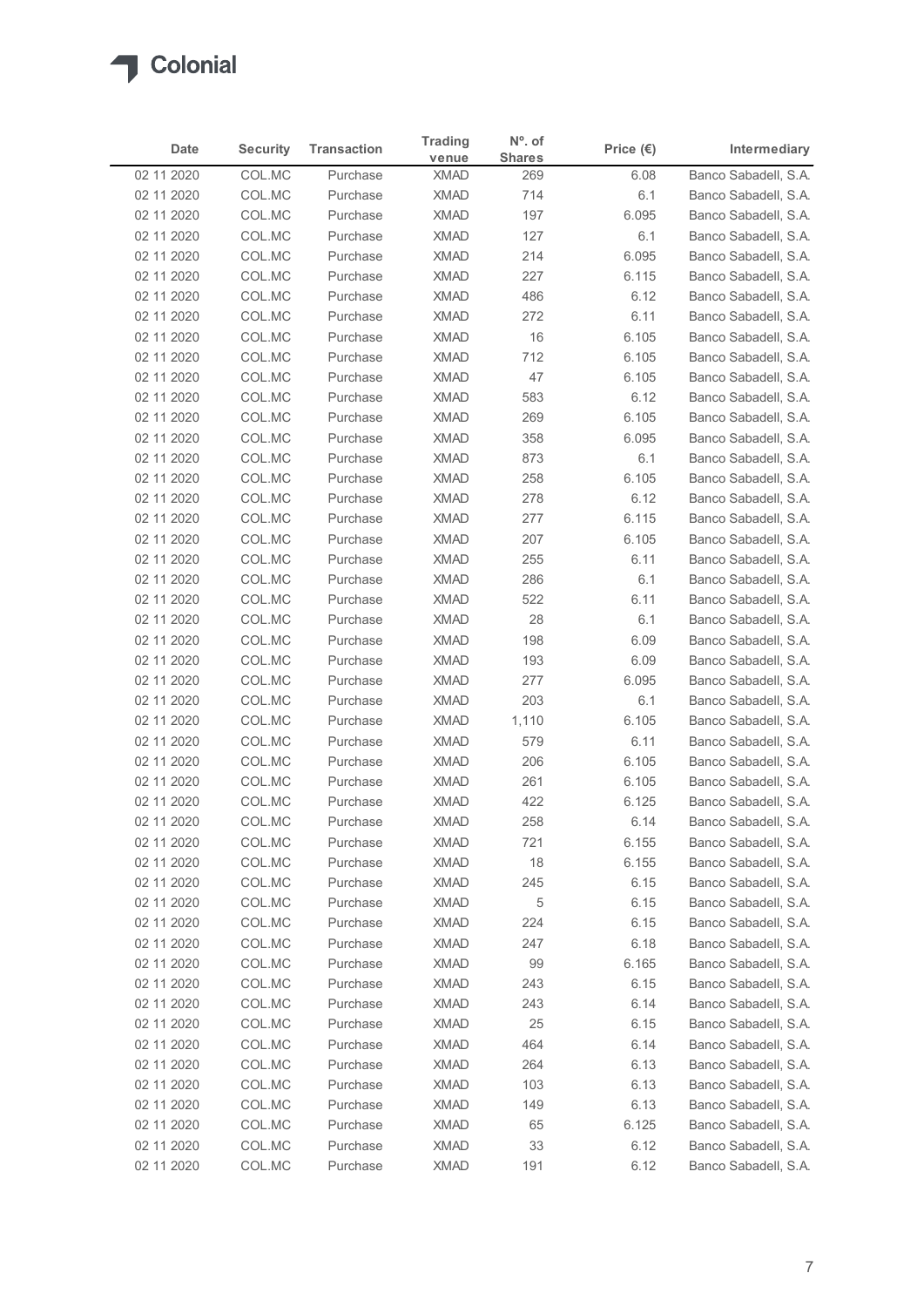| Date<br>02 11 2020<br>02 11 2020<br>02 11 2020<br>02 11 2020<br>02 11 2020<br>02 11 2020<br>02 11 2020<br>02 11 2020<br>02 11 2020<br>02 11 2020<br>02 11 2020<br>02 11 2020<br>02 11 2020<br>02 11 2020<br>02 11 2020<br>02 11 2020<br>02 11 2020<br>02 11 2020<br>02 11 2020<br>02 11 2020<br>02 11 2020<br>02 11 2020<br>02 11 2020<br>02 11 2020 | <b>Security</b><br>COL.MC<br>COL.MC<br>COL.MC<br>COL.MC<br>COL.MC<br>COL.MC<br>COL.MC<br>COL.MC<br>COL.MC<br>COL.MC<br>COL.MC<br>COL.MC<br>COL.MC<br>COL.MC<br>COL.MC<br>COL.MC<br>COL.MC<br>COL.MC | <b>Transaction</b><br>Purchase<br>Purchase<br>Purchase<br>Purchase<br>Purchase<br>Purchase<br>Purchase<br>Purchase<br>Purchase<br>Purchase<br>Purchase<br>Purchase<br>Purchase<br>Purchase<br>Purchase<br>Purchase | venue<br><b>XMAD</b><br><b>XMAD</b><br><b>XMAD</b><br><b>XMAD</b><br><b>XMAD</b><br><b>XMAD</b><br><b>XMAD</b><br><b>XMAD</b><br><b>XMAD</b><br><b>XMAD</b><br><b>XMAD</b><br><b>XMAD</b><br><b>XMAD</b><br>XMAD<br>XMAD | <b>Shares</b><br>269<br>714<br>197<br>127<br>214<br>227<br>486<br>272<br>16<br>712<br>47<br>583 | Price $(\epsilon)$<br>6.08<br>6.1<br>6.095<br>6.1<br>6.095<br>6.115<br>6.12<br>6.11<br>6.105<br>6.105 | Intermediary<br>Banco Sabadell, S.A.<br>Banco Sabadell, S.A.<br>Banco Sabadell, S.A.<br>Banco Sabadell, S.A.<br>Banco Sabadell, S.A.<br>Banco Sabadell, S.A.<br>Banco Sabadell, S.A.<br>Banco Sabadell, S.A.<br>Banco Sabadell, S.A. |
|------------------------------------------------------------------------------------------------------------------------------------------------------------------------------------------------------------------------------------------------------------------------------------------------------------------------------------------------------|-----------------------------------------------------------------------------------------------------------------------------------------------------------------------------------------------------|--------------------------------------------------------------------------------------------------------------------------------------------------------------------------------------------------------------------|--------------------------------------------------------------------------------------------------------------------------------------------------------------------------------------------------------------------------|-------------------------------------------------------------------------------------------------|-------------------------------------------------------------------------------------------------------|--------------------------------------------------------------------------------------------------------------------------------------------------------------------------------------------------------------------------------------|
|                                                                                                                                                                                                                                                                                                                                                      |                                                                                                                                                                                                     |                                                                                                                                                                                                                    |                                                                                                                                                                                                                          |                                                                                                 |                                                                                                       |                                                                                                                                                                                                                                      |
|                                                                                                                                                                                                                                                                                                                                                      |                                                                                                                                                                                                     |                                                                                                                                                                                                                    |                                                                                                                                                                                                                          |                                                                                                 |                                                                                                       |                                                                                                                                                                                                                                      |
|                                                                                                                                                                                                                                                                                                                                                      |                                                                                                                                                                                                     |                                                                                                                                                                                                                    |                                                                                                                                                                                                                          |                                                                                                 |                                                                                                       |                                                                                                                                                                                                                                      |
|                                                                                                                                                                                                                                                                                                                                                      |                                                                                                                                                                                                     |                                                                                                                                                                                                                    |                                                                                                                                                                                                                          |                                                                                                 |                                                                                                       |                                                                                                                                                                                                                                      |
|                                                                                                                                                                                                                                                                                                                                                      |                                                                                                                                                                                                     |                                                                                                                                                                                                                    |                                                                                                                                                                                                                          |                                                                                                 |                                                                                                       |                                                                                                                                                                                                                                      |
|                                                                                                                                                                                                                                                                                                                                                      |                                                                                                                                                                                                     |                                                                                                                                                                                                                    |                                                                                                                                                                                                                          |                                                                                                 |                                                                                                       |                                                                                                                                                                                                                                      |
|                                                                                                                                                                                                                                                                                                                                                      |                                                                                                                                                                                                     |                                                                                                                                                                                                                    |                                                                                                                                                                                                                          |                                                                                                 |                                                                                                       |                                                                                                                                                                                                                                      |
|                                                                                                                                                                                                                                                                                                                                                      |                                                                                                                                                                                                     |                                                                                                                                                                                                                    |                                                                                                                                                                                                                          |                                                                                                 |                                                                                                       |                                                                                                                                                                                                                                      |
|                                                                                                                                                                                                                                                                                                                                                      |                                                                                                                                                                                                     |                                                                                                                                                                                                                    |                                                                                                                                                                                                                          |                                                                                                 |                                                                                                       | Banco Sabadell, S.A.                                                                                                                                                                                                                 |
|                                                                                                                                                                                                                                                                                                                                                      |                                                                                                                                                                                                     |                                                                                                                                                                                                                    |                                                                                                                                                                                                                          |                                                                                                 | 6.105                                                                                                 | Banco Sabadell, S.A.                                                                                                                                                                                                                 |
|                                                                                                                                                                                                                                                                                                                                                      |                                                                                                                                                                                                     |                                                                                                                                                                                                                    |                                                                                                                                                                                                                          |                                                                                                 | 6.12                                                                                                  | Banco Sabadell, S.A.                                                                                                                                                                                                                 |
|                                                                                                                                                                                                                                                                                                                                                      |                                                                                                                                                                                                     |                                                                                                                                                                                                                    |                                                                                                                                                                                                                          | 269                                                                                             | 6.105                                                                                                 | Banco Sabadell, S.A.                                                                                                                                                                                                                 |
|                                                                                                                                                                                                                                                                                                                                                      |                                                                                                                                                                                                     |                                                                                                                                                                                                                    |                                                                                                                                                                                                                          | 358                                                                                             | 6.095                                                                                                 | Banco Sabadell, S.A.                                                                                                                                                                                                                 |
|                                                                                                                                                                                                                                                                                                                                                      |                                                                                                                                                                                                     |                                                                                                                                                                                                                    |                                                                                                                                                                                                                          | 873                                                                                             | 6.1                                                                                                   | Banco Sabadell, S.A.                                                                                                                                                                                                                 |
|                                                                                                                                                                                                                                                                                                                                                      |                                                                                                                                                                                                     |                                                                                                                                                                                                                    | XMAD                                                                                                                                                                                                                     | 258                                                                                             | 6.105                                                                                                 | Banco Sabadell, S.A.                                                                                                                                                                                                                 |
|                                                                                                                                                                                                                                                                                                                                                      |                                                                                                                                                                                                     | Purchase                                                                                                                                                                                                           | <b>XMAD</b>                                                                                                                                                                                                              | 278                                                                                             | 6.12                                                                                                  | Banco Sabadell, S.A.                                                                                                                                                                                                                 |
|                                                                                                                                                                                                                                                                                                                                                      | COL.MC                                                                                                                                                                                              | Purchase<br>Purchase                                                                                                                                                                                               | <b>XMAD</b><br><b>XMAD</b>                                                                                                                                                                                               | 277<br>207                                                                                      | 6.115<br>6.105                                                                                        | Banco Sabadell, S.A.<br>Banco Sabadell, S.A.                                                                                                                                                                                         |
|                                                                                                                                                                                                                                                                                                                                                      | COL.MC                                                                                                                                                                                              | Purchase                                                                                                                                                                                                           | <b>XMAD</b>                                                                                                                                                                                                              | 255                                                                                             | 6.11                                                                                                  | Banco Sabadell, S.A.                                                                                                                                                                                                                 |
|                                                                                                                                                                                                                                                                                                                                                      | COL.MC                                                                                                                                                                                              | Purchase                                                                                                                                                                                                           | <b>XMAD</b>                                                                                                                                                                                                              | 286                                                                                             | 6.1                                                                                                   | Banco Sabadell, S.A.                                                                                                                                                                                                                 |
|                                                                                                                                                                                                                                                                                                                                                      | COL.MC                                                                                                                                                                                              | Purchase                                                                                                                                                                                                           | <b>XMAD</b>                                                                                                                                                                                                              | 522                                                                                             | 6.11                                                                                                  | Banco Sabadell, S.A.                                                                                                                                                                                                                 |
|                                                                                                                                                                                                                                                                                                                                                      | COL.MC                                                                                                                                                                                              | Purchase                                                                                                                                                                                                           | XMAD                                                                                                                                                                                                                     | 28                                                                                              | 6.1                                                                                                   | Banco Sabadell, S.A.                                                                                                                                                                                                                 |
|                                                                                                                                                                                                                                                                                                                                                      | COL.MC                                                                                                                                                                                              | Purchase                                                                                                                                                                                                           | <b>XMAD</b>                                                                                                                                                                                                              | 198                                                                                             | 6.09                                                                                                  | Banco Sabadell, S.A.                                                                                                                                                                                                                 |
| 02 11 2020                                                                                                                                                                                                                                                                                                                                           | COL.MC                                                                                                                                                                                              | Purchase                                                                                                                                                                                                           | <b>XMAD</b>                                                                                                                                                                                                              | 193                                                                                             | 6.09                                                                                                  | Banco Sabadell, S.A.                                                                                                                                                                                                                 |
| 02 11 2020                                                                                                                                                                                                                                                                                                                                           | COL.MC                                                                                                                                                                                              | Purchase                                                                                                                                                                                                           | <b>XMAD</b>                                                                                                                                                                                                              | 277                                                                                             | 6.095                                                                                                 | Banco Sabadell, S.A.                                                                                                                                                                                                                 |
| 02 11 2020                                                                                                                                                                                                                                                                                                                                           | COL.MC                                                                                                                                                                                              | Purchase                                                                                                                                                                                                           | <b>XMAD</b>                                                                                                                                                                                                              | 203                                                                                             | 6.1                                                                                                   | Banco Sabadell, S.A.                                                                                                                                                                                                                 |
| 02 11 2020                                                                                                                                                                                                                                                                                                                                           | COL.MC                                                                                                                                                                                              | Purchase                                                                                                                                                                                                           | <b>XMAD</b>                                                                                                                                                                                                              | 1,110                                                                                           | 6.105                                                                                                 | Banco Sabadell, S.A.                                                                                                                                                                                                                 |
| 02 11 2020<br>02 11 2020                                                                                                                                                                                                                                                                                                                             | COL.MC<br>COL.MC                                                                                                                                                                                    | Purchase<br>Purchase                                                                                                                                                                                               | <b>XMAD</b><br><b>XMAD</b>                                                                                                                                                                                               | 579<br>206                                                                                      | 6.11<br>6.105                                                                                         | Banco Sabadell, S.A.<br>Banco Sabadell, S.A.                                                                                                                                                                                         |
| 02 11 2020                                                                                                                                                                                                                                                                                                                                           | COL.MC                                                                                                                                                                                              | Purchase                                                                                                                                                                                                           | <b>XMAD</b>                                                                                                                                                                                                              | 261                                                                                             | 6.105                                                                                                 | Banco Sabadell, S.A.                                                                                                                                                                                                                 |
| 02 11 2020                                                                                                                                                                                                                                                                                                                                           | COL.MC                                                                                                                                                                                              | Purchase                                                                                                                                                                                                           | <b>XMAD</b>                                                                                                                                                                                                              | 422                                                                                             | 6.125                                                                                                 | Banco Sabadell, S.A.                                                                                                                                                                                                                 |
| 02 11 2020                                                                                                                                                                                                                                                                                                                                           | COL.MC                                                                                                                                                                                              | Purchase                                                                                                                                                                                                           | <b>XMAD</b>                                                                                                                                                                                                              | 258                                                                                             | 6.14                                                                                                  | Banco Sabadell, S.A.                                                                                                                                                                                                                 |
| 02 11 2020                                                                                                                                                                                                                                                                                                                                           | COL.MC                                                                                                                                                                                              | Purchase                                                                                                                                                                                                           | <b>XMAD</b>                                                                                                                                                                                                              | 721                                                                                             | 6.155                                                                                                 | Banco Sabadell, S.A.                                                                                                                                                                                                                 |
| 02 11 2020                                                                                                                                                                                                                                                                                                                                           | COL.MC                                                                                                                                                                                              | Purchase                                                                                                                                                                                                           | XMAD                                                                                                                                                                                                                     | 18                                                                                              | 6.155                                                                                                 | Banco Sabadell, S.A.                                                                                                                                                                                                                 |
| 02 11 2020                                                                                                                                                                                                                                                                                                                                           | COL.MC                                                                                                                                                                                              | Purchase                                                                                                                                                                                                           | <b>XMAD</b>                                                                                                                                                                                                              | 245                                                                                             | 6.15                                                                                                  | Banco Sabadell, S.A.                                                                                                                                                                                                                 |
| 02 11 2020                                                                                                                                                                                                                                                                                                                                           | COL.MC                                                                                                                                                                                              | Purchase                                                                                                                                                                                                           | <b>XMAD</b>                                                                                                                                                                                                              | 5                                                                                               | 6.15                                                                                                  | Banco Sabadell, S.A.                                                                                                                                                                                                                 |
| 02 11 2020                                                                                                                                                                                                                                                                                                                                           | COL.MC                                                                                                                                                                                              | Purchase                                                                                                                                                                                                           | <b>XMAD</b>                                                                                                                                                                                                              | 224                                                                                             | 6.15                                                                                                  | Banco Sabadell, S.A.                                                                                                                                                                                                                 |
| 02 11 2020<br>02 11 2020                                                                                                                                                                                                                                                                                                                             | COL.MC<br>COL.MC                                                                                                                                                                                    | Purchase<br>Purchase                                                                                                                                                                                               | XMAD<br><b>XMAD</b>                                                                                                                                                                                                      | 247<br>99                                                                                       | 6.18<br>6.165                                                                                         | Banco Sabadell, S.A.<br>Banco Sabadell, S.A.                                                                                                                                                                                         |
| 02 11 2020                                                                                                                                                                                                                                                                                                                                           | COL.MC                                                                                                                                                                                              | Purchase                                                                                                                                                                                                           | <b>XMAD</b>                                                                                                                                                                                                              | 243                                                                                             | 6.15                                                                                                  | Banco Sabadell, S.A.                                                                                                                                                                                                                 |
| 02 11 2020                                                                                                                                                                                                                                                                                                                                           | COL.MC                                                                                                                                                                                              | Purchase                                                                                                                                                                                                           | <b>XMAD</b>                                                                                                                                                                                                              | 243                                                                                             | 6.14                                                                                                  | Banco Sabadell, S.A.                                                                                                                                                                                                                 |
| 02 11 2020                                                                                                                                                                                                                                                                                                                                           | COL.MC                                                                                                                                                                                              | Purchase                                                                                                                                                                                                           | <b>XMAD</b>                                                                                                                                                                                                              | 25                                                                                              | 6.15                                                                                                  | Banco Sabadell, S.A.                                                                                                                                                                                                                 |
| 02 11 2020                                                                                                                                                                                                                                                                                                                                           | COL.MC                                                                                                                                                                                              | Purchase                                                                                                                                                                                                           | <b>XMAD</b>                                                                                                                                                                                                              | 464                                                                                             | 6.14                                                                                                  | Banco Sabadell, S.A.                                                                                                                                                                                                                 |
| 02 11 2020                                                                                                                                                                                                                                                                                                                                           | COL.MC                                                                                                                                                                                              | Purchase                                                                                                                                                                                                           | XMAD                                                                                                                                                                                                                     | 264                                                                                             | 6.13                                                                                                  | Banco Sabadell, S.A.                                                                                                                                                                                                                 |
| 02 11 2020                                                                                                                                                                                                                                                                                                                                           | COL.MC                                                                                                                                                                                              | Purchase                                                                                                                                                                                                           | <b>XMAD</b>                                                                                                                                                                                                              | 103                                                                                             | 6.13                                                                                                  | Banco Sabadell, S.A.                                                                                                                                                                                                                 |
| 02 11 2020                                                                                                                                                                                                                                                                                                                                           | COL.MC                                                                                                                                                                                              | Purchase                                                                                                                                                                                                           | <b>XMAD</b>                                                                                                                                                                                                              | 149                                                                                             | 6.13                                                                                                  | Banco Sabadell, S.A.                                                                                                                                                                                                                 |
| 02 11 2020                                                                                                                                                                                                                                                                                                                                           | COL.MC                                                                                                                                                                                              | Purchase                                                                                                                                                                                                           | <b>XMAD</b>                                                                                                                                                                                                              | 65                                                                                              | 6.125                                                                                                 | Banco Sabadell, S.A.                                                                                                                                                                                                                 |
| 02 11 2020<br>02 11 2020                                                                                                                                                                                                                                                                                                                             | COL.MC<br>COL.MC                                                                                                                                                                                    | Purchase<br>Purchase                                                                                                                                                                                               | <b>XMAD</b><br><b>XMAD</b>                                                                                                                                                                                               | 33<br>191                                                                                       | 6.12<br>6.12                                                                                          | Banco Sabadell, S.A.<br>Banco Sabadell, S.A.                                                                                                                                                                                         |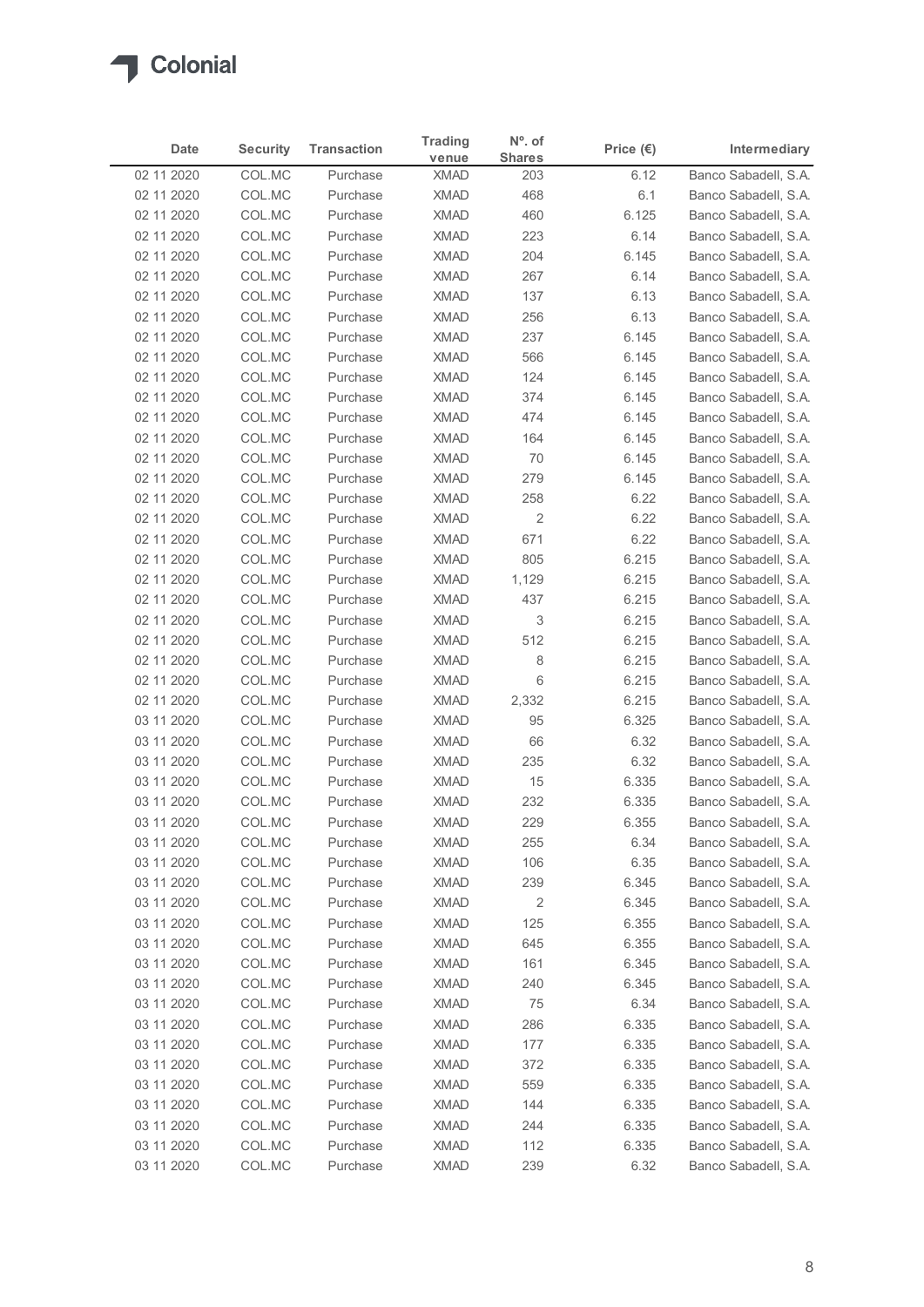| <b>Shares</b><br>venue<br>Banco Sabadell, S.A.<br>02 11 2020<br>COL.MC<br><b>XMAD</b><br>6.12<br>Purchase<br>203<br>COL.MC<br><b>XMAD</b><br>468<br>6.1<br>Banco Sabadell, S.A.<br>02 11 2020<br>Purchase<br>COL.MC<br><b>XMAD</b><br>460<br>6.125<br>Banco Sabadell, S.A.<br>02 11 2020<br>Purchase<br><b>XMAD</b><br>02 11 2020<br>COL.MC<br>Purchase<br>223<br>6.14<br>Banco Sabadell, S.A.<br>COL.MC<br><b>XMAD</b><br>204<br>02 11 2020<br>Purchase<br>6.145<br>Banco Sabadell, S.A.<br>COL.MC<br><b>XMAD</b><br>Banco Sabadell, S.A.<br>02 11 2020<br>Purchase<br>267<br>6.14<br>COL.MC<br><b>XMAD</b><br>Banco Sabadell, S.A.<br>02 11 2020<br>Purchase<br>137<br>6.13<br>02 11 2020<br>COL.MC<br>Purchase<br><b>XMAD</b><br>256<br>6.13<br>Banco Sabadell, S.A.<br>COL.MC<br>237<br>02 11 2020<br><b>XMAD</b><br>6.145<br>Banco Sabadell, S.A.<br>Purchase<br>COL.MC<br><b>XMAD</b><br>566<br>02 11 2020<br>Purchase<br>6.145<br>Banco Sabadell, S.A.<br>COL.MC<br><b>XMAD</b><br>124<br>02 11 2020<br>Purchase<br>6.145<br>Banco Sabadell, S.A.<br>COL.MC<br><b>XMAD</b><br>Banco Sabadell, S.A.<br>02 11 2020<br>Purchase<br>374<br>6.145<br><b>XMAD</b><br>474<br>02 11 2020<br>COL.MC<br>Purchase<br>6.145<br>Banco Sabadell, S.A.<br>02 11 2020<br>COL.MC<br>XMAD<br>164<br>6.145<br>Banco Sabadell, S.A.<br>Purchase<br>6.145<br>Banco Sabadell, S.A.<br>02 11 2020<br>COL.MC<br>Purchase<br>XMAD<br>70<br>6.145<br>02 11 2020<br>COL.MC<br>XMAD<br>279<br>Banco Sabadell, S.A.<br>Purchase<br><b>XMAD</b><br>6.22<br>02 11 2020<br>COL.MC<br>Purchase<br>258<br>Banco Sabadell, S.A.<br>$\overline{2}$<br>02 11 2020<br>COL.MC<br>Purchase<br><b>XMAD</b><br>6.22<br>Banco Sabadell, S.A.<br>671<br>Banco Sabadell, S.A.<br>02 11 2020<br>COL.MC<br>Purchase<br><b>XMAD</b><br>6.22<br>02 11 2020<br>COL.MC<br>Purchase<br><b>XMAD</b><br>805<br>6.215<br>Banco Sabadell, S.A.<br>02 11 2020<br>COL.MC<br><b>XMAD</b><br>1,129<br>6.215<br>Banco Sabadell, S.A.<br>Purchase<br><b>XMAD</b><br>437<br>6.215<br>02 11 2020<br>COL.MC<br>Banco Sabadell, S.A.<br>Purchase<br>XMAD<br>Banco Sabadell, S.A.<br>02 11 2020<br>COL.MC<br>Purchase<br>3<br>6.215<br>02 11 2020<br>COL.MC<br><b>XMAD</b><br>512<br>6.215<br>Banco Sabadell, S.A.<br>Purchase<br>8<br>02 11 2020<br>COL.MC<br>XMAD<br>6.215<br>Banco Sabadell, S.A.<br>Purchase<br>6<br>02 11 2020<br>COL.MC<br>XMAD<br>6.215<br>Banco Sabadell, S.A.<br>Purchase<br>02 11 2020<br>COL.MC<br>XMAD<br>2,332<br>6.215<br>Banco Sabadell, S.A.<br>Purchase<br><b>XMAD</b><br>95<br>6.325<br>03 11 2020<br>COL.MC<br>Banco Sabadell, S.A.<br>Purchase<br>66<br>6.32<br>03 11 2020<br>COL.MC<br>Purchase<br>XMAD<br>Banco Sabadell, S.A.<br>03 11 2020<br>COL.MC<br>Purchase<br><b>XMAD</b><br>235<br>6.32<br>Banco Sabadell, S.A.<br>15<br>03 11 2020<br>COL.MC<br>Purchase<br><b>XMAD</b><br>6.335<br>Banco Sabadell, S.A.<br>232<br>03 11 2020<br>COL.MC<br>XMAD<br>6.335<br>Banco Sabadell, S.A.<br>Purchase<br>03 11 2020<br>COL.MC<br>Purchase<br>XMAD<br>229<br>6.355<br>Banco Sabadell, S.A.<br><b>XMAD</b><br>255<br>6.34<br>03 11 2020<br>COL.MC<br>Banco Sabadell, S.A.<br>Purchase<br>COL.MC<br><b>XMAD</b><br>Banco Sabadell, S.A.<br>03 11 2020<br>Purchase<br>106<br>6.35<br>03 11 2020<br>COL.MC<br>Purchase<br>XMAD<br>239<br>6.345<br>Banco Sabadell, S.A.<br>$\overline{2}$<br>03 11 2020<br>COL.MC<br><b>XMAD</b><br>6.345<br>Banco Sabadell, S.A.<br>Purchase<br>6.355<br>03 11 2020<br>COL.MC<br><b>XMAD</b><br>125<br>Banco Sabadell, S.A.<br>Purchase<br>6.355<br>03 11 2020<br>COL.MC<br>XMAD<br>645<br>Banco Sabadell, S.A.<br>Purchase<br>6.345<br>03 11 2020<br>COL.MC<br><b>XMAD</b><br>161<br>Banco Sabadell, S.A.<br>Purchase<br>COL.MC<br><b>XMAD</b><br>6.345<br>Banco Sabadell, S.A.<br>03 11 2020<br>Purchase<br>240<br><b>XMAD</b><br>Banco Sabadell, S.A.<br>03 11 2020<br>COL.MC<br>Purchase<br>75<br>6.34<br>03 11 2020<br>COL.MC<br><b>XMAD</b><br>286<br>6.335<br>Banco Sabadell, S.A.<br>Purchase<br>6.335<br>03 11 2020<br>COL.MC<br><b>XMAD</b><br>177<br>Banco Sabadell, S.A.<br>Purchase<br>XMAD<br>372<br>6.335<br>03 11 2020<br>COL.MC<br>Purchase<br>Banco Sabadell, S.A.<br>6.335<br>03 11 2020<br>COL.MC<br>Purchase<br><b>XMAD</b><br>559<br>Banco Sabadell, S.A.<br>03 11 2020<br>COL.MC<br>XMAD<br>6.335<br>Banco Sabadell, S.A.<br>Purchase<br>144<br><b>XMAD</b><br>6.335<br>03 11 2020<br>COL.MC<br>Purchase<br>244<br>Banco Sabadell, S.A.<br>03 11 2020<br>COL.MC<br>112<br>Purchase<br><b>XMAD</b><br>6.335<br>Banco Sabadell, S.A. | Date | <b>Security</b> | <b>Transaction</b> | <b>Trading</b> | $N^{\circ}$ . of | Price $(\epsilon)$ | Intermediary         |
|-----------------------------------------------------------------------------------------------------------------------------------------------------------------------------------------------------------------------------------------------------------------------------------------------------------------------------------------------------------------------------------------------------------------------------------------------------------------------------------------------------------------------------------------------------------------------------------------------------------------------------------------------------------------------------------------------------------------------------------------------------------------------------------------------------------------------------------------------------------------------------------------------------------------------------------------------------------------------------------------------------------------------------------------------------------------------------------------------------------------------------------------------------------------------------------------------------------------------------------------------------------------------------------------------------------------------------------------------------------------------------------------------------------------------------------------------------------------------------------------------------------------------------------------------------------------------------------------------------------------------------------------------------------------------------------------------------------------------------------------------------------------------------------------------------------------------------------------------------------------------------------------------------------------------------------------------------------------------------------------------------------------------------------------------------------------------------------------------------------------------------------------------------------------------------------------------------------------------------------------------------------------------------------------------------------------------------------------------------------------------------------------------------------------------------------------------------------------------------------------------------------------------------------------------------------------------------------------------------------------------------------------------------------------------------------------------------------------------------------------------------------------------------------------------------------------------------------------------------------------------------------------------------------------------------------------------------------------------------------------------------------------------------------------------------------------------------------------------------------------------------------------------------------------------------------------------------------------------------------------------------------------------------------------------------------------------------------------------------------------------------------------------------------------------------------------------------------------------------------------------------------------------------------------------------------------------------------------------------------------------------------------------------------------------------------------------------------------------------------------------------------------------------------------------------------------------------------------------------------------------------------------------------------------------------------------------------------------------------------------------------------------------------------------------------------------------------------------------------------------------------------------------------------------------------------------------------------------------------------------------------------------------------------------------------------------------------------------------------------------------------------------------------------------------------------------------------------------------------------------------------------------------------------------------------------------|------|-----------------|--------------------|----------------|------------------|--------------------|----------------------|
|                                                                                                                                                                                                                                                                                                                                                                                                                                                                                                                                                                                                                                                                                                                                                                                                                                                                                                                                                                                                                                                                                                                                                                                                                                                                                                                                                                                                                                                                                                                                                                                                                                                                                                                                                                                                                                                                                                                                                                                                                                                                                                                                                                                                                                                                                                                                                                                                                                                                                                                                                                                                                                                                                                                                                                                                                                                                                                                                                                                                                                                                                                                                                                                                                                                                                                                                                                                                                                                                                                                                                                                                                                                                                                                                                                                                                                                                                                                                                                                                                                                                                                                                                                                                                                                                                                                                                                                                                                                                                                                                                                 |      |                 |                    |                |                  |                    |                      |
|                                                                                                                                                                                                                                                                                                                                                                                                                                                                                                                                                                                                                                                                                                                                                                                                                                                                                                                                                                                                                                                                                                                                                                                                                                                                                                                                                                                                                                                                                                                                                                                                                                                                                                                                                                                                                                                                                                                                                                                                                                                                                                                                                                                                                                                                                                                                                                                                                                                                                                                                                                                                                                                                                                                                                                                                                                                                                                                                                                                                                                                                                                                                                                                                                                                                                                                                                                                                                                                                                                                                                                                                                                                                                                                                                                                                                                                                                                                                                                                                                                                                                                                                                                                                                                                                                                                                                                                                                                                                                                                                                                 |      |                 |                    |                |                  |                    |                      |
|                                                                                                                                                                                                                                                                                                                                                                                                                                                                                                                                                                                                                                                                                                                                                                                                                                                                                                                                                                                                                                                                                                                                                                                                                                                                                                                                                                                                                                                                                                                                                                                                                                                                                                                                                                                                                                                                                                                                                                                                                                                                                                                                                                                                                                                                                                                                                                                                                                                                                                                                                                                                                                                                                                                                                                                                                                                                                                                                                                                                                                                                                                                                                                                                                                                                                                                                                                                                                                                                                                                                                                                                                                                                                                                                                                                                                                                                                                                                                                                                                                                                                                                                                                                                                                                                                                                                                                                                                                                                                                                                                                 |      |                 |                    |                |                  |                    |                      |
|                                                                                                                                                                                                                                                                                                                                                                                                                                                                                                                                                                                                                                                                                                                                                                                                                                                                                                                                                                                                                                                                                                                                                                                                                                                                                                                                                                                                                                                                                                                                                                                                                                                                                                                                                                                                                                                                                                                                                                                                                                                                                                                                                                                                                                                                                                                                                                                                                                                                                                                                                                                                                                                                                                                                                                                                                                                                                                                                                                                                                                                                                                                                                                                                                                                                                                                                                                                                                                                                                                                                                                                                                                                                                                                                                                                                                                                                                                                                                                                                                                                                                                                                                                                                                                                                                                                                                                                                                                                                                                                                                                 |      |                 |                    |                |                  |                    |                      |
|                                                                                                                                                                                                                                                                                                                                                                                                                                                                                                                                                                                                                                                                                                                                                                                                                                                                                                                                                                                                                                                                                                                                                                                                                                                                                                                                                                                                                                                                                                                                                                                                                                                                                                                                                                                                                                                                                                                                                                                                                                                                                                                                                                                                                                                                                                                                                                                                                                                                                                                                                                                                                                                                                                                                                                                                                                                                                                                                                                                                                                                                                                                                                                                                                                                                                                                                                                                                                                                                                                                                                                                                                                                                                                                                                                                                                                                                                                                                                                                                                                                                                                                                                                                                                                                                                                                                                                                                                                                                                                                                                                 |      |                 |                    |                |                  |                    |                      |
|                                                                                                                                                                                                                                                                                                                                                                                                                                                                                                                                                                                                                                                                                                                                                                                                                                                                                                                                                                                                                                                                                                                                                                                                                                                                                                                                                                                                                                                                                                                                                                                                                                                                                                                                                                                                                                                                                                                                                                                                                                                                                                                                                                                                                                                                                                                                                                                                                                                                                                                                                                                                                                                                                                                                                                                                                                                                                                                                                                                                                                                                                                                                                                                                                                                                                                                                                                                                                                                                                                                                                                                                                                                                                                                                                                                                                                                                                                                                                                                                                                                                                                                                                                                                                                                                                                                                                                                                                                                                                                                                                                 |      |                 |                    |                |                  |                    |                      |
|                                                                                                                                                                                                                                                                                                                                                                                                                                                                                                                                                                                                                                                                                                                                                                                                                                                                                                                                                                                                                                                                                                                                                                                                                                                                                                                                                                                                                                                                                                                                                                                                                                                                                                                                                                                                                                                                                                                                                                                                                                                                                                                                                                                                                                                                                                                                                                                                                                                                                                                                                                                                                                                                                                                                                                                                                                                                                                                                                                                                                                                                                                                                                                                                                                                                                                                                                                                                                                                                                                                                                                                                                                                                                                                                                                                                                                                                                                                                                                                                                                                                                                                                                                                                                                                                                                                                                                                                                                                                                                                                                                 |      |                 |                    |                |                  |                    |                      |
|                                                                                                                                                                                                                                                                                                                                                                                                                                                                                                                                                                                                                                                                                                                                                                                                                                                                                                                                                                                                                                                                                                                                                                                                                                                                                                                                                                                                                                                                                                                                                                                                                                                                                                                                                                                                                                                                                                                                                                                                                                                                                                                                                                                                                                                                                                                                                                                                                                                                                                                                                                                                                                                                                                                                                                                                                                                                                                                                                                                                                                                                                                                                                                                                                                                                                                                                                                                                                                                                                                                                                                                                                                                                                                                                                                                                                                                                                                                                                                                                                                                                                                                                                                                                                                                                                                                                                                                                                                                                                                                                                                 |      |                 |                    |                |                  |                    |                      |
|                                                                                                                                                                                                                                                                                                                                                                                                                                                                                                                                                                                                                                                                                                                                                                                                                                                                                                                                                                                                                                                                                                                                                                                                                                                                                                                                                                                                                                                                                                                                                                                                                                                                                                                                                                                                                                                                                                                                                                                                                                                                                                                                                                                                                                                                                                                                                                                                                                                                                                                                                                                                                                                                                                                                                                                                                                                                                                                                                                                                                                                                                                                                                                                                                                                                                                                                                                                                                                                                                                                                                                                                                                                                                                                                                                                                                                                                                                                                                                                                                                                                                                                                                                                                                                                                                                                                                                                                                                                                                                                                                                 |      |                 |                    |                |                  |                    |                      |
|                                                                                                                                                                                                                                                                                                                                                                                                                                                                                                                                                                                                                                                                                                                                                                                                                                                                                                                                                                                                                                                                                                                                                                                                                                                                                                                                                                                                                                                                                                                                                                                                                                                                                                                                                                                                                                                                                                                                                                                                                                                                                                                                                                                                                                                                                                                                                                                                                                                                                                                                                                                                                                                                                                                                                                                                                                                                                                                                                                                                                                                                                                                                                                                                                                                                                                                                                                                                                                                                                                                                                                                                                                                                                                                                                                                                                                                                                                                                                                                                                                                                                                                                                                                                                                                                                                                                                                                                                                                                                                                                                                 |      |                 |                    |                |                  |                    |                      |
|                                                                                                                                                                                                                                                                                                                                                                                                                                                                                                                                                                                                                                                                                                                                                                                                                                                                                                                                                                                                                                                                                                                                                                                                                                                                                                                                                                                                                                                                                                                                                                                                                                                                                                                                                                                                                                                                                                                                                                                                                                                                                                                                                                                                                                                                                                                                                                                                                                                                                                                                                                                                                                                                                                                                                                                                                                                                                                                                                                                                                                                                                                                                                                                                                                                                                                                                                                                                                                                                                                                                                                                                                                                                                                                                                                                                                                                                                                                                                                                                                                                                                                                                                                                                                                                                                                                                                                                                                                                                                                                                                                 |      |                 |                    |                |                  |                    |                      |
|                                                                                                                                                                                                                                                                                                                                                                                                                                                                                                                                                                                                                                                                                                                                                                                                                                                                                                                                                                                                                                                                                                                                                                                                                                                                                                                                                                                                                                                                                                                                                                                                                                                                                                                                                                                                                                                                                                                                                                                                                                                                                                                                                                                                                                                                                                                                                                                                                                                                                                                                                                                                                                                                                                                                                                                                                                                                                                                                                                                                                                                                                                                                                                                                                                                                                                                                                                                                                                                                                                                                                                                                                                                                                                                                                                                                                                                                                                                                                                                                                                                                                                                                                                                                                                                                                                                                                                                                                                                                                                                                                                 |      |                 |                    |                |                  |                    |                      |
|                                                                                                                                                                                                                                                                                                                                                                                                                                                                                                                                                                                                                                                                                                                                                                                                                                                                                                                                                                                                                                                                                                                                                                                                                                                                                                                                                                                                                                                                                                                                                                                                                                                                                                                                                                                                                                                                                                                                                                                                                                                                                                                                                                                                                                                                                                                                                                                                                                                                                                                                                                                                                                                                                                                                                                                                                                                                                                                                                                                                                                                                                                                                                                                                                                                                                                                                                                                                                                                                                                                                                                                                                                                                                                                                                                                                                                                                                                                                                                                                                                                                                                                                                                                                                                                                                                                                                                                                                                                                                                                                                                 |      |                 |                    |                |                  |                    |                      |
|                                                                                                                                                                                                                                                                                                                                                                                                                                                                                                                                                                                                                                                                                                                                                                                                                                                                                                                                                                                                                                                                                                                                                                                                                                                                                                                                                                                                                                                                                                                                                                                                                                                                                                                                                                                                                                                                                                                                                                                                                                                                                                                                                                                                                                                                                                                                                                                                                                                                                                                                                                                                                                                                                                                                                                                                                                                                                                                                                                                                                                                                                                                                                                                                                                                                                                                                                                                                                                                                                                                                                                                                                                                                                                                                                                                                                                                                                                                                                                                                                                                                                                                                                                                                                                                                                                                                                                                                                                                                                                                                                                 |      |                 |                    |                |                  |                    |                      |
|                                                                                                                                                                                                                                                                                                                                                                                                                                                                                                                                                                                                                                                                                                                                                                                                                                                                                                                                                                                                                                                                                                                                                                                                                                                                                                                                                                                                                                                                                                                                                                                                                                                                                                                                                                                                                                                                                                                                                                                                                                                                                                                                                                                                                                                                                                                                                                                                                                                                                                                                                                                                                                                                                                                                                                                                                                                                                                                                                                                                                                                                                                                                                                                                                                                                                                                                                                                                                                                                                                                                                                                                                                                                                                                                                                                                                                                                                                                                                                                                                                                                                                                                                                                                                                                                                                                                                                                                                                                                                                                                                                 |      |                 |                    |                |                  |                    |                      |
|                                                                                                                                                                                                                                                                                                                                                                                                                                                                                                                                                                                                                                                                                                                                                                                                                                                                                                                                                                                                                                                                                                                                                                                                                                                                                                                                                                                                                                                                                                                                                                                                                                                                                                                                                                                                                                                                                                                                                                                                                                                                                                                                                                                                                                                                                                                                                                                                                                                                                                                                                                                                                                                                                                                                                                                                                                                                                                                                                                                                                                                                                                                                                                                                                                                                                                                                                                                                                                                                                                                                                                                                                                                                                                                                                                                                                                                                                                                                                                                                                                                                                                                                                                                                                                                                                                                                                                                                                                                                                                                                                                 |      |                 |                    |                |                  |                    |                      |
|                                                                                                                                                                                                                                                                                                                                                                                                                                                                                                                                                                                                                                                                                                                                                                                                                                                                                                                                                                                                                                                                                                                                                                                                                                                                                                                                                                                                                                                                                                                                                                                                                                                                                                                                                                                                                                                                                                                                                                                                                                                                                                                                                                                                                                                                                                                                                                                                                                                                                                                                                                                                                                                                                                                                                                                                                                                                                                                                                                                                                                                                                                                                                                                                                                                                                                                                                                                                                                                                                                                                                                                                                                                                                                                                                                                                                                                                                                                                                                                                                                                                                                                                                                                                                                                                                                                                                                                                                                                                                                                                                                 |      |                 |                    |                |                  |                    |                      |
|                                                                                                                                                                                                                                                                                                                                                                                                                                                                                                                                                                                                                                                                                                                                                                                                                                                                                                                                                                                                                                                                                                                                                                                                                                                                                                                                                                                                                                                                                                                                                                                                                                                                                                                                                                                                                                                                                                                                                                                                                                                                                                                                                                                                                                                                                                                                                                                                                                                                                                                                                                                                                                                                                                                                                                                                                                                                                                                                                                                                                                                                                                                                                                                                                                                                                                                                                                                                                                                                                                                                                                                                                                                                                                                                                                                                                                                                                                                                                                                                                                                                                                                                                                                                                                                                                                                                                                                                                                                                                                                                                                 |      |                 |                    |                |                  |                    |                      |
|                                                                                                                                                                                                                                                                                                                                                                                                                                                                                                                                                                                                                                                                                                                                                                                                                                                                                                                                                                                                                                                                                                                                                                                                                                                                                                                                                                                                                                                                                                                                                                                                                                                                                                                                                                                                                                                                                                                                                                                                                                                                                                                                                                                                                                                                                                                                                                                                                                                                                                                                                                                                                                                                                                                                                                                                                                                                                                                                                                                                                                                                                                                                                                                                                                                                                                                                                                                                                                                                                                                                                                                                                                                                                                                                                                                                                                                                                                                                                                                                                                                                                                                                                                                                                                                                                                                                                                                                                                                                                                                                                                 |      |                 |                    |                |                  |                    |                      |
|                                                                                                                                                                                                                                                                                                                                                                                                                                                                                                                                                                                                                                                                                                                                                                                                                                                                                                                                                                                                                                                                                                                                                                                                                                                                                                                                                                                                                                                                                                                                                                                                                                                                                                                                                                                                                                                                                                                                                                                                                                                                                                                                                                                                                                                                                                                                                                                                                                                                                                                                                                                                                                                                                                                                                                                                                                                                                                                                                                                                                                                                                                                                                                                                                                                                                                                                                                                                                                                                                                                                                                                                                                                                                                                                                                                                                                                                                                                                                                                                                                                                                                                                                                                                                                                                                                                                                                                                                                                                                                                                                                 |      |                 |                    |                |                  |                    |                      |
|                                                                                                                                                                                                                                                                                                                                                                                                                                                                                                                                                                                                                                                                                                                                                                                                                                                                                                                                                                                                                                                                                                                                                                                                                                                                                                                                                                                                                                                                                                                                                                                                                                                                                                                                                                                                                                                                                                                                                                                                                                                                                                                                                                                                                                                                                                                                                                                                                                                                                                                                                                                                                                                                                                                                                                                                                                                                                                                                                                                                                                                                                                                                                                                                                                                                                                                                                                                                                                                                                                                                                                                                                                                                                                                                                                                                                                                                                                                                                                                                                                                                                                                                                                                                                                                                                                                                                                                                                                                                                                                                                                 |      |                 |                    |                |                  |                    |                      |
|                                                                                                                                                                                                                                                                                                                                                                                                                                                                                                                                                                                                                                                                                                                                                                                                                                                                                                                                                                                                                                                                                                                                                                                                                                                                                                                                                                                                                                                                                                                                                                                                                                                                                                                                                                                                                                                                                                                                                                                                                                                                                                                                                                                                                                                                                                                                                                                                                                                                                                                                                                                                                                                                                                                                                                                                                                                                                                                                                                                                                                                                                                                                                                                                                                                                                                                                                                                                                                                                                                                                                                                                                                                                                                                                                                                                                                                                                                                                                                                                                                                                                                                                                                                                                                                                                                                                                                                                                                                                                                                                                                 |      |                 |                    |                |                  |                    |                      |
|                                                                                                                                                                                                                                                                                                                                                                                                                                                                                                                                                                                                                                                                                                                                                                                                                                                                                                                                                                                                                                                                                                                                                                                                                                                                                                                                                                                                                                                                                                                                                                                                                                                                                                                                                                                                                                                                                                                                                                                                                                                                                                                                                                                                                                                                                                                                                                                                                                                                                                                                                                                                                                                                                                                                                                                                                                                                                                                                                                                                                                                                                                                                                                                                                                                                                                                                                                                                                                                                                                                                                                                                                                                                                                                                                                                                                                                                                                                                                                                                                                                                                                                                                                                                                                                                                                                                                                                                                                                                                                                                                                 |      |                 |                    |                |                  |                    |                      |
|                                                                                                                                                                                                                                                                                                                                                                                                                                                                                                                                                                                                                                                                                                                                                                                                                                                                                                                                                                                                                                                                                                                                                                                                                                                                                                                                                                                                                                                                                                                                                                                                                                                                                                                                                                                                                                                                                                                                                                                                                                                                                                                                                                                                                                                                                                                                                                                                                                                                                                                                                                                                                                                                                                                                                                                                                                                                                                                                                                                                                                                                                                                                                                                                                                                                                                                                                                                                                                                                                                                                                                                                                                                                                                                                                                                                                                                                                                                                                                                                                                                                                                                                                                                                                                                                                                                                                                                                                                                                                                                                                                 |      |                 |                    |                |                  |                    |                      |
|                                                                                                                                                                                                                                                                                                                                                                                                                                                                                                                                                                                                                                                                                                                                                                                                                                                                                                                                                                                                                                                                                                                                                                                                                                                                                                                                                                                                                                                                                                                                                                                                                                                                                                                                                                                                                                                                                                                                                                                                                                                                                                                                                                                                                                                                                                                                                                                                                                                                                                                                                                                                                                                                                                                                                                                                                                                                                                                                                                                                                                                                                                                                                                                                                                                                                                                                                                                                                                                                                                                                                                                                                                                                                                                                                                                                                                                                                                                                                                                                                                                                                                                                                                                                                                                                                                                                                                                                                                                                                                                                                                 |      |                 |                    |                |                  |                    |                      |
|                                                                                                                                                                                                                                                                                                                                                                                                                                                                                                                                                                                                                                                                                                                                                                                                                                                                                                                                                                                                                                                                                                                                                                                                                                                                                                                                                                                                                                                                                                                                                                                                                                                                                                                                                                                                                                                                                                                                                                                                                                                                                                                                                                                                                                                                                                                                                                                                                                                                                                                                                                                                                                                                                                                                                                                                                                                                                                                                                                                                                                                                                                                                                                                                                                                                                                                                                                                                                                                                                                                                                                                                                                                                                                                                                                                                                                                                                                                                                                                                                                                                                                                                                                                                                                                                                                                                                                                                                                                                                                                                                                 |      |                 |                    |                |                  |                    |                      |
|                                                                                                                                                                                                                                                                                                                                                                                                                                                                                                                                                                                                                                                                                                                                                                                                                                                                                                                                                                                                                                                                                                                                                                                                                                                                                                                                                                                                                                                                                                                                                                                                                                                                                                                                                                                                                                                                                                                                                                                                                                                                                                                                                                                                                                                                                                                                                                                                                                                                                                                                                                                                                                                                                                                                                                                                                                                                                                                                                                                                                                                                                                                                                                                                                                                                                                                                                                                                                                                                                                                                                                                                                                                                                                                                                                                                                                                                                                                                                                                                                                                                                                                                                                                                                                                                                                                                                                                                                                                                                                                                                                 |      |                 |                    |                |                  |                    |                      |
|                                                                                                                                                                                                                                                                                                                                                                                                                                                                                                                                                                                                                                                                                                                                                                                                                                                                                                                                                                                                                                                                                                                                                                                                                                                                                                                                                                                                                                                                                                                                                                                                                                                                                                                                                                                                                                                                                                                                                                                                                                                                                                                                                                                                                                                                                                                                                                                                                                                                                                                                                                                                                                                                                                                                                                                                                                                                                                                                                                                                                                                                                                                                                                                                                                                                                                                                                                                                                                                                                                                                                                                                                                                                                                                                                                                                                                                                                                                                                                                                                                                                                                                                                                                                                                                                                                                                                                                                                                                                                                                                                                 |      |                 |                    |                |                  |                    |                      |
|                                                                                                                                                                                                                                                                                                                                                                                                                                                                                                                                                                                                                                                                                                                                                                                                                                                                                                                                                                                                                                                                                                                                                                                                                                                                                                                                                                                                                                                                                                                                                                                                                                                                                                                                                                                                                                                                                                                                                                                                                                                                                                                                                                                                                                                                                                                                                                                                                                                                                                                                                                                                                                                                                                                                                                                                                                                                                                                                                                                                                                                                                                                                                                                                                                                                                                                                                                                                                                                                                                                                                                                                                                                                                                                                                                                                                                                                                                                                                                                                                                                                                                                                                                                                                                                                                                                                                                                                                                                                                                                                                                 |      |                 |                    |                |                  |                    |                      |
|                                                                                                                                                                                                                                                                                                                                                                                                                                                                                                                                                                                                                                                                                                                                                                                                                                                                                                                                                                                                                                                                                                                                                                                                                                                                                                                                                                                                                                                                                                                                                                                                                                                                                                                                                                                                                                                                                                                                                                                                                                                                                                                                                                                                                                                                                                                                                                                                                                                                                                                                                                                                                                                                                                                                                                                                                                                                                                                                                                                                                                                                                                                                                                                                                                                                                                                                                                                                                                                                                                                                                                                                                                                                                                                                                                                                                                                                                                                                                                                                                                                                                                                                                                                                                                                                                                                                                                                                                                                                                                                                                                 |      |                 |                    |                |                  |                    |                      |
|                                                                                                                                                                                                                                                                                                                                                                                                                                                                                                                                                                                                                                                                                                                                                                                                                                                                                                                                                                                                                                                                                                                                                                                                                                                                                                                                                                                                                                                                                                                                                                                                                                                                                                                                                                                                                                                                                                                                                                                                                                                                                                                                                                                                                                                                                                                                                                                                                                                                                                                                                                                                                                                                                                                                                                                                                                                                                                                                                                                                                                                                                                                                                                                                                                                                                                                                                                                                                                                                                                                                                                                                                                                                                                                                                                                                                                                                                                                                                                                                                                                                                                                                                                                                                                                                                                                                                                                                                                                                                                                                                                 |      |                 |                    |                |                  |                    |                      |
|                                                                                                                                                                                                                                                                                                                                                                                                                                                                                                                                                                                                                                                                                                                                                                                                                                                                                                                                                                                                                                                                                                                                                                                                                                                                                                                                                                                                                                                                                                                                                                                                                                                                                                                                                                                                                                                                                                                                                                                                                                                                                                                                                                                                                                                                                                                                                                                                                                                                                                                                                                                                                                                                                                                                                                                                                                                                                                                                                                                                                                                                                                                                                                                                                                                                                                                                                                                                                                                                                                                                                                                                                                                                                                                                                                                                                                                                                                                                                                                                                                                                                                                                                                                                                                                                                                                                                                                                                                                                                                                                                                 |      |                 |                    |                |                  |                    |                      |
|                                                                                                                                                                                                                                                                                                                                                                                                                                                                                                                                                                                                                                                                                                                                                                                                                                                                                                                                                                                                                                                                                                                                                                                                                                                                                                                                                                                                                                                                                                                                                                                                                                                                                                                                                                                                                                                                                                                                                                                                                                                                                                                                                                                                                                                                                                                                                                                                                                                                                                                                                                                                                                                                                                                                                                                                                                                                                                                                                                                                                                                                                                                                                                                                                                                                                                                                                                                                                                                                                                                                                                                                                                                                                                                                                                                                                                                                                                                                                                                                                                                                                                                                                                                                                                                                                                                                                                                                                                                                                                                                                                 |      |                 |                    |                |                  |                    |                      |
|                                                                                                                                                                                                                                                                                                                                                                                                                                                                                                                                                                                                                                                                                                                                                                                                                                                                                                                                                                                                                                                                                                                                                                                                                                                                                                                                                                                                                                                                                                                                                                                                                                                                                                                                                                                                                                                                                                                                                                                                                                                                                                                                                                                                                                                                                                                                                                                                                                                                                                                                                                                                                                                                                                                                                                                                                                                                                                                                                                                                                                                                                                                                                                                                                                                                                                                                                                                                                                                                                                                                                                                                                                                                                                                                                                                                                                                                                                                                                                                                                                                                                                                                                                                                                                                                                                                                                                                                                                                                                                                                                                 |      |                 |                    |                |                  |                    |                      |
|                                                                                                                                                                                                                                                                                                                                                                                                                                                                                                                                                                                                                                                                                                                                                                                                                                                                                                                                                                                                                                                                                                                                                                                                                                                                                                                                                                                                                                                                                                                                                                                                                                                                                                                                                                                                                                                                                                                                                                                                                                                                                                                                                                                                                                                                                                                                                                                                                                                                                                                                                                                                                                                                                                                                                                                                                                                                                                                                                                                                                                                                                                                                                                                                                                                                                                                                                                                                                                                                                                                                                                                                                                                                                                                                                                                                                                                                                                                                                                                                                                                                                                                                                                                                                                                                                                                                                                                                                                                                                                                                                                 |      |                 |                    |                |                  |                    |                      |
|                                                                                                                                                                                                                                                                                                                                                                                                                                                                                                                                                                                                                                                                                                                                                                                                                                                                                                                                                                                                                                                                                                                                                                                                                                                                                                                                                                                                                                                                                                                                                                                                                                                                                                                                                                                                                                                                                                                                                                                                                                                                                                                                                                                                                                                                                                                                                                                                                                                                                                                                                                                                                                                                                                                                                                                                                                                                                                                                                                                                                                                                                                                                                                                                                                                                                                                                                                                                                                                                                                                                                                                                                                                                                                                                                                                                                                                                                                                                                                                                                                                                                                                                                                                                                                                                                                                                                                                                                                                                                                                                                                 |      |                 |                    |                |                  |                    |                      |
|                                                                                                                                                                                                                                                                                                                                                                                                                                                                                                                                                                                                                                                                                                                                                                                                                                                                                                                                                                                                                                                                                                                                                                                                                                                                                                                                                                                                                                                                                                                                                                                                                                                                                                                                                                                                                                                                                                                                                                                                                                                                                                                                                                                                                                                                                                                                                                                                                                                                                                                                                                                                                                                                                                                                                                                                                                                                                                                                                                                                                                                                                                                                                                                                                                                                                                                                                                                                                                                                                                                                                                                                                                                                                                                                                                                                                                                                                                                                                                                                                                                                                                                                                                                                                                                                                                                                                                                                                                                                                                                                                                 |      |                 |                    |                |                  |                    |                      |
|                                                                                                                                                                                                                                                                                                                                                                                                                                                                                                                                                                                                                                                                                                                                                                                                                                                                                                                                                                                                                                                                                                                                                                                                                                                                                                                                                                                                                                                                                                                                                                                                                                                                                                                                                                                                                                                                                                                                                                                                                                                                                                                                                                                                                                                                                                                                                                                                                                                                                                                                                                                                                                                                                                                                                                                                                                                                                                                                                                                                                                                                                                                                                                                                                                                                                                                                                                                                                                                                                                                                                                                                                                                                                                                                                                                                                                                                                                                                                                                                                                                                                                                                                                                                                                                                                                                                                                                                                                                                                                                                                                 |      |                 |                    |                |                  |                    |                      |
|                                                                                                                                                                                                                                                                                                                                                                                                                                                                                                                                                                                                                                                                                                                                                                                                                                                                                                                                                                                                                                                                                                                                                                                                                                                                                                                                                                                                                                                                                                                                                                                                                                                                                                                                                                                                                                                                                                                                                                                                                                                                                                                                                                                                                                                                                                                                                                                                                                                                                                                                                                                                                                                                                                                                                                                                                                                                                                                                                                                                                                                                                                                                                                                                                                                                                                                                                                                                                                                                                                                                                                                                                                                                                                                                                                                                                                                                                                                                                                                                                                                                                                                                                                                                                                                                                                                                                                                                                                                                                                                                                                 |      |                 |                    |                |                  |                    |                      |
|                                                                                                                                                                                                                                                                                                                                                                                                                                                                                                                                                                                                                                                                                                                                                                                                                                                                                                                                                                                                                                                                                                                                                                                                                                                                                                                                                                                                                                                                                                                                                                                                                                                                                                                                                                                                                                                                                                                                                                                                                                                                                                                                                                                                                                                                                                                                                                                                                                                                                                                                                                                                                                                                                                                                                                                                                                                                                                                                                                                                                                                                                                                                                                                                                                                                                                                                                                                                                                                                                                                                                                                                                                                                                                                                                                                                                                                                                                                                                                                                                                                                                                                                                                                                                                                                                                                                                                                                                                                                                                                                                                 |      |                 |                    |                |                  |                    |                      |
|                                                                                                                                                                                                                                                                                                                                                                                                                                                                                                                                                                                                                                                                                                                                                                                                                                                                                                                                                                                                                                                                                                                                                                                                                                                                                                                                                                                                                                                                                                                                                                                                                                                                                                                                                                                                                                                                                                                                                                                                                                                                                                                                                                                                                                                                                                                                                                                                                                                                                                                                                                                                                                                                                                                                                                                                                                                                                                                                                                                                                                                                                                                                                                                                                                                                                                                                                                                                                                                                                                                                                                                                                                                                                                                                                                                                                                                                                                                                                                                                                                                                                                                                                                                                                                                                                                                                                                                                                                                                                                                                                                 |      |                 |                    |                |                  |                    |                      |
|                                                                                                                                                                                                                                                                                                                                                                                                                                                                                                                                                                                                                                                                                                                                                                                                                                                                                                                                                                                                                                                                                                                                                                                                                                                                                                                                                                                                                                                                                                                                                                                                                                                                                                                                                                                                                                                                                                                                                                                                                                                                                                                                                                                                                                                                                                                                                                                                                                                                                                                                                                                                                                                                                                                                                                                                                                                                                                                                                                                                                                                                                                                                                                                                                                                                                                                                                                                                                                                                                                                                                                                                                                                                                                                                                                                                                                                                                                                                                                                                                                                                                                                                                                                                                                                                                                                                                                                                                                                                                                                                                                 |      |                 |                    |                |                  |                    |                      |
|                                                                                                                                                                                                                                                                                                                                                                                                                                                                                                                                                                                                                                                                                                                                                                                                                                                                                                                                                                                                                                                                                                                                                                                                                                                                                                                                                                                                                                                                                                                                                                                                                                                                                                                                                                                                                                                                                                                                                                                                                                                                                                                                                                                                                                                                                                                                                                                                                                                                                                                                                                                                                                                                                                                                                                                                                                                                                                                                                                                                                                                                                                                                                                                                                                                                                                                                                                                                                                                                                                                                                                                                                                                                                                                                                                                                                                                                                                                                                                                                                                                                                                                                                                                                                                                                                                                                                                                                                                                                                                                                                                 |      |                 |                    |                |                  |                    |                      |
| 03 11 2020<br>Purchase                                                                                                                                                                                                                                                                                                                                                                                                                                                                                                                                                                                                                                                                                                                                                                                                                                                                                                                                                                                                                                                                                                                                                                                                                                                                                                                                                                                                                                                                                                                                                                                                                                                                                                                                                                                                                                                                                                                                                                                                                                                                                                                                                                                                                                                                                                                                                                                                                                                                                                                                                                                                                                                                                                                                                                                                                                                                                                                                                                                                                                                                                                                                                                                                                                                                                                                                                                                                                                                                                                                                                                                                                                                                                                                                                                                                                                                                                                                                                                                                                                                                                                                                                                                                                                                                                                                                                                                                                                                                                                                                          |      | COL.MC          |                    | <b>XMAD</b>    | 239              | 6.32               | Banco Sabadell, S.A. |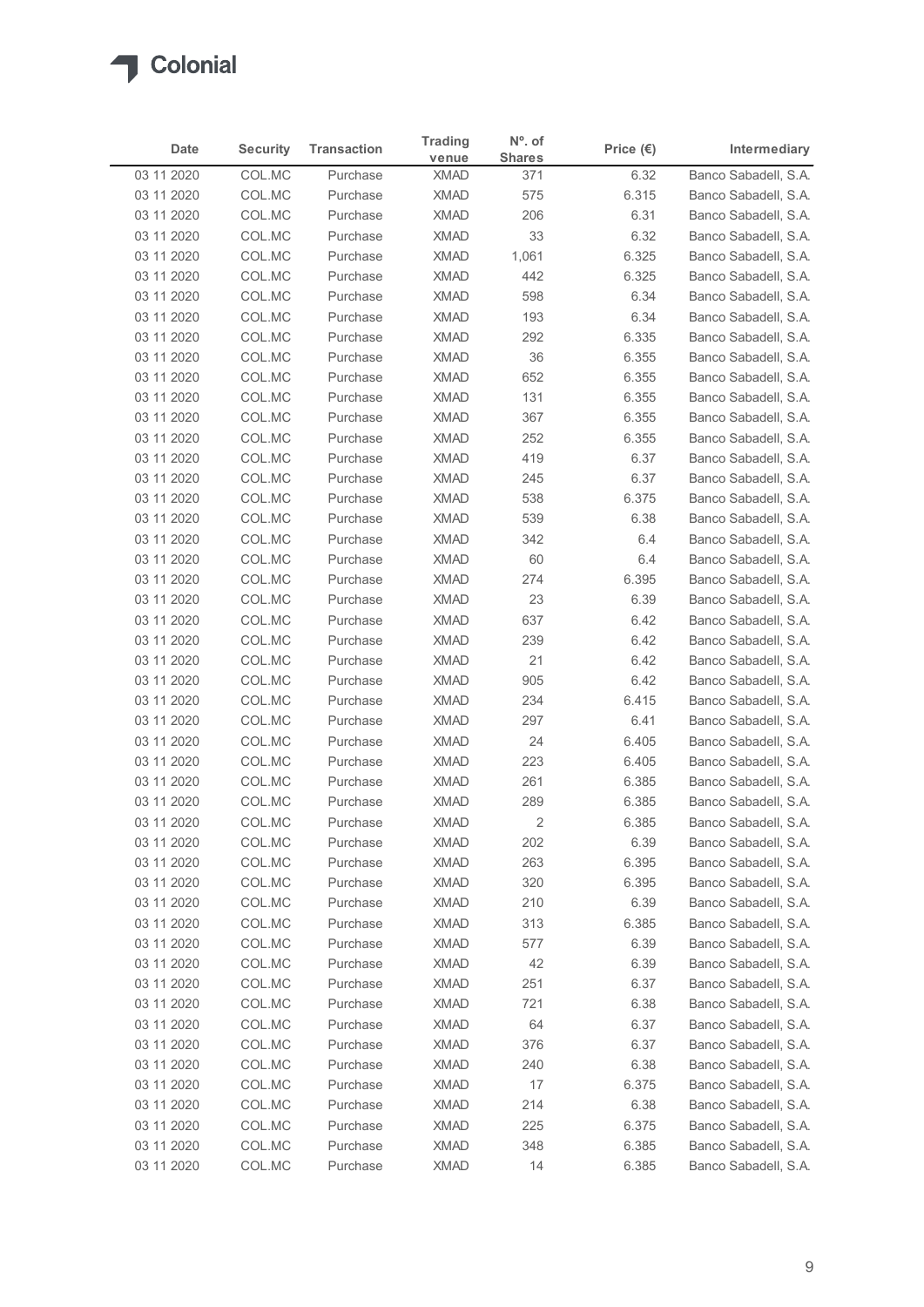| Date                     | <b>Security</b>  | <b>Transaction</b>   | <b>Trading</b>             | $N^{\circ}$ . of     | Price $(\epsilon)$ | Intermediary                                 |
|--------------------------|------------------|----------------------|----------------------------|----------------------|--------------------|----------------------------------------------|
| 03 11 2020               | COL.MC           | Purchase             | venue<br><b>XMAD</b>       | <b>Shares</b><br>371 | 6.32               | Banco Sabadell, S.A.                         |
| 03 11 2020               | COL.MC           | Purchase             | <b>XMAD</b>                | 575                  | 6.315              | Banco Sabadell, S.A.                         |
| 03 11 2020               | COL.MC           | Purchase             | <b>XMAD</b>                | 206                  | 6.31               | Banco Sabadell, S.A.                         |
| 03 11 2020               | COL.MC           | Purchase             | <b>XMAD</b>                | 33                   | 6.32               | Banco Sabadell, S.A.                         |
| 03 11 2020               | COL.MC           | Purchase             | <b>XMAD</b>                | 1,061                | 6.325              | Banco Sabadell, S.A.                         |
| 03 11 2020               | COL.MC           | Purchase             | <b>XMAD</b>                | 442                  | 6.325              | Banco Sabadell, S.A.                         |
| 03 11 2020<br>03 11 2020 | COL.MC<br>COL.MC | Purchase<br>Purchase | <b>XMAD</b><br><b>XMAD</b> | 598<br>193           | 6.34<br>6.34       | Banco Sabadell, S.A.<br>Banco Sabadell, S.A. |
| 03 11 2020               | COL.MC           | Purchase             | <b>XMAD</b>                | 292                  | 6.335              | Banco Sabadell, S.A.                         |
| 03 11 2020               | COL.MC           | Purchase             | <b>XMAD</b>                | 36                   | 6.355              | Banco Sabadell, S.A.                         |
| 03 11 2020               | COL.MC           | Purchase             | <b>XMAD</b>                | 652                  | 6.355              | Banco Sabadell, S.A.                         |
| 03 11 2020               | COL.MC           | Purchase             | <b>XMAD</b>                | 131                  | 6.355              | Banco Sabadell, S.A.                         |
| 03 11 2020               | COL.MC           | Purchase             | <b>XMAD</b>                | 367                  | 6.355              | Banco Sabadell, S.A.                         |
| 03 11 2020               | COL.MC           | Purchase             | XMAD                       | 252                  | 6.355              | Banco Sabadell, S.A.                         |
| 03 11 2020               | COL.MC           | Purchase             | <b>XMAD</b>                | 419                  | 6.37               | Banco Sabadell, S.A.<br>Banco Sabadell, S.A. |
| 03 11 2020<br>03 11 2020 | COL.MC<br>COL.MC | Purchase<br>Purchase | <b>XMAD</b><br>XMAD        | 245<br>538           | 6.37<br>6.375      | Banco Sabadell, S.A.                         |
| 03 11 2020               | COL.MC           | Purchase             | XMAD                       | 539                  | 6.38               | Banco Sabadell, S.A.                         |
| 03 11 2020               | COL.MC           | Purchase             | <b>XMAD</b>                | 342                  | 6.4                | Banco Sabadell, S.A.                         |
| 03 11 2020               | COL.MC           | Purchase             | <b>XMAD</b>                | 60                   | 6.4                | Banco Sabadell, S.A.                         |
| 03 11 2020               | COL.MC           | Purchase             | <b>XMAD</b>                | 274                  | 6.395              | Banco Sabadell, S.A.                         |
| 03 11 2020               | COL.MC           | Purchase             | XMAD                       | 23                   | 6.39               | Banco Sabadell, S.A.                         |
| 03 11 2020               | COL.MC           | Purchase             | <b>XMAD</b>                | 637                  | 6.42               | Banco Sabadell, S.A.                         |
| 03 11 2020               | COL.MC           | Purchase             | <b>XMAD</b>                | 239                  | 6.42               | Banco Sabadell, S.A.                         |
| 03 11 2020               | COL.MC<br>COL.MC | Purchase             | XMAD                       | 21<br>905            | 6.42               | Banco Sabadell, S.A.<br>Banco Sabadell, S.A. |
| 03 11 2020<br>03 11 2020 | COL.MC           | Purchase<br>Purchase | <b>XMAD</b><br><b>XMAD</b> | 234                  | 6.42<br>6.415      | Banco Sabadell, S.A.                         |
| 03 11 2020               | COL.MC           | Purchase             | <b>XMAD</b>                | 297                  | 6.41               | Banco Sabadell, S.A.                         |
| 03 11 2020               | COL.MC           | Purchase             | <b>XMAD</b>                | 24                   | 6.405              | Banco Sabadell, S.A.                         |
| 03 11 2020               | COL.MC           | Purchase             | <b>XMAD</b>                | 223                  | 6.405              | Banco Sabadell, S.A.                         |
| 03 11 2020               | COL.MC           | Purchase             | <b>XMAD</b>                | 261                  | 6.385              | Banco Sabadell, S.A.                         |
| 03 11 2020               | COL.MC           | Purchase             | <b>XMAD</b>                | 289                  | 6.385              | Banco Sabadell, S.A.                         |
| 03 11 2020               | COL.MC           | Purchase             | <b>XMAD</b>                | $\overline{2}$       | 6.385              | Banco Sabadell, S.A.                         |
| 03 11 2020               | COL.MC           | Purchase             | <b>XMAD</b>                | 202                  | 6.39               | Banco Sabadell, S.A.                         |
| 03 11 2020               | COL.MC           | Purchase             | <b>XMAD</b>                | 263                  | 6.395              | Banco Sabadell, S.A.                         |
| 03 11 2020<br>03 11 2020 | COL.MC<br>COL.MC | Purchase<br>Purchase | <b>XMAD</b><br><b>XMAD</b> | 320<br>210           | 6.395<br>6.39      | Banco Sabadell, S.A.<br>Banco Sabadell, S.A. |
| 03 11 2020               | COL.MC           | Purchase             | <b>XMAD</b>                | 313                  | 6.385              | Banco Sabadell, S.A.                         |
| 03 11 2020               | COL.MC           | Purchase             | <b>XMAD</b>                | 577                  | 6.39               | Banco Sabadell, S.A.                         |
| 03 11 2020               | COL.MC           | Purchase             | <b>XMAD</b>                | 42                   | 6.39               | Banco Sabadell, S.A.                         |
| 03 11 2020               | COL.MC           | Purchase             | XMAD                       | 251                  | 6.37               | Banco Sabadell, S.A.                         |
| 03 11 2020               | COL.MC           | Purchase             | <b>XMAD</b>                | 721                  | 6.38               | Banco Sabadell, S.A.                         |
| 03 11 2020               | COL.MC           | Purchase             | <b>XMAD</b>                | 64                   | 6.37               | Banco Sabadell, S.A.                         |
| 03 11 2020               | COL.MC           | Purchase             | <b>XMAD</b>                | 376                  | 6.37               | Banco Sabadell, S.A.                         |
| 03 11 2020               | COL.MC           | Purchase             | <b>XMAD</b>                | 240                  | 6.38               | Banco Sabadell, S.A.                         |
| 03 11 2020               | COL.MC           | Purchase             | <b>XMAD</b><br><b>XMAD</b> | 17                   | 6.375              | Banco Sabadell, S.A.                         |
| 03 11 2020<br>03 11 2020 | COL.MC<br>COL.MC | Purchase<br>Purchase | <b>XMAD</b>                | 214<br>225           | 6.38<br>6.375      | Banco Sabadell, S.A.<br>Banco Sabadell, S.A. |
|                          | COL.MC           | Purchase             | <b>XMAD</b>                | 348                  | 6.385              | Banco Sabadell, S.A.                         |
| 03 11 2020               |                  | Purchase             | XMAD                       | 14                   | 6.385              | Banco Sabadell, S.A.                         |